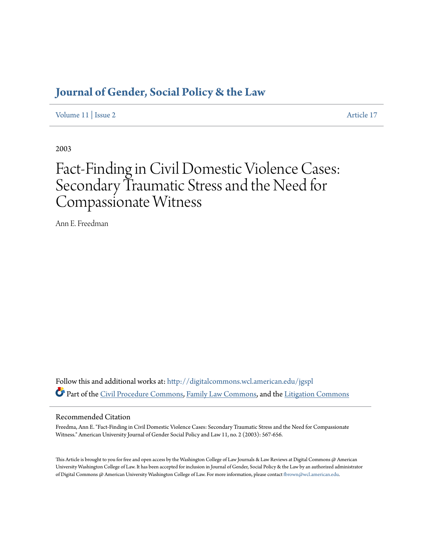# **[Journal of Gender, Social Policy & the Law](http://digitalcommons.wcl.american.edu/jgspl?utm_source=digitalcommons.wcl.american.edu%2Fjgspl%2Fvol11%2Fiss2%2F17&utm_medium=PDF&utm_campaign=PDFCoverPages)**

[Volume 11](http://digitalcommons.wcl.american.edu/jgspl/vol11?utm_source=digitalcommons.wcl.american.edu%2Fjgspl%2Fvol11%2Fiss2%2F17&utm_medium=PDF&utm_campaign=PDFCoverPages) | [Issue 2](http://digitalcommons.wcl.american.edu/jgspl/vol11/iss2?utm_source=digitalcommons.wcl.american.edu%2Fjgspl%2Fvol11%2Fiss2%2F17&utm_medium=PDF&utm_campaign=PDFCoverPages) [Article 17](http://digitalcommons.wcl.american.edu/jgspl/vol11/iss2/17?utm_source=digitalcommons.wcl.american.edu%2Fjgspl%2Fvol11%2Fiss2%2F17&utm_medium=PDF&utm_campaign=PDFCoverPages)

2003

# Fact-Finding in Civil Domestic Violence Cases: Secondary Traumatic Stress and the Need for Compassionate Witness

Ann E. Freedman

Follow this and additional works at: [http://digitalcommons.wcl.american.edu/jgspl](http://digitalcommons.wcl.american.edu/jgspl?utm_source=digitalcommons.wcl.american.edu%2Fjgspl%2Fvol11%2Fiss2%2F17&utm_medium=PDF&utm_campaign=PDFCoverPages) Part of the [Civil Procedure Commons](http://network.bepress.com/hgg/discipline/584?utm_source=digitalcommons.wcl.american.edu%2Fjgspl%2Fvol11%2Fiss2%2F17&utm_medium=PDF&utm_campaign=PDFCoverPages), [Family Law Commons](http://network.bepress.com/hgg/discipline/602?utm_source=digitalcommons.wcl.american.edu%2Fjgspl%2Fvol11%2Fiss2%2F17&utm_medium=PDF&utm_campaign=PDFCoverPages), and the [Litigation Commons](http://network.bepress.com/hgg/discipline/910?utm_source=digitalcommons.wcl.american.edu%2Fjgspl%2Fvol11%2Fiss2%2F17&utm_medium=PDF&utm_campaign=PDFCoverPages)

#### Recommended Citation

Freedma, Ann E. "Fact-Finding in Civil Domestic Violence Cases: Secondary Traumatic Stress and the Need for Compassionate Witness." American University Journal of Gender Social Policy and Law 11, no. 2 (2003): 567-656.

This Article is brought to you for free and open access by the Washington College of Law Journals & Law Reviews at Digital Commons @ American University Washington College of Law. It has been accepted for inclusion in Journal of Gender, Social Policy & the Law by an authorized administrator of Digital Commons @ American University Washington College of Law. For more information, please contact [fbrown@wcl.american.edu.](mailto:fbrown@wcl.american.edu)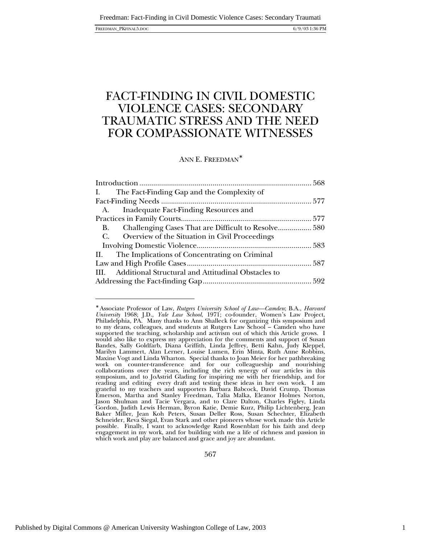1

## FACT-FINDING IN CIVIL DOMESTIC VIOLENCE CASES: SECONDARY TRAUMATIC STRESS AND THE NEED FOR COMPASSIONATE WITNESSES

#### ANN E. FREEDMAN<sup>\*</sup>

| I. The Fact-Finding Gap and the Complexity of           |  |
|---------------------------------------------------------|--|
|                                                         |  |
| A. Inadequate Fact-Finding Resources and                |  |
|                                                         |  |
| B. Challenging Cases That are Difficult to Resolve 580  |  |
| C. Overview of the Situation in Civil Proceedings       |  |
|                                                         |  |
| II. The Implications of Concentrating on Criminal       |  |
|                                                         |  |
| III. Additional Structural and Attitudinal Obstacles to |  |
|                                                         |  |
|                                                         |  |

<sup>∗</sup> Associate Professor of Law, *Rutgers University School of Law—Camden*; B.A., *Harvard University* 1968; J.D., *Yale Law School*, 1971; co-founder, Women's Law Project, Philadelphia, PA. Many thanks to Ann Shalleck for organizing this symposium and to my deans, colleagues, and students at Rutgers Law School – Camden who have supported the teaching, scholarship and activism out of which this Article grows. I would also like to express my appreciation for the comments and support of Susan Bandes, Sally Goldfarb, Diana Griffith, Linda Jeffrey, Betti Kahn, Judy Kleppel, Marilyn Lammert, Alan Lerner, Louise Lumen, Erin Minta, Ruth Anne Robbins, Maxine Vogt and Linda Wharton. Special thanks to Joan Meier for her pathbreaking work on counter-transference and for our colleagueship and nourishing collaborations over the years, including the rich synergy of our articles in this symposium, and to JoAstrid Glading for inspiring me with her friendship, and for reading and editing every draft and testing these ideas in her own work. I am grateful to my teachers and supporters Barbara Babcock, David Crump, Thomas Emerson, Martha and Stanley Freedman, Talia Malka, Eleanor Holmes Norton, Jason Shulman and Tacie Vergara, and to Clare Dalton, Charles Figley, Linda Gordon, Judith Lewis Herman, Byron Katie, Demie Kurz, Philip Lichtenberg, Jean Baker Miller, Jean Koh Peters, Susan Deller Ross, Susan Schechter, Elizabeth Schneider, Reva Siegal, Evan Stark and other pioneers whose work made this Article possible. Finally, I want to acknowledge Rand Rosenblatt for his faith and deep engagement in my work, and for building with me a life of richness and passion in which work and play are balanced and grace and joy are abundant.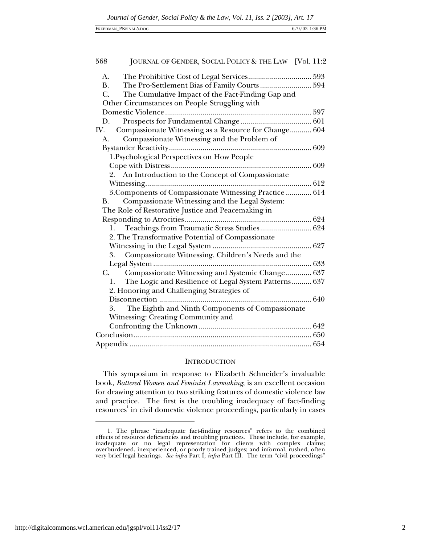| FREEDMAN PKFINAL5.DOC | $6/9/03$ 1:36 PM |
|-----------------------|------------------|

| JOURNAL OF GENDER, SOCIAL POLICY & THE LAW [Vol. 11:2<br>568     |  |
|------------------------------------------------------------------|--|
| A.                                                               |  |
| The Pro-Settlement Bias of Family Courts 594<br><b>B.</b>        |  |
| The Cumulative Impact of the Fact-Finding Gap and<br>$C_{\cdot}$ |  |
| Other Circumstances on People Struggling with                    |  |
|                                                                  |  |
| D.                                                               |  |
| Compassionate Witnessing as a Resource for Change 604<br>IV.     |  |
| Compassionate Witnessing and the Problem of<br>A.                |  |
|                                                                  |  |
| 1. Psychological Perspectives on How People                      |  |
|                                                                  |  |
| 2. An Introduction to the Concept of Compassionate               |  |
|                                                                  |  |
| 3. Components of Compassionate Witnessing Practice  614          |  |
| Compassionate Witnessing and the Legal System:<br>В.             |  |
| The Role of Restorative Justice and Peacemaking in               |  |
|                                                                  |  |
| Teachings from Traumatic Stress Studies 624<br>1.                |  |
| 2. The Transformative Potential of Compassionate                 |  |
|                                                                  |  |
| Compassionate Witnessing, Children's Needs and the<br>3.         |  |
| Legal System                                                     |  |
| Compassionate Witnessing and Systemic Change  637<br>C.          |  |
| The Logic and Resilience of Legal System Patterns 637<br>1.      |  |
| 2. Honoring and Challenging Strategies of                        |  |
|                                                                  |  |
| The Eighth and Ninth Components of Compassionate<br>3.           |  |
| Witnessing: Creating Community and                               |  |
|                                                                  |  |
|                                                                  |  |
|                                                                  |  |
|                                                                  |  |

#### **INTRODUCTION**

This symposium in response to Elizabeth Schneider's invaluable book, *Battered Women and Feminist Lawmaking*, is an excellent occasion for drawing attention to two striking features of domestic violence law and practice. The first is the troubling inadequacy of fact-finding  $\mathrm{resources}^{\mathrm{l}}$  in civil domestic violence proceedings, particularly in cases

-

<sup>1.</sup> The phrase "inadequate fact-finding resources" refers to the combined effects of resource deficiencies and troubling practices. These include, for example, inadequate or no legal representation for clients with complex claims; overburdened, inexperienced, or poorly trained judges; and informal, rushed, often very brief legal hearings. *See infra* Part I; *infra* Part III. The term "civil proceedings"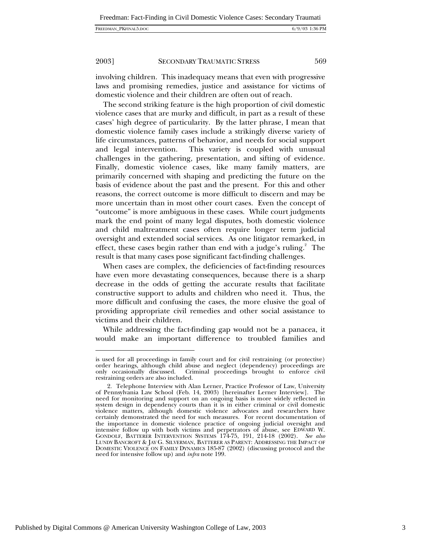involving children. This inadequacy means that even with progressive laws and promising remedies, justice and assistance for victims of domestic violence and their children are often out of reach.

The second striking feature is the high proportion of civil domestic violence cases that are murky and difficult, in part as a result of these cases' high degree of particularity. By the latter phrase, I mean that domestic violence family cases include a strikingly diverse variety of life circumstances, patterns of behavior, and needs for social support and legal intervention. This variety is coupled with unusual challenges in the gathering, presentation, and sifting of evidence. Finally, domestic violence cases, like many family matters, are primarily concerned with shaping and predicting the future on the basis of evidence about the past and the present. For this and other reasons, the correct outcome is more difficult to discern and may be more uncertain than in most other court cases. Even the concept of "outcome" is more ambiguous in these cases. While court judgments mark the end point of many legal disputes, both domestic violence and child maltreatment cases often require longer term judicial oversight and extended social services. As one litigator remarked, in effect, these cases begin rather than end with a judge's ruling. $^2$  The result is that many cases pose significant fact-finding challenges.

When cases are complex, the deficiencies of fact-finding resources have even more devastating consequences, because there is a sharp decrease in the odds of getting the accurate results that facilitate constructive support to adults and children who need it. Thus, the more difficult and confusing the cases, the more elusive the goal of providing appropriate civil remedies and other social assistance to victims and their children.

While addressing the fact-finding gap would not be a panacea, it would make an important difference to troubled families and

1

is used for all proceedings in family court and for civil restraining (or protective) order hearings, although child abuse and neglect (dependency) proceedings are Criminal proceedings brought to enforce civil restraining orders are also included.

<sup>2.</sup> Telephone Interview with Alan Lerner, Practice Professor of Law, University of Pennsylvania Law School (Feb. 14, 2003) [hereinafter Lerner Interview]. The need for monitoring and support on an ongoing basis is more widely reflected in system design in dependency courts than it is in either criminal or civil domestic violence matters, although domestic violence advocates and researchers have certainly demonstrated the need for such measures. For recent documentation of the importance in domestic violence practice of ongoing judicial oversight and intensive follow up with both victims and perpetrators of abuse, see EDWARD W. GONDOLF, BATTERER INTERVENTION SYSTEMS 174-75, 191, 214-18 (2002). *See also* LUNDY BANCROFT & JAY G. SILVERMAN, BATTERER AS PARENT: ADDRESSING THE IMPACT OF DOMESTIC VIOLENCE ON FAMILY DYNAMICS 185-87 (2002) (discussing protocol and the need for intensive follow up) and *infra* note 199.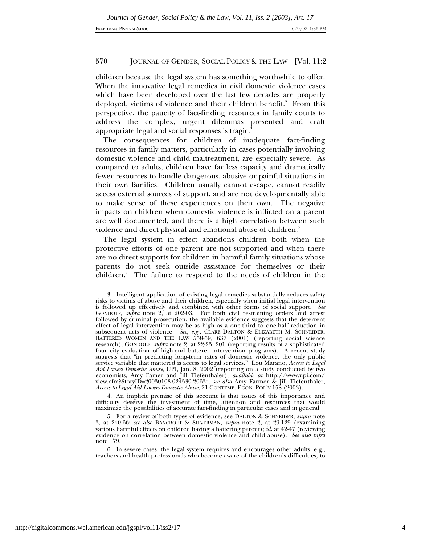children because the legal system has something worthwhile to offer. When the innovative legal remedies in civil domestic violence cases which have been developed over the last few decades are properly deployed, victims of violence and their children benefit.<sup>3</sup> From this perspective, the paucity of fact-finding resources in family courts to address the complex, urgent dilemmas presented and craft appropriate legal and social responses is tragic.<sup>4</sup>

The consequences for children of inadequate fact-finding resources in family matters, particularly in cases potentially involving domestic violence and child maltreatment, are especially severe. As compared to adults, children have far less capacity and dramatically fewer resources to handle dangerous, abusive or painful situations in their own families. Children usually cannot escape, cannot readily access external sources of support, and are not developmentally able to make sense of these experiences on their own. The negative impacts on children when domestic violence is inflicted on a parent are well documented, and there is a high correlation between such violence and direct physical and emotional abuse of children.<sup>3</sup>

The legal system in effect abandons children both when the protective efforts of one parent are not supported and when there are no direct supports for children in harmful family situations whose parents do not seek outside assistance for themselves or their children.<sup>6</sup> The failure to respond to the needs of children in the

-

<sup>3.</sup> Intelligent application of existing legal remedies substantially reduces safety risks to victims of abuse and their children, especially when initial legal intervention is followed up effectively and combined with other forms of social support. *See* GONDOLF, *supra* note 2, at 202-03. For both civil restraining orders and arrest followed by criminal prosecution, the available evidence suggests that the deterrent effect of legal intervention may be as high as a one-third to one-half reduction in subsequent acts of violence. *See, e.g.*, CLARE DALTON & ELIZABETH M. SCHNEIDER, BATTERED WOMEN AND THE LAW 558-59, 637 (2001) (reporting social science research); GONDOLF, *supra* note 2, at 22-23, 201 (reporting results of a sophisticated four city evaluation of high-end batterer intervention programs). A recent study suggests that "in predicting long-term rates of domestic violence, the only public service variable that mattered is access to legal services." Lou Marano, *Access to Legal Aid Lowers Domestic Abuse*, UPI, Jan. 8, 2002 (reporting on a study conducted by two economists, Amy Famer and Jill Tiefenthaler), *available at* http://www.upi.com/ view.cfm?StoryID=20030108-024530-2063r; *see also* Amy Farmer & Jill Tiefenthaler, *Access to Legal Aid Lowers Domestic Abuse*, 21 CONTEMP. ECON. POL'Y 158 (2003).

<sup>4.</sup> An implicit premise of this account is that issues of this importance and difficulty deserve the investment of time, attention and resources that would maximize the possibilities of accurate fact-finding in particular cases and in general.

<sup>5.</sup> For a review of both types of evidence, see DALTON & SCHNEIDER, *supra* note 3, at 240-66; *see also* BANCROFT & SILVERMAN, *supra* note 2, at 29-129 (examining various harmful effects on children having a battering parent); *id.* at 42-47 (reviewing evidence on correlation between domestic violence and child abuse). *See also infra* note 179.

<sup>6.</sup> In severe cases, the legal system requires and encourages other adults, e.g., teachers and health professionals who become aware of the children's difficulties, to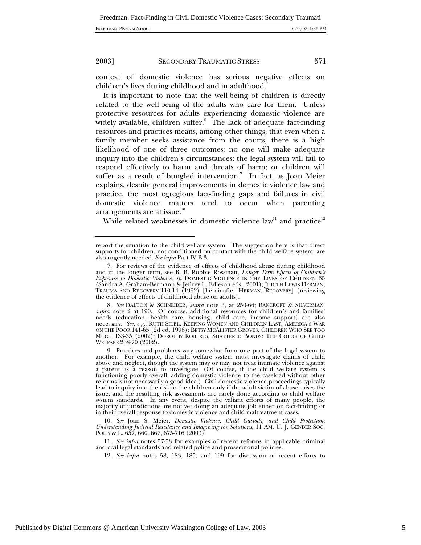$\overline{a}$ 

#### 2003] **SECONDARY TRAUMATIC STRESS** 571

context of domestic violence has serious negative effects on children's lives during childhood and in adulthood.7

It is important to note that the well-being of children is directly related to the well-being of the adults who care for them. Unless protective resources for adults experiencing domestic violence are widely available, children suffer. The lack of adequate fact-finding resources and practices means, among other things, that even when a family member seeks assistance from the courts, there is a high likelihood of one of three outcomes: no one will make adequate inquiry into the children's circumstances; the legal system will fail to respond effectively to harm and threats of harm; or children will suffer as a result of bungled intervention.<sup>9</sup> In fact, as Joan Meier explains, despite general improvements in domestic violence law and practice, the most egregious fact-finding gaps and failures in civil domestic violence matters tend to occur when parenting arrangements are at issue. $10$ 

While related weaknesses in domestic violence law<sup>11</sup> and practice<sup>12</sup>

10*. See* Joan S. Meier, *Domestic Violence, Child Custody, and Child Protection: Understanding Judicial Resistance and Imagining the Solutions*,  $11$  Am. U. J. GENDER SOC. POL'Y & L. 657, 660, 667, 675-716 (2003).

11*. See infra* notes 57-58 for examples of recent reforms in applicable criminal and civil legal standards and related police and prosecutorial policies.

12*. See infra* notes 58, 183, 185, and 199 for discussion of recent efforts to

report the situation to the child welfare system. The suggestion here is that direct supports for children, not conditioned on contact with the child welfare system, are also urgently needed. *See infra* Part IV.B.3.

<sup>7.</sup> For reviews of the evidence of effects of childhood abuse during childhood and in the longer term, see B. B. Robbie Rossman*, Longer Term Effects of Children's Exposure to Domestic Violence, in DOMESTIC VIOLENCE IN THE LIVES OF CHILDREN 35* (Sandra A. Graham-Bermann & Jeffrey L. Edleson eds., 2001); JUDITH LEWIS HERMAN, TRAUMA AND RECOVERY 110-14 (1992) [hereinafter HERMAN, RECOVERY] (reviewing the evidence of effects of childhood abuse on adults).

<sup>8</sup>*. See* DALTON & SCHNEIDER, *supra* note 3, at 250-66; BANCROFT & SILVERMAN, *supra* note 2 at 190. Of course, additional resources for children's and families' needs (education, health care, housing, child care, income support) are also necessary. *See, e.g.*, RUTH SIDEL, KEEPING WOMEN AND CHILDREN LAST, AMERICA'S WAR ON THE POOR 141-65 (2d ed. 1998); BETSY MCALISTER GROVES, CHILDREN WHO SEE TOO MUCH 133-35 (2002); DOROTHY ROBERTS, SHATTERED BONDS: THE COLOR OF CHILD WELFARE 268-70 (2002).

<sup>9.</sup> Practices and problems vary somewhat from one part of the legal system to another. For example, the child welfare system must investigate claims of child abuse and neglect, though the system may or may not treat intimate violence against a parent as a reason to investigate. (Of course, if the child welfare system is functioning poorly overall, adding domestic violence to the caseload without other reforms is not necessarily a good idea.) Civil domestic violence proceedings typically lead to inquiry into the risk to the children only if the adult victim of abuse raises the issue, and the resulting risk assessments are rarely done according to child welfare system standards. In any event, despite the valiant efforts of many people, the majority of jurisdictions are not yet doing an adequate job either on fact-finding or in their overall response to domestic violence and child maltreatment cases.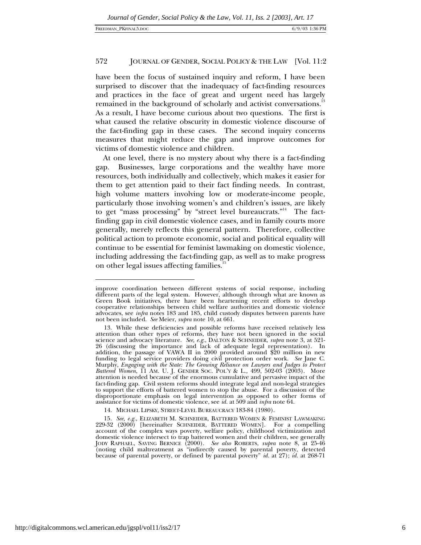have been the focus of sustained inquiry and reform, I have been surprised to discover that the inadequacy of fact-finding resources and practices in the face of great and urgent need has largely remained in the background of scholarly and activist conversations.<sup>13</sup> As a result, I have become curious about two questions. The first is what caused the relative obscurity in domestic violence discourse of the fact-finding gap in these cases. The second inquiry concerns measures that might reduce the gap and improve outcomes for victims of domestic violence and children.

At one level, there is no mystery about why there is a fact-finding gap. Businesses, large corporations and the wealthy have more resources, both individually and collectively, which makes it easier for them to get attention paid to their fact finding needs. In contrast, high volume matters involving low or moderate-income people, particularly those involving women's and children's issues, are likely to get "mass processing" by "street level bureaucrats."<sup>14</sup> The factfinding gap in civil domestic violence cases, and in family courts more generally, merely reflects this general pattern. Therefore, collective political action to promote economic, social and political equality will continue to be essential for feminist lawmaking on domestic violence, including addressing the fact-finding gap, as well as to make progress on other legal issues affecting families.<sup>15</sup>

improve coordination between different systems of social response, including different parts of the legal system. However, although through what are known as Green Book initiatives, there have been heartening recent efforts to develop cooperative relationships between child welfare authorities and domestic violence advocates, see *infra* notes 183 and 185, child custody disputes between parents have not been included. *See* Meier, *supra* note 10, at 661.

<sup>13.</sup> While these deficiencies and possible reforms have received relatively less attention than other types of reforms, they have not been ignored in the social science and advocacy literature. *See, e.g.*, DALTON & SCHNEIDER, *supra* note 3, at 521- 26 (discussing the importance and lack of adequate legal representation). In addition, the passage of VAWA II in 2000 provided around \$20 million in new funding to legal service providers doing civil protection order work. *See* Jane C. Murphy, *Engaging with the State: The Growing Reliance on Lawyers and Judges to Protect Battered Women*, 11 AM. U. J. GENDER SOC. POL'Y & L., 499, 502-03 (2003). More attention is needed because of the enormous cumulative and pervasive impact of the fact-finding gap. Civil system reforms should integrate legal and non-legal strategies to support the efforts of battered women to stop the abuse. For a discussion of the disproportionate emphasis on legal intervention as opposed to other forms of assistance for victims of domestic violence, see *id.* at 509 and *infra* note 64.

<sup>14.</sup> MICHAEL LIPSKY, STREET-LEVEL BUREAUCRACY 183-84 (1980).

<sup>15</sup>*. See, e.g.*, ELIZABETH M. SCHNEIDER, BATTERED WOMEN & FEMINIST LAWMAKING 229-32 (2000) [hereinafter SCHNEIDER, BATTERED WOMEN]. For a compelling account of the complex ways poverty, welfare policy, childhood victimization and domestic violence intersect to trap battered women and their children, see generally JODY RAPHAEL, SAVING BERNICE (2000). *See also* ROBERTS, *supra* note 8, at 25-46 (noting child maltreatment as "indirectly caused by parental poverty, detected because of parental poverty, or defined by parental poverty" *id.* at 27); *id.* at 268-71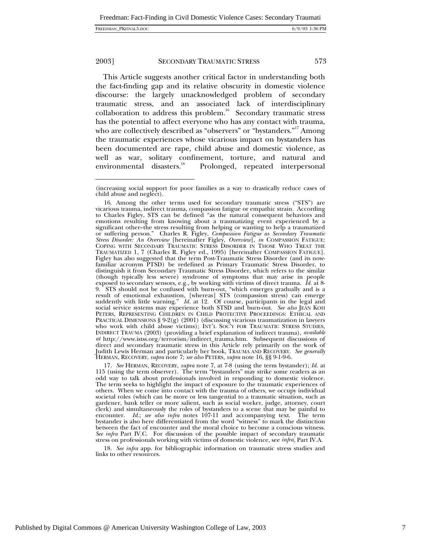1

#### 2003] **SECONDARY TRAUMATIC STRESS** 573

This Article suggests another critical factor in understanding both the fact-finding gap and its relative obscurity in domestic violence discourse: the largely unacknowledged problem of secondary traumatic stress, and an associated lack of interdisciplinary collaboration to address this problem.<sup>16</sup> Secondary traumatic stress has the potential to affect everyone who has any contact with trauma, who are collectively described as "observers" or "bystanders."<sup>17</sup> Among the traumatic experiences whose vicarious impact on bystanders has been documented are rape, child abuse and domestic violence, as well as war, solitary confinement, torture, and natural and environmental disasters.<sup>18</sup> Prolonged, repeated interpersonal

17*. See* HERMAN, RECOVERY, *supra* note 7, at 7-8 (using the term bystander); *Id.* at 115 (using the term observer). The term "bystanders" may strike some readers as an odd way to talk about professionals involved in responding to domestic violence. The term seeks to highlight the impact of exposure to the traumatic experiences of others. When we come into contact with the trauma of others, we occupy individual societal roles (which can be more or less tangential to a traumatic situation, such as gardener, bank teller or more salient, such as social worker, judge, attorney, court clerk) and simultaneously the roles of bystanders to a scene that may be painful to encounter. *Id.*; *see also infra* notes 107-11 and accompanying text. The term bystander is also here differentiated from the word "witness" to mark the distinction between the fact of encounter and the moral choice to become a conscious witness. *See infra* Part IV.C. For discussion of the possible impact of secondary traumatic stress on professionals working with victims of domestic violence, see *infra*, Part IV.A.

18*. See infra* app. for bibliographic information on traumatic stress studies and links to other resources.

<sup>(</sup>increasing social support for poor families as a way to drastically reduce cases of child abuse and neglect).

<sup>16.</sup> Among the other terms used for secondary traumatic stress ("STS") are vicarious trauma, indirect trauma, compassion fatigue or empathic strain. According to Charles Figley, STS can be defined "as the natural consequent behaviors and emotions resulting from knowing about a traumatizing event experienced by a significant other–the stress resulting from helping or wanting to help a traumatized or suffering person." Charles R. Figley, *Compassion Fatigue as Secondary Traumatic Stress Disorder: An Overview* [hereinafter Figley, *Overview*], *in* COMPASSION FATIGUE: COPING WITH SECONDARY TRAUMATIC STRESS DISORDER IN THOSE WHO TREAT THE TRAUMATIZED 1, 7 (Charles R. Figley ed., 1995) [hereinafter COMPASSION FATIGUE]. Figley has also suggested that the term Post-Traumatic Stress Disorder (and its nowfamiliar acronym PTSD) be redefined as Primary Traumatic Stress Disorder, to distinguish it from Secondary Traumatic Stress Disorder, which refers to the similar (though typically less severe) syndrome of symptoms that may arise in people exposed to secondary sensors, e.g., by working with victims of direct trauma. *Id.* at 8- 9. STS should not be confused with burn-out, "which emerges gradually and is a result of emotional exhaustion, [whereas] STS (compassion stress) can emerge suddently with little warning." *Id.* at 12. Of course, participants in the legal and social service systems may experience both STSD and burn-out. *See also* JEAN KOH PETERS, REPRESENTING CHILDREN IN CHILD PROTECTIVE PROCEEDINGS: ETHICAL AND PRACTICAL DIMENSIONS § 9-2(g) (2001) (discussing vicarious traumatization in lawyers who work with child abuse victims); INT'L SOC'Y FOR TRAUMATIC STRESS STUDIES, INDIRECT TRAUMA (2003) (providing a brief explanation of indirect trauma), *available at* http://www.istss.org/terrorism/indirect\_trauma.htm. Subsequent discussions of direct and secondary traumatic stress in this Article rely primarily on the work of Judith Lewis Herman and particularly her book, TRAUMA AND RECOVERY. *See generally* HERMAN, RECOVERY, *supra* note 7; *see also* PETERS, *supra* note 16, §§ 9-1-9-6.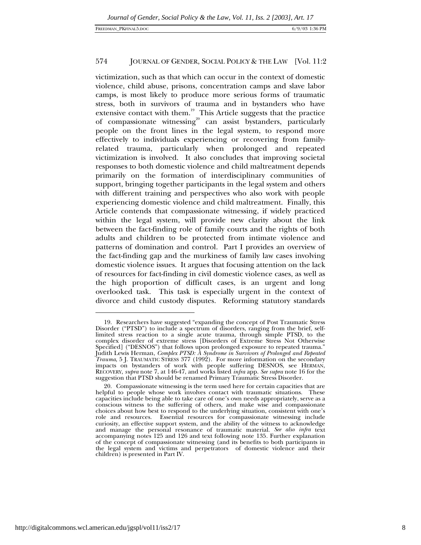victimization, such as that which can occur in the context of domestic violence, child abuse, prisons, concentration camps and slave labor camps, is most likely to produce more serious forms of traumatic stress, both in survivors of trauma and in bystanders who have extensive contact with them.<sup>19</sup> This Article suggests that the practice of compassionate witnessing<sup>20</sup> can assist by standers, particularly people on the front lines in the legal system, to respond more effectively to individuals experiencing or recovering from familyrelated trauma, particularly when prolonged and repeated victimization is involved. It also concludes that improving societal responses to both domestic violence and child maltreatment depends primarily on the formation of interdisciplinary communities of support, bringing together participants in the legal system and others with different training and perspectives who also work with people experiencing domestic violence and child maltreatment. Finally, this Article contends that compassionate witnessing, if widely practiced within the legal system, will provide new clarity about the link between the fact-finding role of family courts and the rights of both adults and children to be protected from intimate violence and patterns of domination and control. Part I provides an overview of the fact-finding gap and the murkiness of family law cases involving domestic violence issues. It argues that focusing attention on the lack of resources for fact-finding in civil domestic violence cases, as well as the high proportion of difficult cases, is an urgent and long overlooked task. This task is especially urgent in the context of divorce and child custody disputes. Reforming statutory standards

<sup>19.</sup> Researchers have suggested "expanding the concept of Post Traumatic Stress Disorder ("PTSD") to include a spectrum of disorders, ranging from the brief, selflimited stress reaction to a single acute trauma, through simple PTSD, to the complex disorder of extreme stress [Disorders of Extreme Stress Not Otherwise Specified] ("DESNOS") that follows upon prolonged exposure to repeated trauma." Judith Lewis Herman, *Complex PTSD: A Syndrome in Survivors of Prolonged and Repeated Trauma*, 5 J. TRAUMATIC STRESS 377 (1992). For more information on the secondary impacts on bystanders of work with people suffering DESNOS, see HERMAN, RECOVERY, *supra* note 7, at 146-47, and works listed *infra* app. *See supra* note 16 for the suggestion that PTSD should be renamed Primary Traumatic Stress Disorder.

<sup>20.</sup> Compassionate witnessing is the term used here for certain capacities that are helpful to people whose work involves contact with traumatic situations. These capacities include being able to take care of one's own needs appropriately, serve as a conscious witness to the suffering of others, and make wise and compassionate choices about how best to respond to the underlying situation, consistent with one's role and resources. Essential resources for compassionate witnessing include curiosity, an effective support system, and the ability of the witness to acknowledge and manage the personal resonance of traumatic material. *See also infra* text accompanying notes 125 and 126 and text following note 135*.* Further explanation of the concept of compassionate witnessing (and its benefits to both participants in the legal system and victims and perpetrators of domestic violence and their children) is presented in Part IV.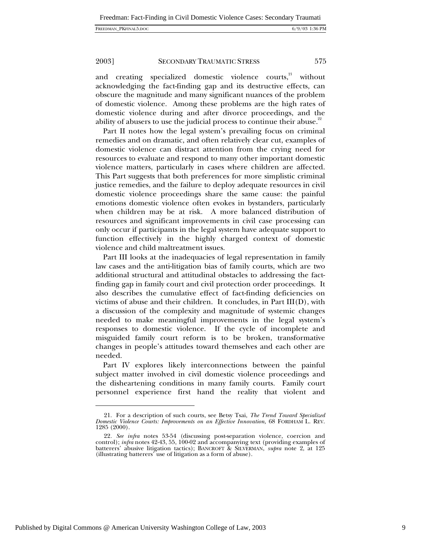and creating specialized domestic violence courts,<sup>21</sup> without acknowledging the fact-finding gap and its destructive effects, can obscure the magnitude and many significant nuances of the problem of domestic violence. Among these problems are the high rates of domestic violence during and after divorce proceedings, and the ability of abusers to use the judicial process to continue their abuse.<sup>22</sup>

Part II notes how the legal system's prevailing focus on criminal remedies and on dramatic, and often relatively clear cut, examples of domestic violence can distract attention from the crying need for resources to evaluate and respond to many other important domestic violence matters, particularly in cases where children are affected. This Part suggests that both preferences for more simplistic criminal justice remedies, and the failure to deploy adequate resources in civil domestic violence proceedings share the same cause: the painful emotions domestic violence often evokes in bystanders, particularly when children may be at risk. A more balanced distribution of resources and significant improvements in civil case processing can only occur if participants in the legal system have adequate support to function effectively in the highly charged context of domestic violence and child maltreatment issues.

Part III looks at the inadequacies of legal representation in family law cases and the anti-litigation bias of family courts, which are two additional structural and attitudinal obstacles to addressing the factfinding gap in family court and civil protection order proceedings. It also describes the cumulative effect of fact-finding deficiencies on victims of abuse and their children. It concludes, in Part III(D), with a discussion of the complexity and magnitude of systemic changes needed to make meaningful improvements in the legal system's responses to domestic violence. If the cycle of incomplete and misguided family court reform is to be broken, transformative changes in people's attitudes toward themselves and each other are needed.

Part IV explores likely interconnections between the painful subject matter involved in civil domestic violence proceedings and the disheartening conditions in many family courts. Family court personnel experience first hand the reality that violent and

<sup>21.</sup> For a description of such courts, see Betsy Tsai, *The Trend Toward Specialized Domestic Violence Courts: Improvements on an Effective Innovation*, 68 FORDHAM L. REV. 1285 (2000).

<sup>22</sup>*. See infra* notes 53-54 (discussing post-separation violence, coercion and control); *infra* notes 42-43, 55, 100-02 and accompanying text (providing examples of batterers' abusive litigation tactics); BANCROFT & SILVERMAN, *supra* note 2, at 125 (illustrating batterers' use of litigation as a form of abuse).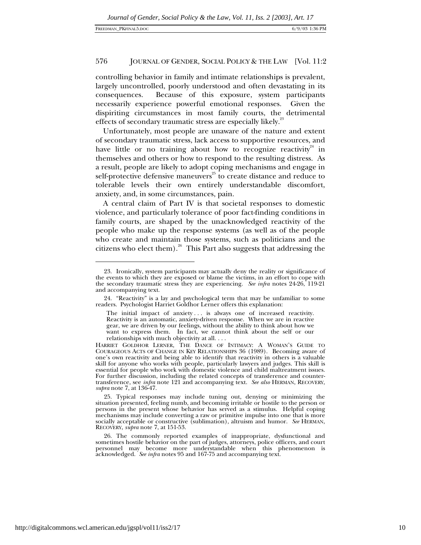controlling behavior in family and intimate relationships is prevalent, largely uncontrolled, poorly understood and often devastating in its consequences. Because of this exposure, system participants necessarily experience powerful emotional responses. Given the dispiriting circumstances in most family courts, the detrimental effects of secondary traumatic stress are especially likely.<sup>23</sup>

Unfortunately, most people are unaware of the nature and extent of secondary traumatic stress, lack access to supportive resources, and have little or no training about how to recognize reactivity<sup>24</sup> in themselves and others or how to respond to the resulting distress. As a result, people are likely to adopt coping mechanisms and engage in self-protective defensive maneuvers<sup>25</sup> to create distance and reduce to tolerable levels their own entirely understandable discomfort, anxiety, and, in some circumstances, pain.

A central claim of Part IV is that societal responses to domestic violence, and particularly tolerance of poor fact-finding conditions in family courts, are shaped by the unacknowledged reactivity of the people who make up the response systems (as well as of the people who create and maintain those systems, such as politicians and the citizens who elect them).<sup>26</sup> This Part also suggests that addressing the

1

<sup>23.</sup> Ironically, system participants may actually deny the reality or significance of the events to which they are exposed or blame the victims, in an effort to cope with the secondary traumatic stress they are experiencing. *See infra* notes 24-26, 119-21 and accompanying text.

<sup>24. &</sup>quot;Reactivity" is a lay and psychological term that may be unfamiliar to some readers. Psychologist Harriet Goldhor Lerner offers this explanation:

The initial impact of anxiety . . . is always one of increased reactivity. Reactivity is an automatic, anxiety-driven response. When we are in reactive gear, we are driven by our feelings, without the ability to think about how we want to express them. In fact, we cannot think about the self or our relationships with much objectivity at all. . . .

HARRIET GOLDHOR LERNER, THE DANCE OF INTIMACY: A WOMAN'S GUIDE TO COURAGEOUS ACTS OF CHANGE IN KEY RELATIONSHIPS 36 (1989). Becoming aware of one's own reactivity and being able to identify that reactivity in others is a valuable skill for anyone who works with people, particularly lawyers and judges. This skill is essential for people who work with domestic violence and child maltreatment issues. For further discussion, including the related concepts of transference and countertransference, see *infra* note 121 and accompanying text. *See also* HERMAN, RECOVERY, *supra* note 7, at 136-47.

<sup>25.</sup> Typical responses may include tuning out, denying or minimizing the situation presented, feeling numb, and becoming irritable or hostile to the person or persons in the present whose behavior has served as a stimulus. Helpful coping mechanisms may include converting a raw or primitive impulse into one that is more socially acceptable or constructive (sublimation), altruism and humor. *See* HERMAN, RECOVERY, *supra* note 7, at 151-53.

<sup>26.</sup> The commonly reported examples of inappropriate, dysfunctional and sometimes hostile behavior on the part of judges, attorneys, police officers, and court personnel may become more understandable when this phenomenon is acknowledged. *See infra* notes 95 and 167-75 and accompanying text.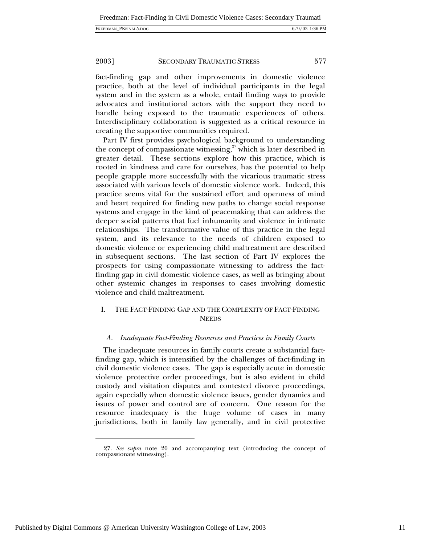| FREEDMAN PKFINAL5.DOC |  |
|-----------------------|--|
|                       |  |

fact-finding gap and other improvements in domestic violence practice, both at the level of individual participants in the legal system and in the system as a whole, entail finding ways to provide advocates and institutional actors with the support they need to handle being exposed to the traumatic experiences of others. Interdisciplinary collaboration is suggested as a critical resource in creating the supportive communities required.

Part IV first provides psychological background to understanding the concept of compassionate witnessing, $27$  which is later described in greater detail. These sections explore how this practice, which is rooted in kindness and care for ourselves, has the potential to help people grapple more successfully with the vicarious traumatic stress associated with various levels of domestic violence work. Indeed, this practice seems vital for the sustained effort and openness of mind and heart required for finding new paths to change social response systems and engage in the kind of peacemaking that can address the deeper social patterns that fuel inhumanity and violence in intimate relationships. The transformative value of this practice in the legal system, and its relevance to the needs of children exposed to domestic violence or experiencing child maltreatment are described in subsequent sections. The last section of Part IV explores the prospects for using compassionate witnessing to address the factfinding gap in civil domestic violence cases, as well as bringing about other systemic changes in responses to cases involving domestic violence and child maltreatment.

#### I. THE FACT-FINDING GAP AND THE COMPLEXITY OF FACT-FINDING **NEEDS**

#### *A. Inadequate Fact-Finding Resources and Practices in Family Courts*

The inadequate resources in family courts create a substantial factfinding gap, which is intensified by the challenges of fact-finding in civil domestic violence cases. The gap is especially acute in domestic violence protective order proceedings, but is also evident in child custody and visitation disputes and contested divorce proceedings, again especially when domestic violence issues, gender dynamics and issues of power and control are of concern. One reason for the resource inadequacy is the huge volume of cases in many jurisdictions, both in family law generally, and in civil protective

<sup>27</sup>*. See supra* note 20 and accompanying text (introducing the concept of compassionate witnessing).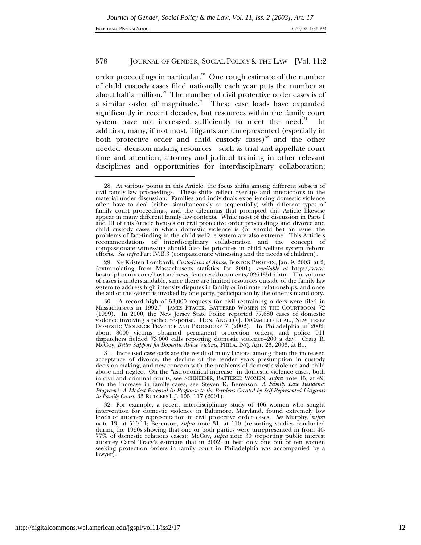$\overline{a}$ 

#### 578 JOURNAL OF GENDER, SOCIAL POLICY & THE LAW [Vol. 11:2

order proceedings in particular.<sup>28</sup> One rough estimate of the number of child custody cases filed nationally each year puts the number at about half a million. $^{29}$  The number of civil protective order cases is of a similar order of magnitude.<sup>30</sup> These case loads have expanded significantly in recent decades, but resources within the family court system have not increased sufficiently to meet the need. $31$  In addition, many, if not most, litigants are unrepresented (especially in both protective order and child custody cases) $32$  and the other needed decision-making resources—such as trial and appellate court time and attention; attorney and judicial training in other relevant disciplines and opportunities for interdisciplinary collaboration;

32. For example, a recent interdisciplinary study of 406 women who sought intervention for domestic violence in Baltimore, Maryland, found extremely low levels of attorney representation in civil protective order cases. *See* Murphy, *supra* note 13, at 510-11; Berenson, *supra* note 31, at 110 (reporting studies conducted during the 1990s showing that one or both parties were unrepresented in from 40- 77% of domestic relations cases); McCoy, *supra* note 30 (reporting public interest attorney Carol Tracy's estimate that in 2002, at best only one out of ten women seeking protection orders in family court in Philadelphia was accompanied by a lawyer).

<sup>28.</sup> At various points in this Article, the focus shifts among different subsets of civil family law proceedings. These shifts reflect overlaps and interactions in the material under discussion. Families and individuals experiencing domestic violence often have to deal (either simultaneously or sequentially) with different types of family court proceedings, and the dilemmas that prompted this Article likewise appear in many different family law contexts. While most of the discussion in Parts I and III of this Article focuses on civil protective order proceedings and divorce and child custody cases in which domestic violence is (or should be) an issue, the problems of fact-finding in the child welfare system are also extreme. This Article's recommendations of interdisciplinary collaboration and the concept of compassionate witnessing should also be priorities in child welfare system reform efforts. *See infra* Part IV.B.3 (compassionate witnessing and the needs of children).

<sup>29</sup>*. See* Kristen Lombardi, *Custodians of Abuse*, BOSTON PHOENIX, Jan. 9, 2003, at 2, (extrapolating from Massachusetts statistics for 2001), *available at* http://www. bostonphoenix.com/boston/news\_features/documents/02643516.htm. The volume of cases is understandable, since there are limited resources outside of the family law system to address high intensity disputes in family or intimate relationships, and once the aid of the system is invoked by one party, participation by the other is mandatory.

<sup>30. &</sup>quot;A record high of 53,000 requests for civil restraining orders were filed in Massachusetts in 1992." JAMES PTACEK, BATTERED WOMEN IN THE COURTROOM 72 (1999). In 2000, the New Jersey State Police reported 77,680 cases of domestic violence involving a police response. HON. ANGELO J. DICAMILLO ET AL., NEW JERSEY DOMESTIC VIOLENCE PRACTICE AND PROCEDURE 7 (2002). In Philadelphia in 2002, about 8000 victims obtained permanent protection orders, and police 911 dispatchers fielded 73,000 calls reporting domestic violence–200 a day. Craig R. McCoy, *Better Support for Domestic Abuse Victims*, PHILA. INQ. Apr. 23, 2003, at B1.

<sup>31.</sup> Increased caseloads are the result of many factors, among them the increased acceptance of divorce, the decline of the tender years presumption in custody decision-making, and new concern with the problems of domestic violence and child abuse and neglect. On the "astronomical increase" in domestic violence cases, both in civil and criminal courts, see SCHNEIDER, BATTERED WOMEN, *supra* note 15, at 49. On the increase in family cases, see Steven K. Berenson, *A Family Law Residency Program?: A Modest Proposal in Response to the Burdens Created by Self-Represented Litigants in Family Court, 33 RUTGERS L.J.* 105, 117 (2001).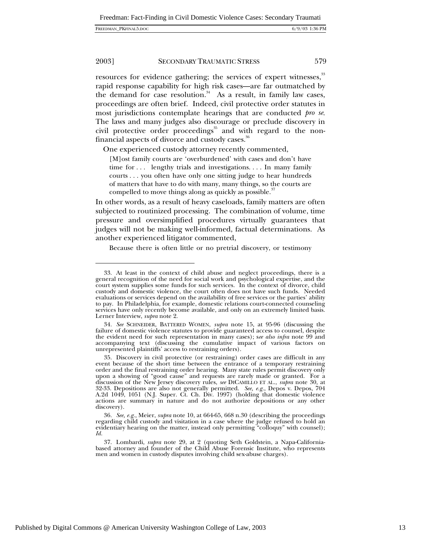resources for evidence gathering; the services of expert witnesses,<sup>33</sup> rapid response capability for high risk cases—are far outmatched by the demand for case resolution. $34$  As a result, in family law cases, proceedings are often brief. Indeed, civil protective order statutes in most jurisdictions contemplate hearings that are conducted *pro se*. The laws and many judges also discourage or preclude discovery in civil protective order proceedings<sup>35</sup> and with regard to the nonfinancial aspects of divorce and custody cases.<sup>36</sup>

One experienced custody attorney recently commented,

[M]ost family courts are 'overburdened' with cases and don't have time for . . . lengthy trials and investigations. . . . In many family courts . . . you often have only one sitting judge to hear hundreds of matters that have to do with many, many things, so the courts are compelled to move things along as quickly as possible.<sup>3</sup>

In other words, as a result of heavy caseloads, family matters are often subjected to routinized processing. The combination of volume, time pressure and oversimplified procedures virtually guarantees that judges will not be making well-informed, factual determinations. As another experienced litigator commented,

Because there is often little or no pretrial discovery, or testimony

<sup>33.</sup> At least in the context of child abuse and neglect proceedings, there is a general recognition of the need for social work and psychological expertise, and the court system supplies some funds for such services. In the context of divorce, child custody and domestic violence, the court often does not have such funds. Needed evaluations or services depend on the availability of free services or the parties' ability to pay. In Philadelphia, for example, domestic relations court-connected counseling services have only recently become available, and only on an extremely limited basis. Lerner Interview, *supra* note 2.

<sup>34</sup>*. See* SCHNEIDER, BATTERED WOMEN, *supra* note 15, at 95-96 (discussing the failure of domestic violence statutes to provide guaranteed access to counsel, despite the evident need for such representation in many cases); s*ee also infra* note 99 and accompanying text (discussing the cumulative impact of various factors on unrepresented plaintiffs' access to restraining orders).

<sup>35.</sup> Discovery in civil protective (or restraining) order cases are difficult in any event because of the short time between the entrance of a temporary restraining order and the final restraining order hearing. Many state rules permit discovery only upon a showing of "good cause" and requests are rarely made or granted. For a discussion of the New Jersey discovery rules, *see* DICAMILLO ET AL., *supra* note 30, at 32-33. Depositions are also not generally permitted. *See, e.g.*, Depos v. Depos, 704 A.2d 1049, 1051 (N.J. Super. Ct. Ch. Div. 1997) (holding that domestic violence actions are summary in nature and do not authorize depositions or any other discovery).

<sup>36</sup>*. See, e.g.*, Meier, *supra* note 10, at 664-65, 668 n.30 (describing the proceedings regarding child custody and visitation in a case where the judge refused to hold an evidentiary hearing on the matter, instead only permitting "colloquy" with counsel); *Id.*

<sup>37.</sup> Lombardi, *supra* note 29, at 2 (quoting Seth Goldstein, a Napa-Californiabased attorney and founder of the Child Abuse Forensic Institute, who represents men and women in custody disputes involving child sex-abuse charges).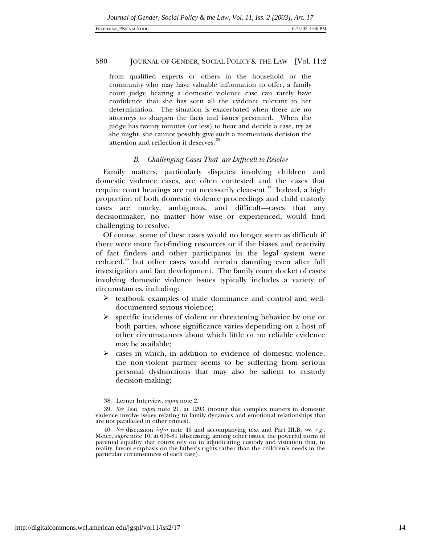from qualified experts or others in the household or the community who may have valuable information to offer, a family court judge hearing a domestic violence case can rarely have confidence that she has seen all the evidence relevant to her determination. The situation is exacerbated when there are no attorneys to sharpen the facts and issues presented. When the judge has twenty minutes (or less) to hear and decide a case, try as she might, she cannot possibly give such a momentous decision the attention and reflection it deserves.<sup>3</sup>

#### *B. Challenging Cases That are Difficult to Resolve*

Family matters, particularly disputes involving children and domestic violence cases, are often contested and the cases that require court hearings are not necessarily clear-cut.<sup>39</sup> Indeed, a high proportion of both domestic violence proceedings and child custody cases are murky, ambiguous, and difficult—cases that any decisionmaker, no matter how wise or experienced, would find challenging to resolve.

Of course, some of these cases would no longer seem as difficult if there were more fact-finding resources or if the biases and reactivity of fact finders and other participants in the legal system were reduced, $40$  but other cases would remain daunting even after full investigation and fact development. The family court docket of cases involving domestic violence issues typically includes a variety of circumstances, including:

- $\triangleright$  textbook examples of male dominance and control and welldocumented serious violence;
- $\triangleright$  specific incidents of violent or threatening behavior by one or both parties, whose significance varies depending on a host of other circumstances about which little or no reliable evidence may be available;
- $\triangleright$  cases in which, in addition to evidence of domestic violence, the non-violent partner seems to be suffering from serious personal dysfunctions that may also be salient to custody decision-making;

<sup>38.</sup> Lerner Interview, *supra* note 2.

<sup>39</sup>*. See* Tsai, *supra* note 21, at 1293 (noting that complex matters in domestic violence involve issues relating to family dynamics and emotional relationships that are not paralleled in other crimes).

<sup>40</sup>*. See* discussion *infra* note 46 and accompanying text and Part III.B; *see, e.g.*, Meier, *supra* note 10, at 676-81 (discussing, among other issues, the powerful norm of parental equality that courts rely on in adjudicating custody and visitation that, in reality, favors emphasis on the father's rights rather than the children's needs in the particular circumstances of each case).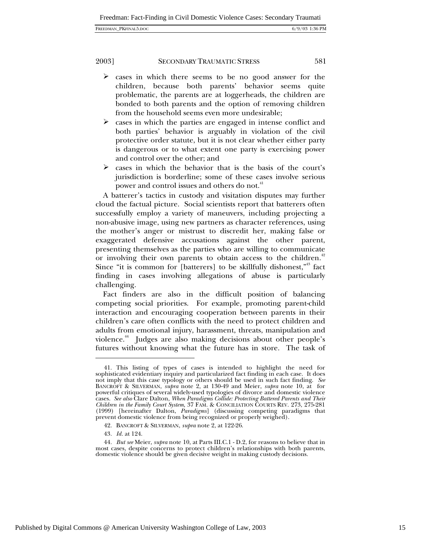| FREEDMAN PKFINAL5.DOC | $6/9/03$ 1:36 PM |
|-----------------------|------------------|

- $\triangleright$  cases in which there seems to be no good answer for the children, because both parents' behavior seems quite problematic, the parents are at loggerheads, the children are bonded to both parents and the option of removing children from the household seems even more undesirable;
- $\triangleright$  cases in which the parties are engaged in intense conflict and both parties' behavior is arguably in violation of the civil protective order statute, but it is not clear whether either party is dangerous or to what extent one party is exercising power and control over the other; and
- $\triangleright$  cases in which the behavior that is the basis of the court's jurisdiction is borderline; some of these cases involve serious power and control issues and others do not.<sup>41</sup>

A batterer's tactics in custody and visitation disputes may further cloud the factual picture. Social scientists report that batterers often successfully employ a variety of maneuvers, including projecting a non-abusive image, using new partners as character references, using the mother's anger or mistrust to discredit her, making false or exaggerated defensive accusations against the other parent, presenting themselves as the parties who are willing to communicate or involving their own parents to obtain access to the children.<sup>42</sup> Since "it is common for [batterers] to be skillfully dishonest,"<sup>43</sup> fact finding in cases involving allegations of abuse is particularly challenging.

Fact finders are also in the difficult position of balancing competing social priorities. For example, promoting parent-child interaction and encouraging cooperation between parents in their children's care often conflicts with the need to protect children and adults from emotional injury, harassment, threats, manipulation and violence.<sup>44</sup> Judges are also making decisions about other people's futures without knowing what the future has in store. The task of

<sup>41.</sup> This listing of types of cases is intended to highlight the need for sophisticated evidentiary inquiry and particularized fact finding in each case. It does not imply that this case typology or others should be used in such fact finding. *See* BANCROFT & SILVERMAN, *supra* note 2, at 130-49 and Meier, *supra* note 10, at for powerful critiques of several widely-used typologies of divorce and domestic violence cases. *See also* Clare Dalton, *When Paradigms Collide: Protecting Battered Parents and Their Children in the Family Court System*, 37 FAM. & CONCILIATION COURTS REV. 273, 275-281 (1999) [hereinafter Dalton, *Paradigms*] (discussing competing paradigms that prevent domestic violence from being recognized or properly weighed).

<sup>42.</sup> BANCROFT & SILVERMAN, *supra* note 2, at 122-26.

<sup>43</sup>*. Id.* at 124.

<sup>44</sup>*. But see* Meier, *supra* note 10, at Parts III.C.1 - D.2, for reasons to believe that in most cases, despite concerns to protect children's relationships with both parents, domestic violence should be given decisive weight in making custody decisions.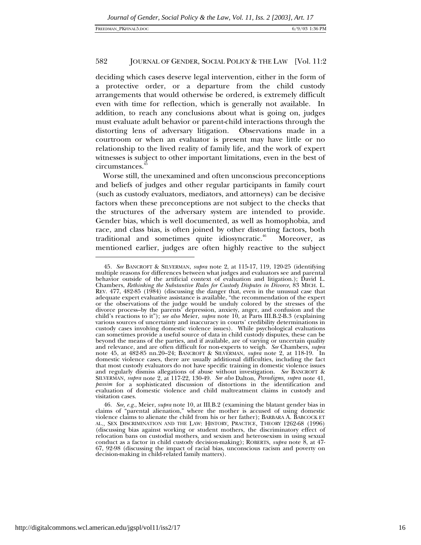deciding which cases deserve legal intervention, either in the form of a protective order, or a departure from the child custody arrangements that would otherwise be ordered, is extremely difficult even with time for reflection, which is generally not available. In addition, to reach any conclusions about what is going on, judges must evaluate adult behavior or parent-child interactions through the distorting lens of adversary litigation. Observations made in a courtroom or when an evaluator is present may have little or no relationship to the lived reality of family life, and the work of expert witnesses is subject to other important limitations, even in the best of circumstances.

Worse still, the unexamined and often unconscious preconceptions and beliefs of judges and other regular participants in family court (such as custody evaluators, mediators, and attorneys) can be decisive factors when these preconceptions are not subject to the checks that the structures of the adversary system are intended to provide. Gender bias, which is well documented, as well as homophobia, and race, and class bias, is often joined by other distorting factors, both traditional and sometimes quite idiosyncratic.<sup>46</sup> Moreover, as mentioned earlier, judges are often highly reactive to the subject

<sup>45</sup>*. See* BANCROFT & SILVERMAN, *supra* note 2, at 115-17, 119, 120-25 (identifying multiple reasons for differences between what judges and evaluators see and parental behavior outside of the artificial context of evaluation and litigation.); David L. Chambers, *Rethinking the Substantive Rules for Custody Disputes in Divorce*, 83 MICH. L. REV. 477, 482-85 (1984) (discussing the danger that, even in the unusual case that adequate expert evaluative assistance is available, "the recommendation of the expert or the observations of the judge would be unduly colored by the stresses of the divorce process–by the parents' depression, anxiety, anger, and confusion and the child's reactions to it"); *see also* Meier, *supra* note 10, at Parts III.B.2-B.3 (explaining various sources of uncertainty and inaccuracy in courts' credibility determinations in custody cases involving domestic violence issues). While psychological evaluations can sometimes provide a useful source of data in child custody disputes, these can be beyond the means of the parties, and if available, are of varying or uncertain quality and relevance, and are often difficult for non-experts to weigh. *See* Chambers, *supra* note 45, at 482-85 nn.20–24; BANCROFT & SILVERMAN, *supra* note 2, at 118-19. <sup>1</sup>In domestic violence cases, there are usually additional difficulties, including the fact that most custody evaluators do not have specific training in domestic violence issues and regularly dismiss allegations of abuse without investigation. *See* BANCROFT & SILVERMAN, *supra* note 2, at 117-22, 130-49. *See also* Dalton, *Paradigms*, *supra* note 41, *passim* for a sophisticated discussion of distortions in the identification and evaluation of domestic violence and child maltreatment claims in custody and visitation cases.

<sup>46</sup>*. See, e.g.*, Meier, *supra* note 10, at III.B.2 (examining the blatant gender bias in claims of "parental alienation," where the mother is accused of using domestic violence claims to alienate the child from his or her father); BARBARA A. BABCOCK ET AL., SEX DISCRIMINATION AND THE LAW: HISTORY, PRACTICE, THEORY 1262-68 (1996) (discussing bias against working or student mothers, the discriminatory effect of relocation bans on custodial mothers, and sexism and heterosexism in using sexual conduct as a factor in child custody decision-making); ROBERTS, *supra* note 8, at 47-67, 92-98 (discussing the impact of racial bias, unconscious racism and poverty on decision-making in child-related family matters).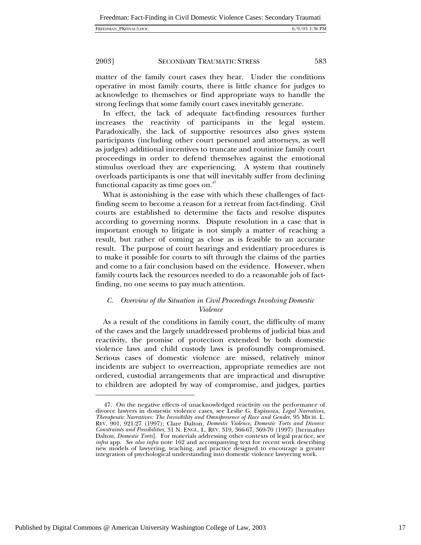matter of the family court cases they hear. Under the conditions operative in most family courts, there is little chance for judges to acknowledge to themselves or find appropriate ways to handle the strong feelings that some family court cases inevitably generate.

In effect, the lack of adequate fact-finding resources further increases the reactivity of participants in the legal system. Paradoxically, the lack of supportive resources also gives system participants (including other court personnel and attorneys, as well as judges) additional incentives to truncate and routinize family court proceedings in order to defend themselves against the emotional stimulus overload they are experiencing. A system that routinely overloads participants is one that will inevitably suffer from declining functional capacity as time goes on. $47$ 

What is astonishing is the ease with which these challenges of factfinding seem to become a reason for a retreat from fact-finding. Civil courts are established to determine the facts and resolve disputes according to governing norms. Dispute resolution in a case that is important enough to litigate is not simply a matter of reaching a result, but rather of coming as close as is feasible to an accurate result. The purpose of court hearings and evidentiary procedures is to make it possible for courts to sift through the claims of the parties and come to a fair conclusion based on the evidence. However, when family courts lack the resources needed to do a reasonable job of factfinding, no one seems to pay much attention.

#### *C. Overview of the Situation in Civil Proceedings Involving Domestic Violence*

As a result of the conditions in family court, the difficulty of many of the cases and the largely unaddressed problems of judicial bias and reactivity, the promise of protection extended by both domestic violence laws and child custody laws is profoundly compromised. Serious cases of domestic violence are missed, relatively minor incidents are subject to overreaction, appropriate remedies are not ordered, custodial arrangements that are impractical and disruptive to children are adopted by way of compromise, and judges, parties

<sup>47.</sup> On the negative effects of unacknowledged reactivity on the performance of divorce lawyers in domestic violence cases, see Leslie G. Espinoza, *Legal Narratives, Therapeutic Narratives: The Invisibility and Omnipresence of Race and Gender*, 95 MICH. L. REV. 901, 921-27 (1997); Clare Dalton, *Domestic Violence, Domestic Torts and Divorce: Constraints and Possibilities*, 31 N. ENGL. L. REV. 319, 366-67, 369-70 (1997) [herinafter Dalton, *Domestic Torts*]. For materials addressing other contexts of legal practice, see *infra* app. *See also infra* note 162 and accompanying text for recent work describing new models of lawyering, teaching, and practice designed to encourage a greater integration of psychological understanding into domestic violence lawyering work.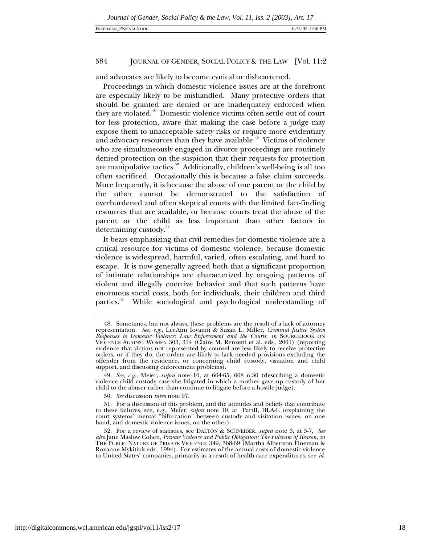and advocates are likely to become cynical or disheartened.

Proceedings in which domestic violence issues are at the forefront are especially likely to be mishandled. Many protective orders that should be granted are denied or are inadequately enforced when they are violated.<sup>48</sup> Domestic violence victims often settle out of court for less protection, aware that making the case before a judge may expose them to unacceptable safety risks or require more evidentiary and advocacy resources than they have available.<sup>49</sup> Victims of violence who are simultaneously engaged in divorce proceedings are routinely denied protection on the suspicion that their requests for protection are manipulative tactics.<sup>50</sup> Additionally, children's well-being is all too often sacrificed. Occasionally this is because a false claim succeeds. More frequently, it is because the abuse of one parent or the child by the other cannot be demonstrated to the satisfaction of overburdened and often skeptical courts with the limited fact-finding resources that are available, or because courts treat the abuse of the parent or the child as less important than other factors in determining custody.<sup>31</sup>

It bears emphasizing that civil remedies for domestic violence are a critical resource for victims of domestic violence, because domestic violence is widespread, harmful, varied, often escalating, and hard to escape. It is now generally agreed both that a significant proportion of intimate relationships are characterized by ongoing patterns of violent and illegally coercive behavior and that such patterns have enormous social costs, both for individuals, their children and third parties.<sup>52</sup> While sociological and psychological understanding of

-

<sup>48.</sup> Sometimes, but not always, these problems are the result of a lack of attorney representation. *See, e.g.*, LeeAnn Iovanni & Susan L. Miller, *Criminal Justice System Responses to Domestic Violence: Law Enforcement and the Courts*, *in* SOURCEBOOK ON VIOLENCE AGAINST WOMEN 303, 314 (Claire M. Renzetti et al. eds., 2001) (reporting evidence that victims not represented by counsel are less likely to receive protective orders, or if they do, the orders are likely to lack needed provisions excluding the offender from the residence, or concerning child custody, visitation and child support, and discussing enforcement problems).

<sup>49</sup>*. See, e.g.*, Meier, *supra* note 10, at 664-65, 668 n.30 (describing a domestic violence child custody case she litigated in which a mother gave up custody of her child to the abuser rather than continue to litigate before a hostile judge).

<sup>50</sup>*. See* discussion *infra* note 97.

<sup>51.</sup> For a discussion of this problem, and the attitudes and beliefs that contribute to these failures, see, e.g., Meier, *supra* note 10, at PartII, III.A-E (explaining the court systems' mental "bifurcation" between custody and visitation issues, on one hand, and domestic violence issues, on the other).

<sup>52.</sup> For a review of statistics, see DALTON & SCHNEIDER, *supra* note 3, at 5-7, *See also* Jane Maslow Cohen, *Private Violence and Public Obligation: The Fulcrum of Reason*, *in* THE PUBLIC NATURE OF PRIVATE VIOLENCE 349, 368-69 (Martha Albertson Fineman & Roxanne Mykitiuk eds., 1994). For estimates of the annual costs of domestic violence to United States' companies, primarily as a result of health care expenditures, see *id.*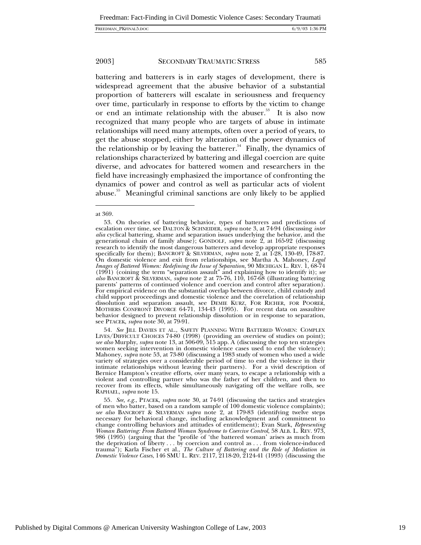battering and batterers is in early stages of development, there is widespread agreement that the abusive behavior of a substantial proportion of batterers will escalate in seriousness and frequency over time, particularly in response to efforts by the victim to change or end an intimate relationship with the abuser.<sup>53</sup> It is also now recognized that many people who are targets of abuse in intimate relationships will need many attempts, often over a period of years, to get the abuse stopped, either by alteration of the power dynamics of the relationship or by leaving the batterer.<sup>54</sup> Finally, the dynamics of relationships characterized by battering and illegal coercion are quite diverse, and advocates for battered women and researchers in the field have increasingly emphasized the importance of confronting the dynamics of power and control as well as particular acts of violent abuse.<sup>55</sup> Meaningful criminal sanctions are only likely to be applied

at 369.

<sup>53.</sup> On theories of battering behavior, types of batterers and predictions of escalation over time, see DALTON & SCHNEIDER, *supra* note 3, at 74-94 (discussing *inter alia* cyclical battering, shame and separation issues underlying the behavior, and the generational chain of family abuse); GONDOLF, *supra* note 2, at 165-92 (discussing research to identify the most dangerous batterers and develop appropriate responses specifically for them); BANCROFT & SILVERMAN, *supra* note 2, at 1-28, 130-49, 178-87. On domestic violence and exit from relationships, see Martha A. Mahoney, *Legal Images of Battered Women: Redefining the Issue of Separation*, 90 MICHIGAN L. REV. 1, 68-74 (1991) (coining the term "separation assault" and explaining how to identify it); *see also* BANCROFT & SILVERMAN, *supra* note 2 at 75-76, 110, 167-68 (illustrating battering parents' patterns of continued violence and coercion and control after separation). For empirical evidence on the substantial overlap between divorce, child custody and child support proceedings and domestic violence and the correlation of relationship dissolution and separation assault, see DEMIE KURZ, FOR RICHER, FOR POORER, MOTHERS CONFRONT DIVORCE 64-71, 134-43 (1995). For recent data on assaultive behavior designed to prevent relationship dissolution or in response to separation, see PTACEK, *supra* note 30, at 79-91.

<sup>54</sup>*. See* JILL DAVIES ET AL., SAFETY PLANNING WITH BATTERED WOMEN: COMPLEX LIVES/DIFFICULT CHOICES 74-80 (1998) (providing an overview of studies on point); *see also* Murphy, *supra* note 13, at 506-09, 515 app. A (discussing the top ten strategies women seeking intervention in domestic violence cases used to end the violence); Mahoney, *supra* note 53, at 73-80 (discussing a 1983 study of women who used a wide variety of strategies over a considerable period of time to end the violence in their intimate relationships without leaving their partners). For a vivid description of Bernice Hampton's creative efforts, over many years, to escape a relationship with a violent and controlling partner who was the father of her children, and then to recover from its effects, while simultaneously navigating off the welfare rolls, see RAPHAEL, *supra* note 15.

<sup>55</sup>*. See, e.g.*, PTACEK, *supra* note 30, at 74-91 (discussing the tactics and strategies of men who batter, based on a random sample of 100 domestic violence complaints); *see also* BANCROFT & SILVERMAN *supra* note 2, at 179-83 (identifying twelve steps necessary for behavioral change, including acknowledgment and commitment to change controlling behaviors and attitudes of entitlement); Evan Stark, *Representing Woman Battering: From Battered Woman Syndrome to Coercive Control*, 58 ALB. L. REV. 973, 986 (1995) (arguing that the "profile of 'the battered woman' arises as much from the deprivation of liberty . . . by coercion and control as . . . from violence-induced trauma"); Karla Fischer et al., *The Culture of Battering and the Role of Mediation in Domestic Violence Cases*, 146 SMU L. REV. 2117, 2118-20, 2124-41 (1993) (discussing the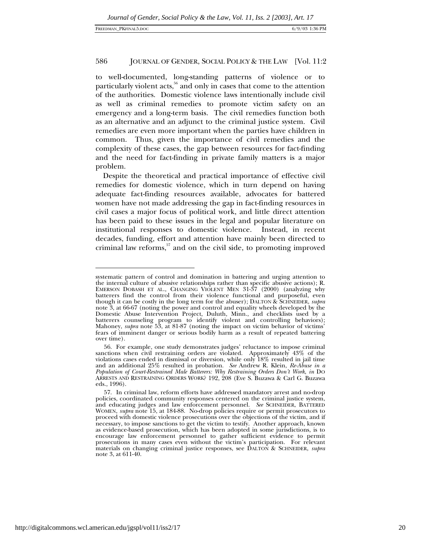to well-documented, long-standing patterns of violence or to particularly violent acts,<sup>56</sup> and only in cases that come to the attention of the authorities. Domestic violence laws intentionally include civil as well as criminal remedies to promote victim safety on an emergency and a long-term basis. The civil remedies function both as an alternative and an adjunct to the criminal justice system. Civil remedies are even more important when the parties have children in common. Thus, given the importance of civil remedies and the complexity of these cases, the gap between resources for fact-finding and the need for fact-finding in private family matters is a major problem.

Despite the theoretical and practical importance of effective civil remedies for domestic violence, which in turn depend on having adequate fact-finding resources available, advocates for battered women have not made addressing the gap in fact-finding resources in civil cases a major focus of political work, and little direct attention has been paid to these issues in the legal and popular literature on institutional responses to domestic violence. Instead, in recent decades, funding, effort and attention have mainly been directed to criminal law reforms, $57$  and on the civil side, to promoting improved

1

systematic pattern of control and domination in battering and urging attention to the internal culture of abusive relationships rather than specific abusive actions); R. EMERSON DOBASH ET AL., CHANGING VIOLENT MEN 31-37 (2000) (analyzing why batterers find the control from their violence functional and purposeful, even though it can be costly in the long term for the abuser); DALTON & SCHNEIDER, *supra* note 3, at 66-67 (noting the power and control and equality wheels developed by the Domestic Abuse Intervention Project, Duluth, Minn., and checklists used by a batterers counseling program to identify violent and controlling behaviors); Mahoney, *supra* note 53, at 81-87 (noting the impact on victim behavior of victims' fears of imminent danger or serious bodily harm as a result of repeated battering over time).

<sup>56.</sup> For example, one study demonstrates judges' reluctance to impose criminal sanctions when civil restraining orders are violated. Approximately 43% of the violations cases ended in dismissal or diversion, while only 18% resulted in jail time and an additional 25% resulted in probation. *See* Andrew R. Klein, *Re-Abuse in a Population of Court-Restrained Male Batterers: Why Restraining Orders Don't Work*, *in* DO ARRESTS AND RESTRAINING ORDERS WORK? 192, 208 (Eve S. Buzawa & Carl G. Buzawa eds., 1996).

<sup>57.</sup> In criminal law, reform efforts have addressed mandatory arrest and no-drop policies, coordinated community responses centered on the criminal justice system, and educating judges and law enforcement personnel. *See* SCHNEIDER, BATTERED WOMEN, *supra* note 15, at 184-88. No-drop policies require or permit prosecutors to proceed with domestic violence prosecutions over the objections of the victim, and if necessary, to impose sanctions to get the victim to testify. Another approach, known as evidence-based prosecution, which has been adopted in some jurisdictions, is to encourage law enforcement personnel to gather sufficient evidence to permit prosecutions in many cases even without the victim's participation. For relevant materials on changing criminal justice responses, see DALTON & SCHNEIDER, *supra* note 3, at 611-40.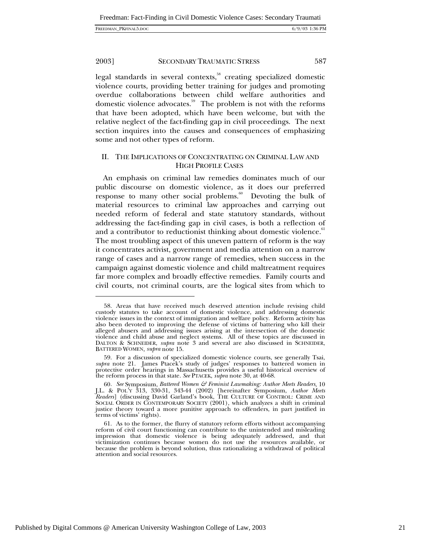legal standards in several contexts,<sup>58</sup> creating specialized domestic violence courts, providing better training for judges and promoting overdue collaborations between child welfare authorities and domestic violence advocates.<sup>59</sup> The problem is not with the reforms that have been adopted, which have been welcome, but with the relative neglect of the fact-finding gap in civil proceedings. The next section inquires into the causes and consequences of emphasizing some and not other types of reform.

#### II. THE IMPLICATIONS OF CONCENTRATING ON CRIMINAL LAW AND HIGH PROFILE CASES

An emphasis on criminal law remedies dominates much of our public discourse on domestic violence, as it does our preferred response to many other social problems. $60$  Devoting the bulk of material resources to criminal law approaches and carrying out needed reform of federal and state statutory standards, without addressing the fact-finding gap in civil cases, is both a reflection of and a contributor to reductionist thinking about domestic violence.<sup>61</sup> The most troubling aspect of this uneven pattern of reform is the way it concentrates activist, government and media attention on a narrow range of cases and a narrow range of remedies, when success in the campaign against domestic violence and child maltreatment requires far more complex and broadly effective remedies. Family courts and civil courts, not criminal courts, are the logical sites from which to

<sup>58.</sup> Areas that have received much deserved attention include revising child custody statutes to take account of domestic violence, and addressing domestic violence issues in the context of immigration and welfare policy. Reform activity has also been devoted to improving the defense of victims of battering who kill their alleged abusers and addressing issues arising at the intersection of the domestic violence and child abuse and neglect systems. All of these topics are discussed in DALTON & SCHNEIDER, *supra* note 3 and several are also discussed in SCHNEIDER, BATTERED WOMEN, *supra* note 15.

<sup>59.</sup> For a discussion of specialized domestic violence courts, see generally Tsai, supra note 21. James Ptacek's study of judges' responses to battered women in protective order hearings in Massachusetts provides a useful historical overview of the reform process in that state. *See* PTACEK, *supra* note 30, at 40-68.

<sup>60</sup>*. See* Symposium, *Battered Women & Feminist Lawmaking: Author Meets Readers*, 10 J.L. & POL'Y 313, 330-31, 343-44 (2002) [hereinafter Symposium, *Author Meets Readers*] (discussing David Garland's book, THE CULTURE OF CONTROL: CRIME AND SOCIAL ORDER IN CONTEMPORARY SOCIETY (2001), which analyzes a shift in criminal justice theory toward a more punitive approach to offenders, in part justified in terms of victims' rights).

<sup>61.</sup> As to the former, the flurry of statutory reform efforts without accompanying reform of civil court functioning can contribute to the unintended and misleading impression that domestic violence is being adequately addressed, and that victimization continues because women do not use the resources available, or because the problem is beyond solution, thus rationalizing a withdrawal of political attention and social resources.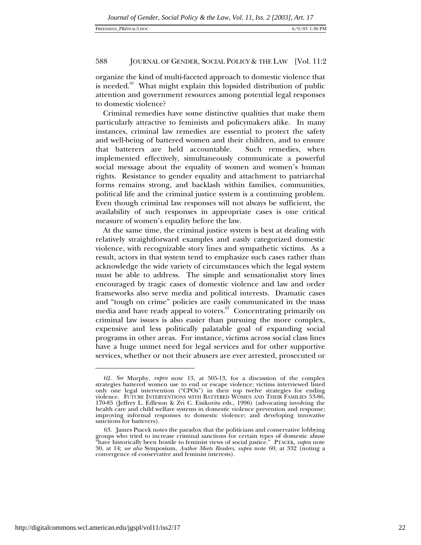organize the kind of multi-faceted approach to domestic violence that is needed. $62$  What might explain this lopsided distribution of public attention and government resources among potential legal responses to domestic violence?

Criminal remedies have some distinctive qualities that make them particularly attractive to feminists and policymakers alike. In many instances, criminal law remedies are essential to protect the safety and well-being of battered women and their children, and to ensure that batterers are held accountable. Such remedies, when implemented effectively, simultaneously communicate a powerful social message about the equality of women and women's human rights. Resistance to gender equality and attachment to patriarchal forms remains strong, and backlash within families, communities, political life and the criminal justice system is a continuing problem. Even though criminal law responses will not always be sufficient, the availability of such responses in appropriate cases is one critical measure of women's equality before the law.

At the same time, the criminal justice system is best at dealing with relatively straightforward examples and easily categorized domestic violence, with recognizable story lines and sympathetic victims. As a result, actors in that system tend to emphasize such cases rather than acknowledge the wide variety of circumstances which the legal system must be able to address. The simple and sensationalist story lines encouraged by tragic cases of domestic violence and law and order frameworks also serve media and political interests. Dramatic cases and "tough on crime" policies are easily communicated in the mass media and have ready appeal to voters.<sup>63</sup> Concentrating primarily on criminal law issues is also easier than pursuing the more complex, expensive and less politically palatable goal of expanding social programs in other areas. For instance, victims across social class lines have a huge unmet need for legal services and for other supportive services, whether or not their abusers are ever arrested, prosecuted or

<sup>62</sup>*. See* Murphy, *supra* note 13, at 505-13, for a discussion of the complex strategies battered women use to end or escape violence; victims interviewed listed only one legal intervention ("CPOs") in their top twelve strategies for ending violence. FUTURE INTERVENTIONS WITH BATTERED WOMEN AND THEIR FAMILIES 53-86, 170-85 (Jeffrey L. Edleson & Zvi C. Eisikovits eds., 1996) (advocating involving the health care and child welfare systems in domestic violence prevention and response; improving informal responses to domestic violence; and developing innovative sanctions for batterers).

<sup>63.</sup> James Ptacek notes the paradox that the politicians and conservative lobbying groups who tried to increase criminal sanctions for certain types of domestic abuse "have historically been hostile to feminist views of social justice." PTACEK, *supra* note 30, at 14; *see also* Symposium, *Author Meets Readers*, *supra* note 60, at 332 (noting a convergence of conservative and feminist interests).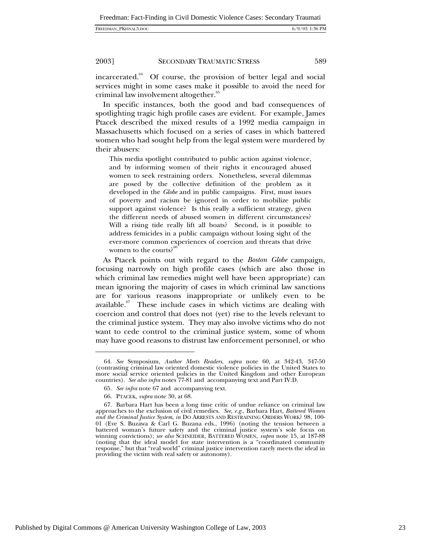incarcerated. $64$  Of course, the provision of better legal and social services might in some cases make it possible to avoid the need for criminal law involvement altogether.<sup>65</sup>

In specific instances, both the good and bad consequences of spotlighting tragic high profile cases are evident. For example, James Ptacek described the mixed results of a 1992 media campaign in Massachusetts which focused on a series of cases in which battered women who had sought help from the legal system were murdered by their abusers:

This media spotlight contributed to public action against violence, and by informing women of their rights it encouraged abused women to seek restraining orders. Nonetheless, several dilemmas are posed by the collective definition of the problem as it developed in the *Globe* and in public campaigns. First, must issues of poverty and racism be ignored in order to mobilize public support against violence? Is this really a sufficient strategy, given the different needs of abused women in different circumstances? Will a rising tide really lift all boats? Second, is it possible to address femicides in a public campaign without losing sight of the ever-more common experiences of coercion and threats that drive women to the courts? $66$ 

As Ptacek points out with regard to the *Boston Globe* campaign, focusing narrowly on high profile cases (which are also those in which criminal law remedies might well have been appropriate) can mean ignoring the majority of cases in which criminal law sanctions are for various reasons inappropriate or unlikely even to be available. $67$  These include cases in which victims are dealing with coercion and control that does not (yet) rise to the levels relevant to the criminal justice system. They may also involve victims who do not want to cede control to the criminal justice system, some of whom may have good reasons to distrust law enforcement personnel, or who

<sup>64</sup>*. See* Symposium, *Author Meets Readers*, *supra* note 60, at 342-43, 347-50 (contrasting criminal law oriented domestic violence policies in the United States to more social service oriented policies in the United Kingdom and other European countries). *See also infra* notes 77-81 and accompanying text and Part IV.D.

<sup>65</sup>*. See infra* note 67 and accompanying text.

<sup>66.</sup> PTACEK, *supra* note 30, at 68.

<sup>67.</sup> Barbara Hart has been a long time critic of undue reliance on criminal law approaches to the exclusion of civil remedies. *See, e.g.*, Barbara Hart, *Battered Women and the Criminal Justice System*, *in* DO ARRESTS AND RESTRAINING ORDERS WORK? 98, 100- 01 (Eve S. Buzawa & Carl G. Buzana eds., 1996) (noting the tension between a battered woman's future safety and the criminal justice system's sole focus on winning convictions); *see also* SCHNEIDER, BATTERED WOMEN, *supra* note 15, at 187-88 (noting that the ideal model for state intervention is a "coordinated community response," but that "real world" criminal justice intervention rarely meets the ideal in providing the victim with real safety or autonomy).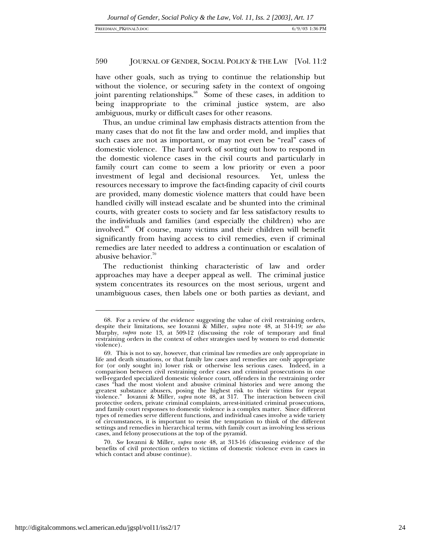have other goals, such as trying to continue the relationship but without the violence, or securing safety in the context of ongoing joint parenting relationships.<sup>68</sup> Some of these cases, in addition to being inappropriate to the criminal justice system, are also ambiguous, murky or difficult cases for other reasons.

Thus, an undue criminal law emphasis distracts attention from the many cases that do not fit the law and order mold, and implies that such cases are not as important, or may not even be "real" cases of domestic violence. The hard work of sorting out how to respond in the domestic violence cases in the civil courts and particularly in family court can come to seem a low priority or even a poor investment of legal and decisional resources. Yet, unless the resources necessary to improve the fact-finding capacity of civil courts are provided, many domestic violence matters that could have been handled civilly will instead escalate and be shunted into the criminal courts, with greater costs to society and far less satisfactory results to the individuals and families (and especially the children) who are involved.<sup>69</sup> Of course, many victims and their children will benefit significantly from having access to civil remedies, even if criminal remedies are later needed to address a continuation or escalation of abusive behavior. $\frac{70}{10}$ 

The reductionist thinking characteristic of law and order approaches may have a deeper appeal as well. The criminal justice system concentrates its resources on the most serious, urgent and unambiguous cases, then labels one or both parties as deviant, and

70*. See* Iovanni & Miller, *supra* note 48, at 313-16 (discussing evidence of the benefits of civil protection orders to victims of domestic violence even in cases in which contact and abuse continue).

<sup>68.</sup> For a review of the evidence suggesting the value of civil restraining orders, despite their limitations, see Iovanni & Miller, *supra* note 48, at 314-19; *see also* Murphy, *supra* note 13, at 509-12 (discussing the role of temporary and final restraining orders in the context of other strategies used by women to end domestic violence).

<sup>69.</sup> This is not to say, however, that criminal law remedies are only appropriate in life and death situations, or that family law cases and remedies are only appropriate for (or only sought in) lower risk or otherwise less serious cases. Indeed, in a comparison between civil restraining order cases and criminal prosecutions in one well-regarded specialized domestic violence court, offenders in the restraining order cases "had the most violent and abusive criminal histories and were among the greatest substance abusers, posing the highest risk to their victims for repeat violence." Iovanni & Miller, *supra* note 48, at 317. The interaction between civil protective orders, private criminal complaints, arrest-initiated criminal prosecutions, and family court responses to domestic violence is a complex matter. Since different types of remedies serve different functions, and individual cases involve a wide variety of circumstances, it is important to resist the temptation to think of the different settings and remedies in hierarchical terms, with family court as involving less serious cases, and felony prosecutions at the top of the pyramid.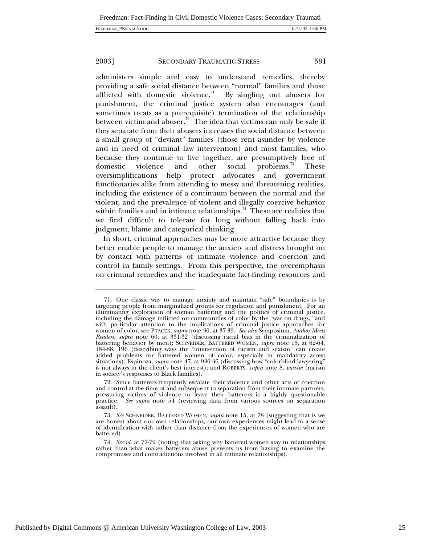administers simple and easy to understand remedies, thereby providing a safe social distance between "normal" families and those afflicted with domestic violence.<sup>71</sup> By singling out abusers for punishment, the criminal justice system also encourages (and sometimes treats as a prerequisite) termination of the relationship between victim and abuser.<sup>72</sup> The idea that victims can only be safe if they separate from their abusers increases the social distance between a small group of "deviant" families (those rent asunder by violence and in need of criminal law intervention) and most families, who because they continue to live together, are presumptively free of domestic violence and other social problems.<sup>73</sup> These oversimplifications help protect advocates and government functionaries alike from attending to messy and threatening realities, including the existence of a continuum between the normal and the violent, and the prevalence of violent and illegally coercive behavior within families and in intimate relationships.<sup>74</sup> These are realities that we find difficult to tolerate for long without falling back into judgment, blame and categorical thinking.

In short, criminal approaches may be more attractive because they better enable people to manage the anxiety and distress brought on by contact with patterns of intimate violence and coercion and control in family settings. From this perspective, the overemphasis on criminal remedies and the inadequate fact-finding resources and

<sup>71.</sup> One classic way to manage anxiety and maintain "safe" boundaries is by targeting people from marginalized groups for regulation and punishment. For an illuminating exploration of woman battering and the politics of criminal justice, including the damage inflicted on communities of color by the "war on drugs," and with particular attention to the implications of criminal justice approaches for women of color, see PTACEK, *supra* note 30, at 37-39. *See also* Symposium, *Author Meets Readers*, *supra* note 60, at 331-32 (discussing racial bias in the criminalization of battering behavior by men); SCHNEIDER, BATTERED WOMEN, *supra* note 15, at 62-64, 184-88, 196 (describing ways the "intersection of racism and sexism" can create added problems for battered women of color, especially in mandatory arrest situations); Espinoza, *supra* note 47, at 930-36 (discussing how "colorblind lawyering" is not always in the client's best interest); and ROBERTS, *supra* note 8, *passim* (racism in society's responses to Black families).

<sup>72.</sup> Since batterers frequently escalate their violence and other acts of coercion and control at the time of and subsequent to separation from their intimate partners, pressuring victims of violence to leave their batterers is a highly questionable practice. See supra note 54 (reviewing data from various sources on separation See supra note 54 (reviewing data from various sources on separation assault).

<sup>73</sup>*. See* SCHNEIDER, BATTERED WOMEN, *supra* note 15, at 78 (suggesting that is we are honest about our own relationships, our own experiences might lead to a sense of identification with rather than distance from the experiences of women who are battered).

<sup>74</sup>*. See id.* at 77-79 (noting that asking why battered women stay in relationships rather than what makes batterers abuse prevents us from having to examine the compromises and contradictions involved in all intimate relationships).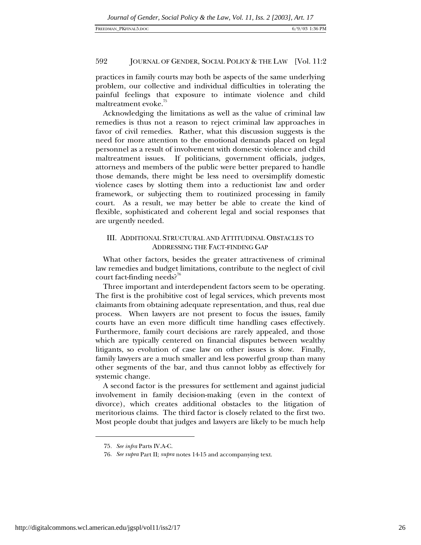practices in family courts may both be aspects of the same underlying problem, our collective and individual difficulties in tolerating the painful feelings that exposure to intimate violence and child maltreatment evoke.<sup>75</sup>

Acknowledging the limitations as well as the value of criminal law remedies is thus not a reason to reject criminal law approaches in favor of civil remedies. Rather, what this discussion suggests is the need for more attention to the emotional demands placed on legal personnel as a result of involvement with domestic violence and child maltreatment issues. If politicians, government officials, judges, attorneys and members of the public were better prepared to handle those demands, there might be less need to oversimplify domestic violence cases by slotting them into a reductionist law and order framework, or subjecting them to routinized processing in family court. As a result, we may better be able to create the kind of flexible, sophisticated and coherent legal and social responses that are urgently needed.

#### III. ADDITIONAL STRUCTURAL AND ATTITUDINAL OBSTACLES TO ADDRESSING THE FACT-FINDING GAP

What other factors, besides the greater attractiveness of criminal law remedies and budget limitations, contribute to the neglect of civil court fact-finding needs? $76$ 

Three important and interdependent factors seem to be operating. The first is the prohibitive cost of legal services, which prevents most claimants from obtaining adequate representation, and thus, real due process. When lawyers are not present to focus the issues, family courts have an even more difficult time handling cases effectively. Furthermore, family court decisions are rarely appealed, and those which are typically centered on financial disputes between wealthy litigants, so evolution of case law on other issues is slow. Finally, family lawyers are a much smaller and less powerful group than many other segments of the bar, and thus cannot lobby as effectively for systemic change.

A second factor is the pressures for settlement and against judicial involvement in family decision-making (even in the context of divorce), which creates additional obstacles to the litigation of meritorious claims. The third factor is closely related to the first two. Most people doubt that judges and lawyers are likely to be much help

<sup>75</sup>*. See infra* Parts IV.A-C.

<sup>76</sup>*. See supra* Part II; *supra* notes 14-15 and accompanying text.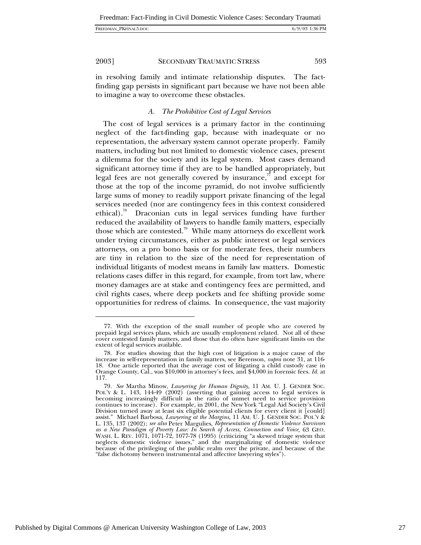| FREEDMAN PKFINAL5.DOC | $6/9/03$ 1:36 PM |
|-----------------------|------------------|

 $\overline{a}$ 

2003] SECONDARY TRAUMATIC STRESS 593

in resolving family and intimate relationship disputes. The factfinding gap persists in significant part because we have not been able to imagine a way to overcome these obstacles.

#### *A. The Prohibitive Cost of Legal Services*

The cost of legal services is a primary factor in the continuing neglect of the fact-finding gap, because with inadequate or no representation, the adversary system cannot operate properly. Family matters, including but not limited to domestic violence cases, present a dilemma for the society and its legal system. Most cases demand significant attorney time if they are to be handled appropriately, but legal fees are not generally covered by insurance, $\overline{a}$  and except for those at the top of the income pyramid, do not involve sufficiently large sums of money to readily support private financing of the legal services needed (nor are contingency fees in this context considered ethical).<sup>78</sup> Draconian cuts in legal services funding have further reduced the availability of lawyers to handle family matters, especially those which are contested.<sup>79</sup> While many attorneys do excellent work under trying circumstances, either as public interest or legal services attorneys, on a pro bono basis or for moderate fees, their numbers are tiny in relation to the size of the need for representation of individual litigants of modest means in family law matters. Domestic relations cases differ in this regard, for example, from tort law, where money damages are at stake and contingency fees are permitted, and civil rights cases, where deep pockets and fee shifting provide some opportunities for redress of claims. In consequence, the vast majority

<sup>77.</sup> With the exception of the small number of people who are covered by prepaid legal services plans, which are usually employment related. Not all of these cover contested family matters, and those that do often have significant limits on the extent of legal services available.

<sup>78.</sup> For studies showing that the high cost of litigation is a major cause of the increase in self-representation in family matters, see Berenson, *supra* note 31, at 116- 18. One article reported that the average cost of litigating a child custody case in Orange County, Cal., was \$10,000 in attorney's fees, and \$4,000 in forensic fees. *Id.* at 117.

<sup>79</sup>*. See* Martha Minow, *Lawyering for Human Dignity*, 11 AM. U. J. GENDER SOC. POL'Y & L. 143, 144-49 (2002) (asserting that gaining access to legal services is becoming increasingly difficult as the ratio of unmet need to service provision continues to increase). For example, in 2001, the New York "Legal Aid Society's Civil Division turned away at least six eligible potential clients for every client it [could] assist." Michael Barbosa, *Lawyering at the Margins*, 11 AM. U. J. GENDER SOC. POL'Y & L. 135, 137 (2002); *see also* Peter Margulies, *Representation of Domestic Violence Survivors as a New Paradigm of Poverty Law: In Search of Access, Connection and Voice*, 63 GEO. WASH. L. REV. 1071, 1071-72, 1077-78 (1995) (criticizing "a skewed triage system that neglects domestic violence issues," and the marginalizing of domestic violence because of the privileging of the public realm over the private, and because of the "false dichotomy between instrumental and affective lawyering styles").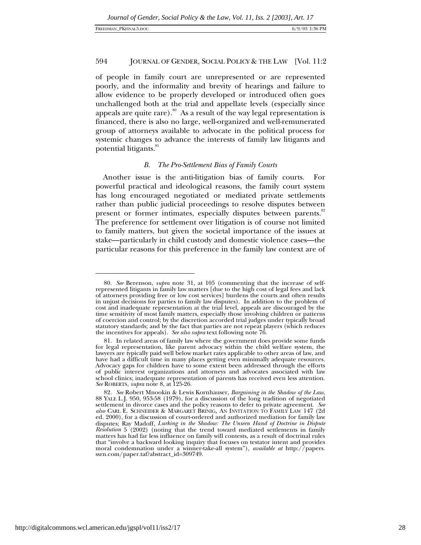of people in family court are unrepresented or are represented poorly, and the informality and brevity of hearings and failure to allow evidence to be properly developed or introduced often goes unchallenged both at the trial and appellate levels (especially since appeals are quite rare).<sup>80</sup> As a result of the way legal representation is financed, there is also no large, well-organized and well-remunerated group of attorneys available to advocate in the political process for systemic changes to advance the interests of family law litigants and potential litigants.<sup>81</sup>

#### *B. The Pro-Settlement Bias of Family Courts*

Another issue is the anti-litigation bias of family courts. For powerful practical and ideological reasons, the family court system has long encouraged negotiated or mediated private settlements rather than public judicial proceedings to resolve disputes between present or former intimates, especially disputes between parents.<sup>82</sup> The preference for settlement over litigation is of course not limited to family matters, but given the societal importance of the issues at stake—particularly in child custody and domestic violence cases—the particular reasons for this preference in the family law context are of

<sup>80</sup>*. See* Berenson, *supra* note 31, at 105 (commenting that the increase of selfrepresented litigants in family law matters [due to the high cost of legal fees and lack of attorneys providing free or low cost services] burdens the courts and often results in unjust decisions for parties to family law disputes). In addition to the problem of cost and inadequate representation at the trial level, appeals are discouraged by the time sensitivity of most family matters, especially those involving children or patterns of coercion and control; by the discretion accorded trial judges under typically broad statutory standards; and by the fact that parties are not repeat players (which reduces the incentives for appeals). *See also supra* text following note 76.

<sup>81.</sup> In related areas of family law where the government does provide some funds for legal representation, like parent advocacy within the child welfare system, the lawyers are typically paid well below market rates applicable to other areas of law, and have had a difficult time in many places getting even minimally adequate resources. Advocacy gaps for children have to some extent been addressed through the efforts of public interest organizations and attorneys and advocates associated with law school clinics; inadequate representation of parents has received even less attention. *See* ROBERTS, *supra* note 8, at 125-26.

<sup>82</sup>*. See* Robert Mnookin & Lewis Kornhauser, *Bargaining in the Shadow of the Law*, 88 YALE L.J. 950, 953-58 (1979), for a discussion of the long tradition of negotiated settlement in divorce cases and the policy reasons to defer to private agreement. *See also* CARL E. SCHNEIDER & MARGARET BRINIG, AN INVITATION TO FAMILY LAW 147 (2d ed. 2000), for a discussion of court-ordered and authorized mediation for family law disputes; Ray Madoff, *Lurking in the Shadow: The Unseen Hand of Doctrine in Dispute Resolution* 5 (2002) (noting that the trend toward mediated settlements in family matters has had far less influence on family will contests, as a result of doctrinal rules that "involve a backward looking inquiry that focuses on testator intent and provides moral condemnation under a winner-take-all system"), *available at* http://papers. ssrn.com/paper.taf?abstract\_id=309749.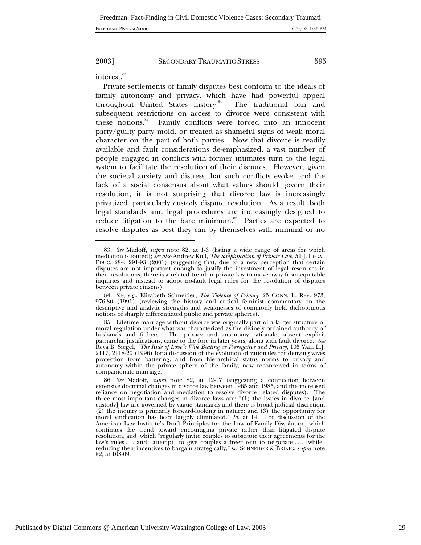$\overline{a}$ 

#### 2003] SECONDARY TRAUMATIC STRESS 595

interest. 83

Private settlements of family disputes best conform to the ideals of family autonomy and privacy, which have had powerful appeal throughout United States history.<sup>84</sup> The traditional ban and subsequent restrictions on access to divorce were consistent with these notions.<sup>85</sup> Family conflicts were forced into an innocent party/guilty party mold, or treated as shameful signs of weak moral character on the part of both parties. Now that divorce is readily available and fault considerations de-emphasized, a vast number of people engaged in conflicts with former intimates turn to the legal system to facilitate the resolution of their disputes. However, given the societal anxiety and distress that such conflicts evoke, and the lack of a social consensus about what values should govern their resolution, it is not surprising that divorce law is increasingly privatized, particularly custody dispute resolution. As a result, both legal standards and legal procedures are increasingly designed to reduce litigation to the bare minimum.<sup>86</sup> Parties are expected to resolve disputes as best they can by themselves with minimal or no

<sup>83</sup>*. See* Madoff, *supra* note 82, at 1-3 (listing a wide range of areas for which mediation is touted); *see also* Andrew Kull, *The Simplification of Private Law*, 51 J. LEGAL EDUC. 284, 291-93 (2001) (suggesting that, due to a new perception that certain disputes are not important enough to justify the investment of legal resources in their resolutions, there is a related trend in private law to move away from equitable inquiries and instead to adopt no-fault legal rules for the resolution of disputes between private citizens).

<sup>84</sup>*. See, e.g.*, Elizabeth Schneider, *The Violence of Privacy*, 23 CONN. L. REV. 973, 976-80 (1991) (reviewing the history and critical feminist commentary on the descriptive and analytic strengths and weaknesses of commonly held dichotomous notions of sharply differentiated public and private spheres).

<sup>85.</sup> Lifetime marriage without divorce was originally part of a larger structure of moral regulation under what was characterized as the divinely ordained authority of husbands and fathers. The privacy and autonomy rationale, absent explicit patriarchal justifications, came to the fore in later years, along with fault divorce. *See* Reva B. Siegel, *"The Rule of Love": Wife Beating as Prerogative and Privacy*, 105 YALE L.J. 2117, 2118-20 (1996) for a discussion of the evolution of rationales for denying wives protection from battering, and from hierarchical status norms to privacy and autonomy within the private sphere of the family, now reconceived in terms of companionate marriage.

<sup>86</sup>*. See* Madoff, *supra* note 82, at 12-17 (suggesting a connection between extensive doctrinal changes in divorce law between 1965 and 1985, and the increased reliance on negotiation and mediation to resolve divorce related disputes). The three most important changes in divorce laws are: "(1) the issues in divorce [and custody] law are governed by vague standards and there is broad judicial discretion; (2) the inquiry is primarily forward-looking in nature; and (3) the opportunity for moral vindication has been largely eliminated." *Id*. at 14. For discussion of the American Law Institute's Draft Principles for the Law of Family Dissolution, which continues the trend toward encouraging private rather than litigated dispute resolution, and which "regularly invite couples to substitute their agreements for the law's rules ... and [attempt] to give couples a freer rein to negotiate ... [while] reducing their incentives to bargain strategically," s*ee* SCHNEIDER & BRINIG, *supra* note 82, at 108-09.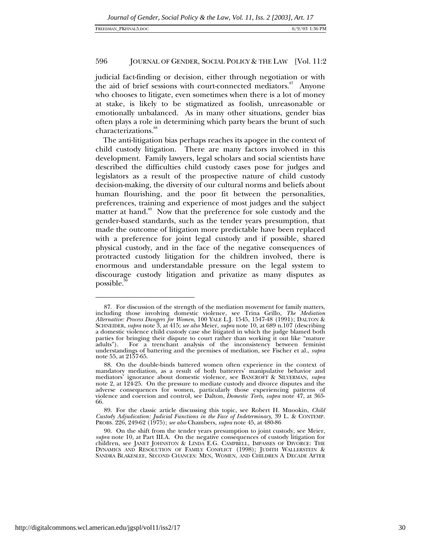judicial fact-finding or decision, either through negotiation or with the aid of brief sessions with court-connected mediators.<sup>87</sup> Anyone who chooses to litigate, even sometimes when there is a lot of money at stake, is likely to be stigmatized as foolish, unreasonable or emotionally unbalanced. As in many other situations, gender bias often plays a role in determining which party bears the brunt of such characterizations.<sup>88</sup>

The anti-litigation bias perhaps reaches its apogee in the context of child custody litigation. There are many factors involved in this development. Family lawyers, legal scholars and social scientists have described the difficulties child custody cases pose for judges and legislators as a result of the prospective nature of child custody decision-making, the diversity of our cultural norms and beliefs about human flourishing, and the poor fit between the personalities, preferences, training and experience of most judges and the subject matter at hand.<sup>89</sup> Now that the preference for sole custody and the gender-based standards, such as the tender years presumption, that made the outcome of litigation more predictable have been replaced with a preference for joint legal custody and if possible, shared physical custody, and in the face of the negative consequences of protracted custody litigation for the children involved, there is enormous and understandable pressure on the legal system to discourage custody litigation and privatize as many disputes as possible.

-

<sup>87.</sup> For discussion of the strength of the mediation movement for family matters, including those involving domestic violence, see Trina Grillo, *The Mediation Alternative: Process Dangers for Women*, 100 YALE L.J. 1545, 1547-48 (1991); DALTON & SCHNEIDER, *supra* note 3, at 415; *see also* Meier, *supra* note 10, at 689 n.107 (describing a domestic violence child custody case she litigated in which the judge blamed both parties for bringing their dispute to court rather than working it out like "mature adults"). For a trenchant analysis of the inconsistency between feminist understandings of battering and the premises of mediation, see Fischer et al., *supra* note 55, at 2157-65.

<sup>88.</sup> On the double-binds battered women often experience in the context of mandatory mediation, as a result of both batterers' manipulative behavior and mediators' ignorance about domestic violence, see BANCROFT & SILVERMAN, *supra* note 2, at 124-25. On the pressure to mediate custody and divorce disputes and the adverse consequences for women, particularly those experiencing patterns of violence and coercion and control, see Dalton, *Domestic Torts*, *supra* note 47, at 365- 66.

<sup>89.</sup> For the classic article discussing this topic, see Robert H. Mnookin, *Child Custody Adjudication: Judicial Functions in the Face of Indeterminacy*, 39 L. & CONTEMP. PROBS. 226, 249-62 (1975); *see also* Chambers, *supra* note 45, at 480-86

<sup>90.</sup> On the shift from the tender years presumption to joint custody, see Meier, *supra* note 10, at Part III.A. On the negative consequences of custody litigation for children, see JANET JOHNSTON & LINDA E.G. CAMPBELL, IMPASSES OF DIVORCE: THE DYNAMICS AND RESOLUTION OF FAMILY CONFLICT (1998); JUDITH WALLERSTEIN & SANDRA BLAKESLEE, SECOND CHANCES: MEN, WOMEN, AND CHILDREN A DECADE AFTER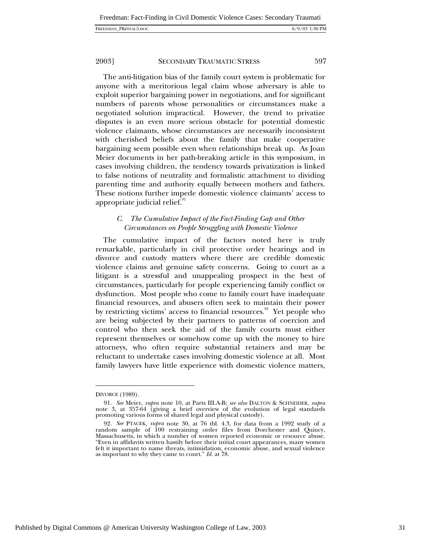The anti-litigation bias of the family court system is problematic for anyone with a meritorious legal claim whose adversary is able to exploit superior bargaining power in negotiations, and for significant numbers of parents whose personalities or circumstances make a negotiated solution impractical. However, the trend to privatize disputes is an even more serious obstacle for potential domestic violence claimants, whose circumstances are necessarily inconsistent with cherished beliefs about the family that make cooperative bargaining seem possible even when relationships break up. As Joan Meier documents in her path-breaking article in this symposium, in cases involving children, the tendency towards privatization is linked to false notions of neutrality and formalistic attachment to dividing parenting time and authority equally between mothers and fathers. These notions further impede domestic violence claimants' access to appropriate judicial relief. $91$ 

### *C. The Cumulative Impact of the Fact-Finding Gap and Other Circumstances on People Struggling with Domestic Violence*

The cumulative impact of the factors noted here is truly remarkable, particularly in civil protective order hearings and in divorce and custody matters where there are credible domestic violence claims and genuine safety concerns. Going to court as a litigant is a stressful and unappealing prospect in the best of circumstances, particularly for people experiencing family conflict or dysfunction. Most people who come to family court have inadequate financial resources, and abusers often seek to maintain their power by restricting victims' access to financial resources.<sup>92</sup> Yet people who are being subjected by their partners to patterns of coercion and control who then seek the aid of the family courts must either represent themselves or somehow come up with the money to hire attorneys, who often require substantial retainers and may be reluctant to undertake cases involving domestic violence at all. Most family lawyers have little experience with domestic violence matters,

1

DIVORCE (1989).

<sup>91</sup>*. See* Meier, *supra* note 10, at Parts III.A-B; *see also* DALTON & SCHNEIDER, *supra* note 3, at 357-64 (giving a brief overview of the evolution of legal standards promoting various forms of shared legal and physical custody).

<sup>92</sup>*. See* PTACEK, *supra* note 30, at 76 tbl. 4.3, for data from a 1992 study of a random sample of 100 restraining order files from Dorchester and Quincy, Massachusetts, in which a number of women reported economic or resource abuse. "Even in affidavits written hastily before their initial court appearances, many women felt it important to name threats, intimidation, economic abuse, and sexual violence as important to why they came to court." *Id.* at 78.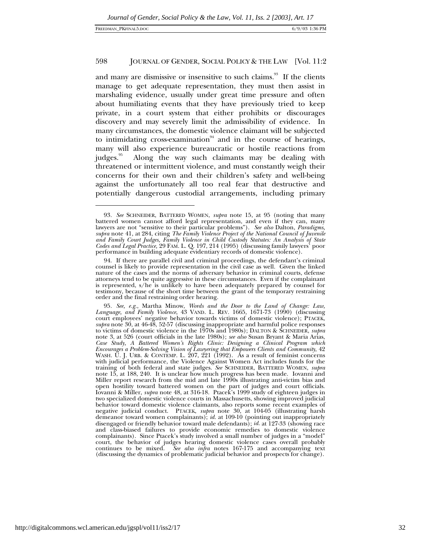$\overline{a}$ 

#### 598 JOURNAL OF GENDER, SOCIAL POLICY & THE LAW [Vol. 11:2

and many are dismissive or insensitive to such claims.<sup>93</sup> If the clients manage to get adequate representation, they must then assist in marshaling evidence, usually under great time pressure and often about humiliating events that they have previously tried to keep private, in a court system that either prohibits or discourages discovery and may severely limit the admissibility of evidence. In many circumstances, the domestic violence claimant will be subjected to intimidating cross-examination $94$  and in the course of hearings, many will also experience bureaucratic or hostile reactions from judges.<sup>95</sup> Along the way such claimants may be dealing with threatened or intermittent violence, and must constantly weigh their concerns for their own and their children's safety and well-being against the unfortunately all too real fear that destructive and potentially dangerous custodial arrangements, including primary

<sup>93</sup>*. See* SCHNEIDER, BATTERED WOMEN, *supra* note 15, at 95 (noting that many battered women cannot afford legal representation, and even if they can, many lawyers are not "sensitive to their particular problems"). *See also* Dalton, *Paradigms, supra* note 41, at 284, citing *The Family Violence Project of the National Council of Juvenile and Family Court Judges, Family Violence in Child Custody Statutes: An Analysis of State Codes and Legal Practice,* 29 FAM. L. Q. 197, 214 (1995) (discussing family lawyers' poor performance in building adequate evidentiary records of domestic violence).

<sup>94.</sup> If there are parallel civil and criminal proceedings, the defendant's criminal counsel is likely to provide representation in the civil case as well. Given the linked nature of the cases and the norms of adversary behavior in criminal courts, defense attorneys tend to be quite aggressive in these circumstances. Even if the complainant is represented, s/he is unlikely to have been adequately prepared by counsel for testimony, because of the short time between the grant of the temporary restraining order and the final restraining order hearing.

<sup>95</sup>*. See, e.g.*, Martha Minow, *Words and the Door to the Land of Change: Law, Language, and Family Violence*, 43 VAND. L. REV. 1665, 1671-73 (1990) (discussing court employees' negative behavior towards victims of domestic violence); PTACEK, *supra* note 30, at 46-48, 52-57 (discussing inappropriate and harmful police responses to victims of domestic violence in the 1970s and 1980s); DALTON & SCHNEIDER, *supra* note 3, at 526 (court officials in the late 1980s); *see also* Susan Bryant & Maria Arias, *Case Study, A Battered Women's Rights Clinic: Designing a Clinical Program which Encourages a Problem-Solving Vision of Lawyering that Empowers Clients and Community*, 42 WASH. U. J. URB. & CONTEMP. L. 207, 221 (1992). As a result of feminist concerns with judicial performance, the Violence Against Women Act includes funds for the training of both federal and state judges. *See* SCHNEIDER, BATTERED WOMEN, *supra* note 15, at 188, 240. It is unclear how much progress has been made. Iovanni and Miller report research from the mid and late 1990s illustrating anti-victim bias and open hostility toward battered women on the part of judges and court officials. Iovanni & Miller, *supra* note 48, at 316-18. Ptacek's 1999 study of eighteen judges in two specialized domestic violence courts in Massachusetts, showing improved judicial behavior toward domestic violence claimants, also reports some recent examples of negative judicial conduct. PTACEK, *supra* note 30, at 104-05 (illustrating harsh demeanor toward women complainants); *id.* at 109-10 (pointing out inappropriately disengaged or friendly behavior toward male defendants); *id.* at 127-33 (showing race and class-biased failures to provide economic remedies to domestic violence complainants). Since Ptacek's study involved a small number of judges in a "model" court, the behavior of judges hearing domestic violence cases overall probably continues to be mixed. *See also infra* notes 167-175 and accompanying text (discussing the dynamics of problematic judicial behavior and prospects for change).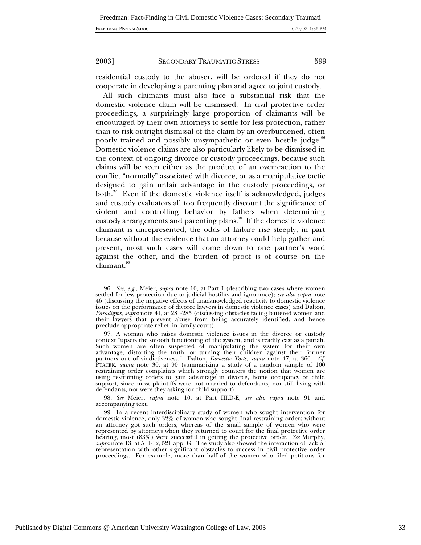residential custody to the abuser, will be ordered if they do not cooperate in developing a parenting plan and agree to joint custody.

All such claimants must also face a substantial risk that the domestic violence claim will be dismissed. In civil protective order proceedings, a surprisingly large proportion of claimants will be encouraged by their own attorneys to settle for less protection, rather than to risk outright dismissal of the claim by an overburdened, often poorly trained and possibly unsympathetic or even hostile judge.<sup>96</sup> Domestic violence claims are also particularly likely to be dismissed in the context of ongoing divorce or custody proceedings, because such claims will be seen either as the product of an overreaction to the conflict "normally" associated with divorce, or as a manipulative tactic designed to gain unfair advantage in the custody proceedings, or both. $^{97}$  Even if the domestic violence itself is acknowledged, judges and custody evaluators all too frequently discount the significance of violent and controlling behavior by fathers when determining custody arrangements and parenting plans.<sup>98</sup> If the domestic violence claimant is unrepresented, the odds of failure rise steeply, in part because without the evidence that an attorney could help gather and present, most such cases will come down to one partner's word against the other, and the burden of proof is of course on the claimant.<sup>99</sup>

-

<sup>96</sup>*. See, e.g.*, Meier, *supra* note 10, at Part I (describing two cases where women settled for less protection due to judicial hostility and ignorance); *see also supra* note 46 (discussing the negative effects of unacknowledged reactivity to domestic violence issues on the performance of divorce lawyers in domestic violence cases) and Dalton, *Paradigms*, *supra* note 41, at 281-285 (discussing obstacles facing battered women and their lawyers that prevent abuse from being accurately identified, and hence preclude appropriate relief in family court).

<sup>97.</sup> A woman who raises domestic violence issues in the divorce or custody context "upsets the smooth functioning of the system, and is readily cast as a pariah. Such women are often suspected of manipulating the system for their own advantage, distorting the truth, or turning their children against their former partners out of vindictiveness." Dalton, *Domestic Torts*, *supra* note 47, at 366. *Cf.* PTACEK, *supra* note 30, at 90 (summarizing a study of a random sample of 100 restraining order complaints which strongly counters the notion that women are using restraining orders to gain advantage in divorce, home occupancy or child support, since most plaintiffs were not married to defendants, nor still living with defendants, nor were they asking for child support).

<sup>98</sup>*. See* Meier, *supra* note 10, at Part III.D-E; *see also supra* note 91 and accompanying text.

<sup>99.</sup> In a recent interdisciplinary study of women who sought intervention for domestic violence, only 32% of women who sought final restraining orders without an attorney got such orders, whereas of the small sample of women who were represented by attorneys when they returned to court for the final protective order hearing, most (83%) were successful in getting the protective order. *See* Murphy, *supra* note 13, at 511-12, 521 app. G. The study also showed the interaction of lack of representation with other significant obstacles to success in civil protective order proceedings. For example, more than half of the women who filed petitions for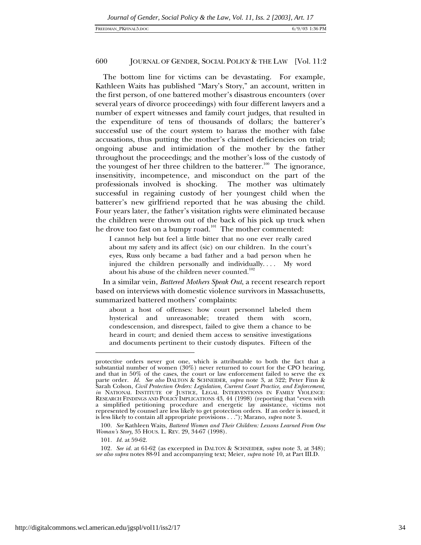The bottom line for victims can be devastating. For example, Kathleen Waits has published "Mary's Story," an account, written in the first person, of one battered mother's disastrous encounters (over several years of divorce proceedings) with four different lawyers and a number of expert witnesses and family court judges, that resulted in the expenditure of tens of thousands of dollars; the batterer's successful use of the court system to harass the mother with false accusations, thus putting the mother's claimed deficiencies on trial; ongoing abuse and intimidation of the mother by the father throughout the proceedings; and the mother's loss of the custody of the youngest of her three children to the batterer.<sup>100</sup> The ignorance, insensitivity, incompetence, and misconduct on the part of the professionals involved is shocking. The mother was ultimately successful in regaining custody of her youngest child when the batterer's new girlfriend reported that he was abusing the child. Four years later, the father's visitation rights were eliminated because the children were thrown out of the back of his pick up truck when he drove too fast on a bumpy road.<sup>101</sup> The mother commented:

I cannot help but feel a little bitter that no one ever really cared about my safety and its affect (sic) on our children. In the court's eyes, Russ only became a bad father and a bad person when he injured the children personally and individually. . . . My word about his abuse of the children never counted.<sup>102</sup>

In a similar vein, *Battered Mothers Speak Out*, a recent research report based on interviews with domestic violence survivors in Massachusetts, summarized battered mothers' complaints:

about a host of offenses: how court personnel labeled them hysterical and unreasonable; treated them with scorn, condescension, and disrespect, failed to give them a chance to be heard in court; and denied them access to sensitive investigations and documents pertinent to their custody disputes. Fifteen of the

101*. Id.* at 59-62.

1

protective orders never got one, which is attributable to both the fact that a substantial number of women  $(30\%)$  never returned to court for the CPO hearing, and that in  $50\%$  of the cases, the court or law enforcement failed to serve the ex parte order. *Id. See also* DALTON & SCHNEIDER, *supra* note 3, at 522; Peter Finn & Sarah Colson, *Civil Protection Orders: Legislation, Current Court Practice, and Enforcement*, *in* NATIONAL INSTITUTE OF JUSTICE, LEGAL INTERVENTIONS IN FAMILY VIOLENCE: RESEARCH FINDINGS AND POLICY IMPLICATIONS 43, 44 (1998) (reporting that "even with a simplified petitioning procedure and energetic lay assistance, victims not represented by counsel are less likely to get protection orders. If an order is issued, it is less likely to contain all appropriate provisions . . ."); Marano, *supra* note 3.

<sup>100</sup>*. See* Kathleen Waits, *Battered Women and Their Children: Lessons Learned From One Woman's Story*, 35 HOUS. L. REV. 29, 34-67 (1998).

<sup>102</sup>*. See id.* at 61-62 (as excerpted in DALTON & SCHNEIDER, *supra* note 3, at 348); *see also supra* notes 88-91 and accompanying text; Meier, *supra* note 10, at Part III.D.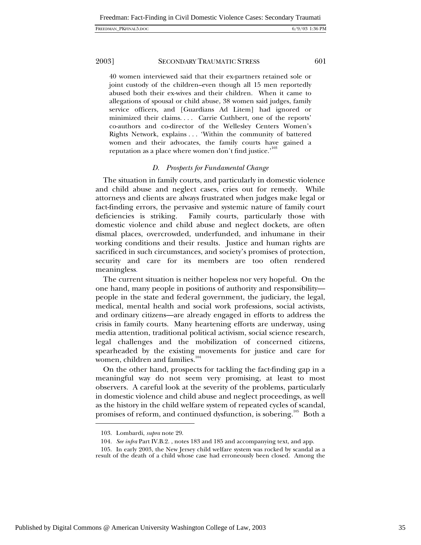40 women interviewed said that their ex-partners retained sole or joint custody of the children–even though all 15 men reportedly abused both their ex-wives and their children. When it came to allegations of spousal or child abuse, 38 women said judges, family service officers, and [Guardians Ad Litem] had ignored or minimized their claims. . . . Carrie Cuthbert, one of the reports' co-authors and co-director of the Wellesley Centers Women's Rights Network, explains . . . 'Within the community of battered women and their advocates, the family courts have gained a reputation as a place where women don't find justice.'<sup>10</sup>

#### *D. Prospects for Fundamental Change*

The situation in family courts, and particularly in domestic violence and child abuse and neglect cases, cries out for remedy. While attorneys and clients are always frustrated when judges make legal or fact-finding errors, the pervasive and systemic nature of family court deficiencies is striking. Family courts, particularly those with domestic violence and child abuse and neglect dockets, are often dismal places, overcrowded, underfunded, and inhumane in their working conditions and their results. Justice and human rights are sacrificed in such circumstances, and society's promises of protection, security and care for its members are too often rendered meaningless.

The current situation is neither hopeless nor very hopeful. On the one hand, many people in positions of authority and responsibility people in the state and federal government, the judiciary, the legal, medical, mental health and social work professions, social activists, and ordinary citizens—are already engaged in efforts to address the crisis in family courts. Many heartening efforts are underway, using media attention, traditional political activism, social science research, legal challenges and the mobilization of concerned citizens, spearheaded by the existing movements for justice and care for women, children and families.<sup>104</sup>

On the other hand, prospects for tackling the fact-finding gap in a meaningful way do not seem very promising, at least to most observers. A careful look at the severity of the problems, particularly in domestic violence and child abuse and neglect proceedings, as well as the history in the child welfare system of repeated cycles of scandal, promises of reform, and continued dysfunction, is sobering.<sup>105</sup> Both a

-

<sup>103.</sup> Lombardi, *supra* note 29.

<sup>104</sup>*. See infra* Part IV.B.2. , notes 183 and 185 and accompanying text, and app.

<sup>105.</sup> In early 2003, the New Jersey child welfare system was rocked by scandal as a result of the death of a child whose case had erroneously been closed. Among the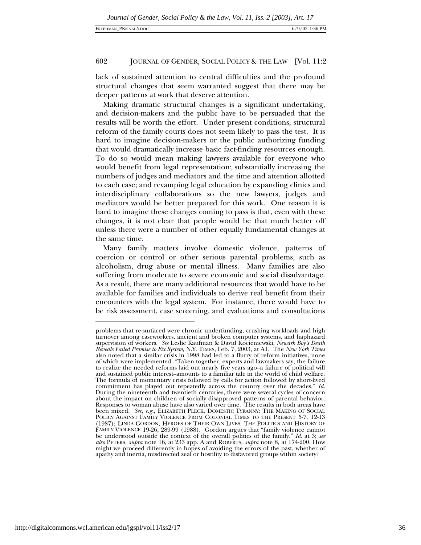lack of sustained attention to central difficulties and the profound structural changes that seem warranted suggest that there may be deeper patterns at work that deserve attention.

Making dramatic structural changes is a significant undertaking, and decision-makers and the public have to be persuaded that the results will be worth the effort. Under present conditions, structural reform of the family courts does not seem likely to pass the test. It is hard to imagine decision-makers or the public authorizing funding that would dramatically increase basic fact-finding resources enough. To do so would mean making lawyers available for everyone who would benefit from legal representation; substantially increasing the numbers of judges and mediators and the time and attention allotted to each case; and revamping legal education by expanding clinics and interdisciplinary collaborations so the new lawyers, judges and mediators would be better prepared for this work. One reason it is hard to imagine these changes coming to pass is that, even with these changes, it is not clear that people would be that much better off unless there were a number of other equally fundamental changes at the same time.

Many family matters involve domestic violence, patterns of coercion or control or other serious parental problems, such as alcoholism, drug abuse or mental illness. Many families are also suffering from moderate to severe economic and social disadvantage. As a result, there are many additional resources that would have to be available for families and individuals to derive real benefit from their encounters with the legal system. For instance, there would have to be risk assessment, case screening, and evaluations and consultations

1

problems that re-surfaced were chronic underfunding, crushing workloads and high turnover among caseworkers, ancient and broken computer systems, and haphazard supervision of workers. *See* Leslie Kaufman & David Kocieniewski, *Newark Boy's Death Reveals Failed Promise to Fix System*, N.Y. TIMES, Feb. 7, 2003, at A1. The *New York Times* also noted that a similar crisis in 1998 had led to a flurry of reform initiatives, none of which were implemented. "Taken together, experts and lawmakers say, the failure to realize the needed reforms laid out nearly five years ago–a failure of political will and sustained public interest–amounts to a familiar tale in the world of child welfare. The formula of momentary crisis followed by calls for action followed by short-lived commitment has played out repeatedly across the country over the decades." *Id.* During the nineteenth and twentieth centuries, there were several cycles of concern about the impact on children of socially disapproved patterns of parental behavior. Responses to woman abuse have also varied over time. The results in both areas have been mixed. *See, e.g.*, ELIZABETH PLECK, DOMESTIC TYRANNY: THE MAKING OF SOCIAL POLICY AGAINST FAMILY VIOLENCE FROM COLONIAL TIMES TO THE PRESENT 5-7, 12-13 (1987); LINDA GORDON, HEROES OF THEIR OWN LIVES: THE POLITICS AND HISTORY OF FAMILY VIOLENCE 19-26, 289-99 (1988). Gordon argues that "family violence cannot be understood outside the context of the overall politics of the family." *Id.* at 3; *see also* PETERS, *supra* note 16, at 233 app. A and ROBERTS, *supra* note 8, at 174-200. How might we proceed differently in hopes of avoiding the errors of the past, whether of apathy and inertia, misdirected zeal or hostility to disfavored groups within society?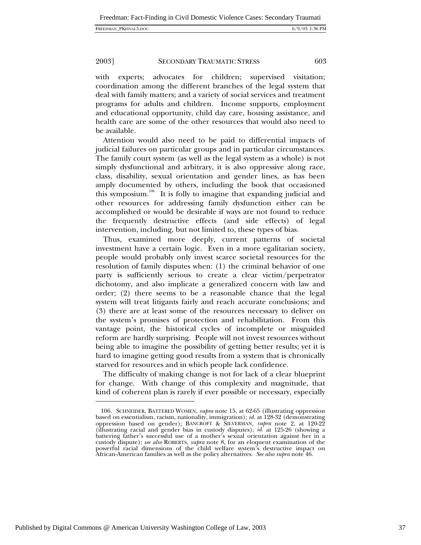| FREEDMAN PKFINAL5.DOC |  |
|-----------------------|--|
|-----------------------|--|

with experts; advocates for children; supervised visitation; coordination among the different branches of the legal system that deal with family matters; and a variety of social services and treatment programs for adults and children. Income supports, employment and educational opportunity, child day care, housing assistance, and health care are some of the other resources that would also need to be available.

Attention would also need to be paid to differential impacts of judicial failures on particular groups and in particular circumstances. The family court system (as well as the legal system as a whole) is not simply dysfunctional and arbitrary, it is also oppressive along race, class, disability, sexual orientation and gender lines, as has been amply documented by others, including the book that occasioned this symposium.<sup>106</sup> It is folly to imagine that expanding judicial and other resources for addressing family dysfunction either can be accomplished or would be desirable if ways are not found to reduce the frequently destructive effects (and side effects) of legal intervention, including, but not limited to, these types of bias.

Thus, examined more deeply, current patterns of societal investment have a certain logic. Even in a more egalitarian society, people would probably only invest scarce societal resources for the resolution of family disputes when: (1) the criminal behavior of one party is sufficiently serious to create a clear victim/perpetrator dichotomy, and also implicate a generalized concern with law and order; (2) there seems to be a reasonable chance that the legal system will treat litigants fairly and reach accurate conclusions; and (3) there are at least some of the resources necessary to deliver on the system's promises of protection and rehabilitation. From this vantage point, the historical cycles of incomplete or misguided reform are hardly surprising. People will not invest resources without being able to imagine the possibility of getting better results; yet it is hard to imagine getting good results from a system that is chronically starved for resources and in which people lack confidence.

The difficulty of making change is not for lack of a clear blueprint for change. With change of this complexity and magnitude, that kind of coherent plan is rarely if ever possible or necessary, especially

<sup>106.</sup> SCHNEIDER, BATTERED WOMEN, *supra* note 15, at 62-65 (illustrating oppression based on essentialism, racism, nationality, immigration); *id.* at 128-32 (demonstrating oppression based on gender); BANCROFT & SILVERMAN, *supra* note 2, at 120-22 (illustrating racial and gender bias in custody disputes); *id.* at 125-26 (showing a battering father's successful use of a mother's sexual orientation against her in a custody dispute); *see also* ROBERTS, *supra* note 8, for an eloquent examination of the powerful racial dimensions of the child welfare system's destructive impact on African-American families as well as the policy alternatives. *See also supra* note 46.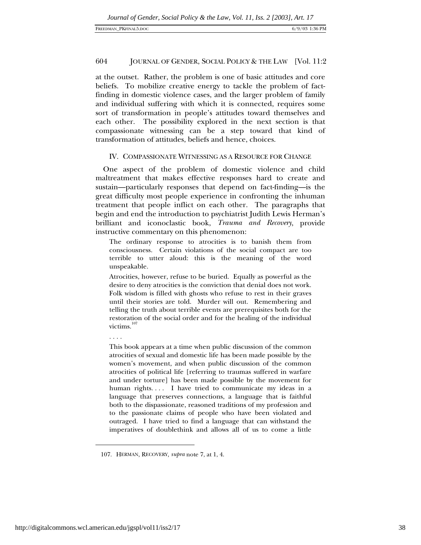at the outset. Rather, the problem is one of basic attitudes and core beliefs. To mobilize creative energy to tackle the problem of factfinding in domestic violence cases, and the larger problem of family and individual suffering with which it is connected, requires some sort of transformation in people's attitudes toward themselves and each other. The possibility explored in the next section is that compassionate witnessing can be a step toward that kind of transformation of attitudes, beliefs and hence, choices.

# IV. COMPASSIONATE WITNESSING AS A RESOURCE FOR CHANGE

One aspect of the problem of domestic violence and child maltreatment that makes effective responses hard to create and sustain—particularly responses that depend on fact-finding—is the great difficulty most people experience in confronting the inhuman treatment that people inflict on each other. The paragraphs that begin and end the introduction to psychiatrist Judith Lewis Herman's brilliant and iconoclastic book, *Trauma and Recovery*, provide instructive commentary on this phenomenon:

The ordinary response to atrocities is to banish them from consciousness. Certain violations of the social compact are too terrible to utter aloud: this is the meaning of the word unspeakable.

Atrocities, however, refuse to be buried. Equally as powerful as the desire to deny atrocities is the conviction that denial does not work. Folk wisdom is filled with ghosts who refuse to rest in their graves until their stories are told. Murder will out. Remembering and telling the truth about terrible events are prerequisites both for the restoration of the social order and for the healing of the individual victims.<sup>10</sup>

. . . .

This book appears at a time when public discussion of the common atrocities of sexual and domestic life has been made possible by the women's movement, and when public discussion of the common atrocities of political life [referring to traumas suffered in warfare and under torture] has been made possible by the movement for human rights.... I have tried to communicate my ideas in a language that preserves connections, a language that is faithful both to the dispassionate, reasoned traditions of my profession and to the passionate claims of people who have been violated and outraged. I have tried to find a language that can withstand the imperatives of doublethink and allows all of us to come a little

<sup>107.</sup> HERMAN, RECOVERY, *supra* note 7, at 1, 4.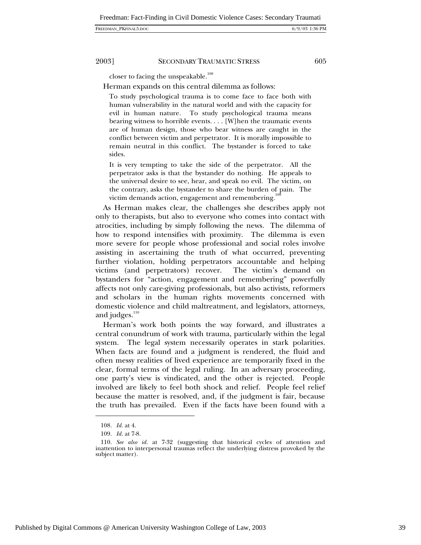closer to facing the unspeakable.<sup>108</sup>

Herman expands on this central dilemma as follows:

To study psychological trauma is to come face to face both with human vulnerability in the natural world and with the capacity for evil in human nature. To study psychological trauma means bearing witness to horrible events. . . . [W]hen the traumatic events are of human design, those who bear witness are caught in the conflict between victim and perpetrator. It is morally impossible to remain neutral in this conflict. The bystander is forced to take sides.

It is very tempting to take the side of the perpetrator. All the perpetrator asks is that the bystander do nothing. He appeals to the universal desire to see, hear, and speak no evil. The victim, on the contrary, asks the bystander to share the burden of pain. The victim demands action, engagement and remembering. 109

As Herman makes clear, the challenges she describes apply not only to therapists, but also to everyone who comes into contact with atrocities, including by simply following the news. The dilemma of how to respond intensifies with proximity. The dilemma is even more severe for people whose professional and social roles involve assisting in ascertaining the truth of what occurred, preventing further violation, holding perpetrators accountable and helping victims (and perpetrators) recover. The victim's demand on bystanders for "action, engagement and remembering" powerfully affects not only care-giving professionals, but also activists, reformers and scholars in the human rights movements concerned with domestic violence and child maltreatment, and legislators, attorneys, and judges.<sup>110</sup>

Herman's work both points the way forward, and illustrates a central conundrum of work with trauma, particularly within the legal system. The legal system necessarily operates in stark polarities. When facts are found and a judgment is rendered, the fluid and often messy realities of lived experience are temporarily fixed in the clear, formal terms of the legal ruling. In an adversary proceeding, one party's view is vindicated, and the other is rejected. People involved are likely to feel both shock and relief. People feel relief because the matter is resolved, and, if the judgment is fair, because the truth has prevailed. Even if the facts have been found with a

 $\overline{a}$ 

Published by Digital Commons @ American University Washington College of Law, 2003

<sup>108</sup>*. Id.* at 4.

<sup>109</sup>*. Id.* at 7-8.

<sup>110</sup>*. See also id.* at 7-32 (suggesting that historical cycles of attention and inattention to interpersonal traumas reflect the underlying distress provoked by the subject matter).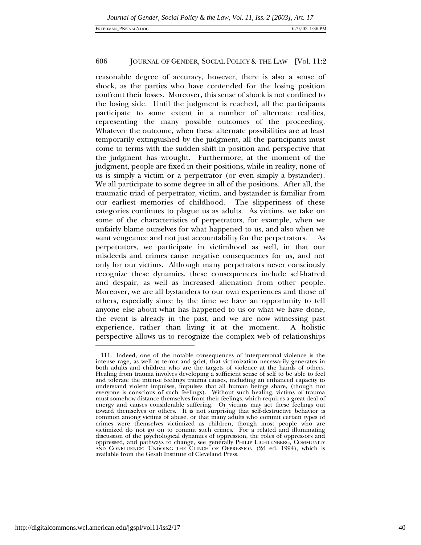reasonable degree of accuracy, however, there is also a sense of shock, as the parties who have contended for the losing position confront their losses. Moreover, this sense of shock is not confined to the losing side. Until the judgment is reached, all the participants participate to some extent in a number of alternate realities, representing the many possible outcomes of the proceeding. Whatever the outcome, when these alternate possibilities are at least temporarily extinguished by the judgment, all the participants must come to terms with the sudden shift in position and perspective that the judgment has wrought. Furthermore, at the moment of the judgment, people are fixed in their positions, while in reality, none of us is simply a victim or a perpetrator (or even simply a bystander). We all participate to some degree in all of the positions. After all, the traumatic triad of perpetrator, victim, and bystander is familiar from our earliest memories of childhood. The slipperiness of these categories continues to plague us as adults. As victims, we take on some of the characteristics of perpetrators, for example, when we unfairly blame ourselves for what happened to us, and also when we want vengeance and not just accountability for the perpetrators. $111$  As perpetrators, we participate in victimhood as well, in that our misdeeds and crimes cause negative consequences for us, and not only for our victims. Although many perpetrators never consciously recognize these dynamics, these consequences include self-hatred and despair, as well as increased alienation from other people. Moreover, we are all bystanders to our own experiences and those of others, especially since by the time we have an opportunity to tell anyone else about what has happened to us or what we have done, the event is already in the past, and we are now witnessing past experience, rather than living it at the moment. A holistic perspective allows us to recognize the complex web of relationships

<sup>111.</sup> Indeed, one of the notable consequences of interpersonal violence is the intense rage, as well as terror and grief, that victimization necessarily generates in both adults and children who are the targets of violence at the hands of others. Healing from trauma involves developing a sufficient sense of self to be able to feel and tolerate the intense feelings trauma causes, including an enhanced capacity to understand violent impulses, impulses that all human beings share, (though not everyone is conscious of such feelings). Without such healing, victims of trauma must somehow distance themselves from their feelings, which requires a great deal of energy and causes considerable suffering. Or victims may act these feelings out toward themselves or others. It is not surprising that self-destructive behavior is common among victims of abuse, or that many adults who commit certain types of crimes were themselves victimized as children, though most people who are victimized do not go on to commit such crimes. For a related and illuminating discussion of the psychological dynamics of oppression, the roles of oppressors and oppressed, and pathways to change, see generally PHILIP LICHTENBERG, COMMUNITY AND CONFLUENCE: UNDOING THE CLINCH OF OPPRESSION (2d ed. 1994), which is available from the Gesalt Institute of Cleveland Press.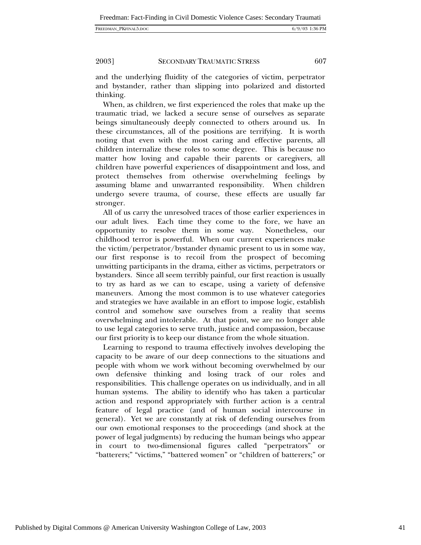and the underlying fluidity of the categories of victim, perpetrator and bystander, rather than slipping into polarized and distorted thinking.

When, as children, we first experienced the roles that make up the traumatic triad, we lacked a secure sense of ourselves as separate beings simultaneously deeply connected to others around us. In these circumstances, all of the positions are terrifying. It is worth noting that even with the most caring and effective parents, all children internalize these roles to some degree. This is because no matter how loving and capable their parents or caregivers, all children have powerful experiences of disappointment and loss, and protect themselves from otherwise overwhelming feelings by assuming blame and unwarranted responsibility. When children undergo severe trauma, of course, these effects are usually far stronger.

All of us carry the unresolved traces of those earlier experiences in our adult lives. Each time they come to the fore, we have an opportunity to resolve them in some way. Nonetheless, our childhood terror is powerful. When our current experiences make the victim/perpetrator/bystander dynamic present to us in some way, our first response is to recoil from the prospect of becoming unwitting participants in the drama, either as victims, perpetrators or bystanders. Since all seem terribly painful, our first reaction is usually to try as hard as we can to escape, using a variety of defensive maneuvers. Among the most common is to use whatever categories and strategies we have available in an effort to impose logic, establish control and somehow save ourselves from a reality that seems overwhelming and intolerable. At that point, we are no longer able to use legal categories to serve truth, justice and compassion, because our first priority is to keep our distance from the whole situation.

Learning to respond to trauma effectively involves developing the capacity to be aware of our deep connections to the situations and people with whom we work without becoming overwhelmed by our own defensive thinking and losing track of our roles and responsibilities. This challenge operates on us individually, and in all human systems. The ability to identify who has taken a particular action and respond appropriately with further action is a central feature of legal practice (and of human social intercourse in general). Yet we are constantly at risk of defending ourselves from our own emotional responses to the proceedings (and shock at the power of legal judgments) by reducing the human beings who appear in court to two-dimensional figures called "perpetrators" or "batterers;" "victims," "battered women" or "children of batterers;" or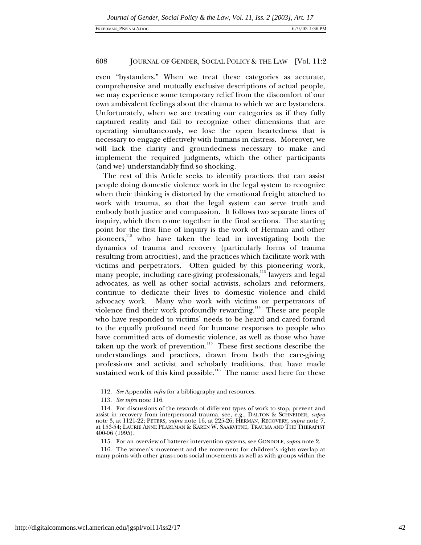even "bystanders." When we treat these categories as accurate, comprehensive and mutually exclusive descriptions of actual people, we may experience some temporary relief from the discomfort of our own ambivalent feelings about the drama to which we are bystanders. Unfortunately, when we are treating our categories as if they fully captured reality and fail to recognize other dimensions that are operating simultaneously, we lose the open heartedness that is necessary to engage effectively with humans in distress. Moreover, we will lack the clarity and groundedness necessary to make and implement the required judgments, which the other participants (and we) understandably find so shocking.

The rest of this Article seeks to identify practices that can assist people doing domestic violence work in the legal system to recognize when their thinking is distorted by the emotional freight attached to work with trauma, so that the legal system can serve truth and embody both justice and compassion. It follows two separate lines of inquiry, which then come together in the final sections. The starting point for the first line of inquiry is the work of Herman and other pioneers, $112$  who have taken the lead in investigating both the dynamics of trauma and recovery (particularly forms of trauma resulting from atrocities), and the practices which facilitate work with victims and perpetrators. Often guided by this pioneering work, many people, including care-giving professionals,<sup>113</sup> lawyers and legal advocates, as well as other social activists, scholars and reformers, continue to dedicate their lives to domestic violence and child advocacy work. Many who work with victims or perpetrators of violence find their work profoundly rewarding.<sup>114</sup> These are people who have responded to victims' needs to be heard and cared forand to the equally profound need for humane responses to people who have committed acts of domestic violence, as well as those who have taken up the work of prevention.<sup>115</sup> These first sections describe the understandings and practices, drawn from both the care-giving professions and activist and scholarly traditions, that have made sustained work of this kind possible.<sup>116</sup> The name used here for these

-

<sup>112</sup>*. See* Appendix *infra* for a bibliography and resources.

<sup>113</sup>*. See infra* note 116.

<sup>114.</sup> For discussions of the rewards of different types of work to stop, prevent and assist in recovery from interpersonal trauma, see, e.g., DALTON & SCHNEIDER, *supra* note 3, at 1121-22; PETERS, *supra* note 16, at 225-26; HERMAN, RECOVERY, *supra* note 7, at 153-54; LAURIE ANNE PEARLMAN & KAREN W. SAAKVITNE, TRAUMA AND THE THERAPIST 400-06 (1995).

<sup>115.</sup> For an overview of batterer intervention systems, see GONDOLF, *supra* note 2.

<sup>116.</sup> The women's movement and the movement for children's rights overlap at many points with other grass-roots social movements as well as with groups within the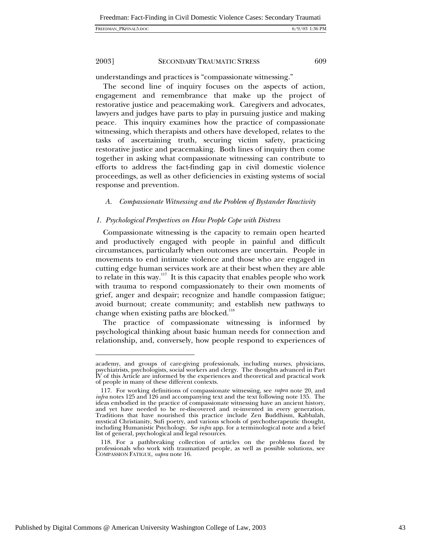| FREEDMAN PKFINAL5.DOC | $6/9/03$ 1:36 PM |
|-----------------------|------------------|

understandings and practices is "compassionate witnessing."

The second line of inquiry focuses on the aspects of action, engagement and remembrance that make up the project of restorative justice and peacemaking work. Caregivers and advocates, lawyers and judges have parts to play in pursuing justice and making peace. This inquiry examines how the practice of compassionate witnessing, which therapists and others have developed, relates to the tasks of ascertaining truth, securing victim safety, practicing restorative justice and peacemaking. Both lines of inquiry then come together in asking what compassionate witnessing can contribute to efforts to address the fact-finding gap in civil domestic violence proceedings, as well as other deficiencies in existing systems of social response and prevention.

### *A. Compassionate Witnessing and the Problem of Bystander Reactivity*

## *1. Psychological Perspectives on How People Cope with Distress*

Compassionate witnessing is the capacity to remain open hearted and productively engaged with people in painful and difficult circumstances, particularly when outcomes are uncertain. People in movements to end intimate violence and those who are engaged in cutting edge human services work are at their best when they are able to relate in this way.<sup>117</sup> It is this capacity that enables people who work with trauma to respond compassionately to their own moments of grief, anger and despair; recognize and handle compassion fatigue; avoid burnout; create community; and establish new pathways to change when existing paths are blocked.<sup>118</sup>

The practice of compassionate witnessing is informed by psychological thinking about basic human needs for connection and relationship, and, conversely, how people respond to experiences of

1

academy, and groups of care-giving professionals, including nurses, physicians, psychiatrists, psychologists, social workers and clergy. The thoughts advanced in Part IV of this Article are informed by the experiences and theoretical and practical work of people in many of these different contexts.

<sup>117.</sup> For working definitions of compassionate witnessing, see *supra* note 20, and *infra* notes 125 and 126 and accompanying text and the text following note 135. The ideas embodied in the practice of compassionate witnessing have an ancient history, and yet have needed to be re-discovered and re-invented in every generation. Traditions that have nourished this practice include Zen Buddhism, Kabbalah, mystical Christianity, Sufi poetry, and various schools of psychotherapeutic thought, including Humanistic Psychology. *See infra* app. for a terminological note and a brief list of general, psychological and legal resources.

<sup>118.</sup> For a pathbreaking collection of articles on the problems faced by professionals who work with traumatized people, as well as possible solutions, see COMPASSION FATIGUE, *supra* note 16.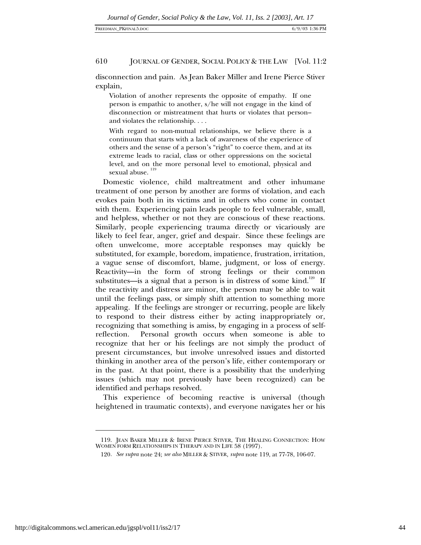disconnection and pain. As Jean Baker Miller and Irene Pierce Stiver explain,

Violation of another represents the opposite of empathy. If one person is empathic to another, s/he will not engage in the kind of disconnection or mistreatment that hurts or violates that person– and violates the relationship. . . .

With regard to non-mutual relationships, we believe there is a continuum that starts with a lack of awareness of the experience of others and the sense of a person's "right" to coerce them, and at its extreme leads to racial, class or other oppressions on the societal level, and on the more personal level to emotional, physical and sexual abuse.  $^{119}$ 

Domestic violence, child maltreatment and other inhumane treatment of one person by another are forms of violation, and each evokes pain both in its victims and in others who come in contact with them. Experiencing pain leads people to feel vulnerable, small, and helpless, whether or not they are conscious of these reactions. Similarly, people experiencing trauma directly or vicariously are likely to feel fear, anger, grief and despair. Since these feelings are often unwelcome, more acceptable responses may quickly be substituted, for example, boredom, impatience, frustration, irritation, a vague sense of discomfort, blame, judgment, or loss of energy. Reactivity—in the form of strong feelings or their common substitutes—is a signal that a person is in distress of some kind.<sup>120</sup> If the reactivity and distress are minor, the person may be able to wait until the feelings pass, or simply shift attention to something more appealing. If the feelings are stronger or recurring, people are likely to respond to their distress either by acting inappropriately or, recognizing that something is amiss, by engaging in a process of selfreflection. Personal growth occurs when someone is able to recognize that her or his feelings are not simply the product of present circumstances, but involve unresolved issues and distorted thinking in another area of the person's life, either contemporary or in the past. At that point, there is a possibility that the underlying issues (which may not previously have been recognized) can be identified and perhaps resolved.

This experience of becoming reactive is universal (though heightened in traumatic contexts), and everyone navigates her or his

<sup>119.</sup> JEAN BAKER MILLER & IRENE PIERCE STIVER, THE HEALING CONNECTION: HOW WOMEN FORM RELATIONSHIPS IN THERAPY AND IN LIFE 58 (1997).

<sup>120</sup>*. See supra* note 24; *see also* MILLER & STIVER, *supra* note 119, at 77-78, 106-07.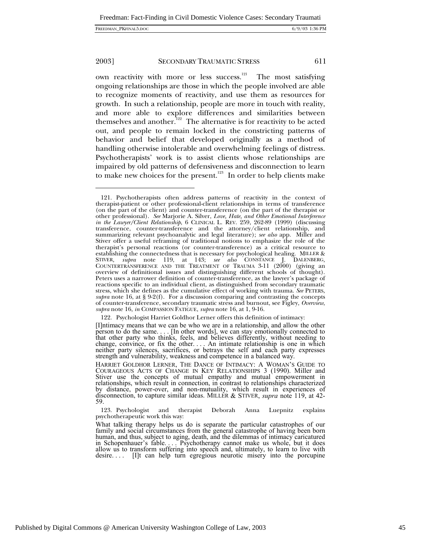-

## 2003] SECONDARY TRAUMATIC STRESS 611

own reactivity with more or less success.<sup>121</sup> The most satisfying ongoing relationships are those in which the people involved are able to recognize moments of reactivity, and use them as resources for growth. In such a relationship, people are more in touch with reality, and more able to explore differences and similarities between themselves and another.<sup>122</sup> The alternative is for reactivity to be acted out, and people to remain locked in the constricting patterns of behavior and belief that developed originally as a method of handling otherwise intolerable and overwhelming feelings of distress. Psychotherapists' work is to assist clients whose relationships are impaired by old patterns of defensiveness and disconnection to learn to make new choices for the present.<sup>123</sup> In order to help clients make

122. Psychologist Harriet Goldhor Lerner offers this definition of intimacy:

123. Psychologist and therapist Deborah Anna Luepnitz explains psychotherapeutic work this way:

FREEDMAN\_PKFINAL5.DOC 6/9/03 1:36 PM

<sup>121.</sup> Psychotherapists often address patterns of reactivity in the context of therapist-patient or other professional-client relationships in terms of transference (on the part of the client) and counter-transference (on the part of the therapist or other professional). *See* Marjorie A. Silver, *Love, Hate, and Other Emotional Interference in the Lawyer/Client Relationship*, 6 CLINICAL L. REV. 259, 262-89 (1999) (discussing transference, counter-transference and the attorney/client relationship, and summarizing relevant psychoanalytic and legal literature); *see also* app. Miller and Stiver offer a useful reframing of traditional notions to emphasize the role of the therapist's personal reactions (or counter-transference) as a critical resource to establishing the connectedness that is necessary for psychological healing. MILLER &<br>STIVER, *supra* note 119, at 143; *see also* CONSTANCE J. DALENBERG, STIVER, *supra* note 119, at 143; *see also* CONSTANCE J. COUNTERTRANSFERENCE AND THE TREATMENT OF TRAUMA 3-11 (2000) (giving an overview of definitional issues and distinguishing different schools of thought). Peters uses a narrower definition of counter-transference, as the lawyer's package of reactions specific to an individual client, as distinguished from secondary traumatic stress, which she defines as the cumulative effect of working with trauma. See PETERS, supra note 16, at § 9-2(f). For a discussion comparing and contrasting the concepts of counter-transference, secondary traumatic stress and burnout, see Figley, *Overview*, *supra* note 16, *in* COMPASSION FATIGUE, *supra* note 16, at 1, 9-16.

<sup>[</sup>I]ntimacy means that we can be who we are in a relationship, and allow the other person to do the same. . . . [In other words], we can stay emotionally connected to that other party who thinks, feels, and believes differently, without needing to change, convince, or fix the other. . . . An intimate relationship is one in which neither party silences, sacrifices, or betrays the self and each party expresses strength and vulnerability, weakness and competence in a balanced way.

HARRIET GOLDHOR LERNER, THE DANCE OF INTIMACY: A WOMAN'S GUIDE TO COURAGEOUS ACTS OF CHANGE IN KEY RELATIONSHIPS 3 (1990). Miller and Stiver use the concepts of mutual empathy and mutual empowerment in relationships, which result in connection, in contrast to relationships characterized by distance, power-over, and non-mutuality, which result in experiences of disconnection, to capture similar ideas. MILLER & STIVER, *supra* note 119, at 42- 59.

What talking therapy helps us do is separate the particular catastrophes of our family and social circumstances from the general catastrophe of having been born human, and thus, subject to aging, death, and the dilemmas of intimacy caricatured in Schopenhauer's fable. . . . Psychotherapy cannot make us whole, but it does allow us to transform suffering into speech and, ultimately, to learn to live with desire.... [I]t can help turn egregious neurotic misery into the porcupine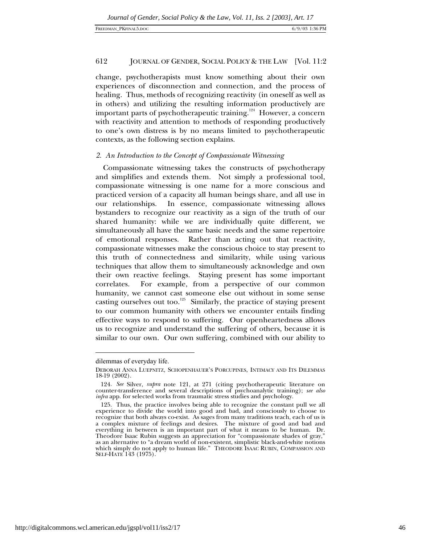change, psychotherapists must know something about their own experiences of disconnection and connection, and the process of healing. Thus, methods of recognizing reactivity (in oneself as well as in others) and utilizing the resulting information productively are important parts of psychotherapeutic training.<sup>124</sup> However, a concern with reactivity and attention to methods of responding productively to one's own distress is by no means limited to psychotherapeutic contexts, as the following section explains.

# *2. An Introduction to the Concept of Compassionate Witnessing*

Compassionate witnessing takes the constructs of psychotherapy and simplifies and extends them. Not simply a professional tool, compassionate witnessing is one name for a more conscious and practiced version of a capacity all human beings share, and all use in our relationships. In essence, compassionate witnessing allows bystanders to recognize our reactivity as a sign of the truth of our shared humanity: while we are individually quite different, we simultaneously all have the same basic needs and the same repertoire of emotional responses. Rather than acting out that reactivity, compassionate witnesses make the conscious choice to stay present to this truth of connectedness and similarity, while using various techniques that allow them to simultaneously acknowledge and own their own reactive feelings. Staying present has some important correlates. For example, from a perspective of our common humanity, we cannot cast someone else out without in some sense casting ourselves out too.<sup>125</sup> Similarly, the practice of staying present to our common humanity with others we encounter entails finding effective ways to respond to suffering. Our openheartedness allows us to recognize and understand the suffering of others, because it is similar to our own. Our own suffering, combined with our ability to

1

dilemmas of everyday life.

DEBORAH ANNA LUEPNITZ, SCHOPENHAUER'S PORCUPINES, INTIMACY AND ITS DILEMMAS 18-19 (2002).

<sup>124</sup>*. See* Silver, *supra* note 121, at 271 (citing psychotherapeutic literature on counter-transference and several descriptions of psychoanalytic training); *see also infra* app. for selected works from traumatic stress studies and psychology.

<sup>125.</sup> Thus, the practice involves being able to recognize the constant pull we all experience to divide the world into good and bad, and consciously to choose to recognize that both always co-exist. As sages from many traditions teach, each of us is a complex mixture of feelings and desires. The mixture of good and bad and everything in between is an important part of what it means to be human. Dr. Theodore Isaac Rubin suggests an appreciation for "compassionate shades of gray," as an alternative to "a dream world of non-existent, simplistic black-and-white notions which simply do not apply to human life." THEODORE ISAAC RUBIN, COMPASSION AND SELF-HATE 143 (1975).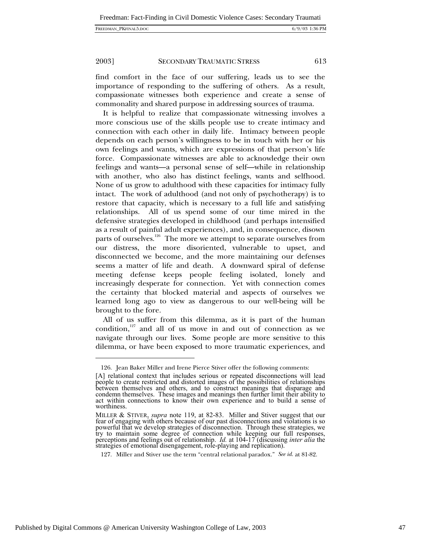find comfort in the face of our suffering, leads us to see the importance of responding to the suffering of others. As a result, compassionate witnesses both experience and create a sense of commonality and shared purpose in addressing sources of trauma.

It is helpful to realize that compassionate witnessing involves a more conscious use of the skills people use to create intimacy and connection with each other in daily life. Intimacy between people depends on each person's willingness to be in touch with her or his own feelings and wants, which are expressions of that person's life force. Compassionate witnesses are able to acknowledge their own feelings and wants—a personal sense of self—while in relationship with another, who also has distinct feelings, wants and selfhood. None of us grow to adulthood with these capacities for intimacy fully intact. The work of adulthood (and not only of psychotherapy) is to restore that capacity, which is necessary to a full life and satisfying relationships. All of us spend some of our time mired in the defensive strategies developed in childhood (and perhaps intensified as a result of painful adult experiences), and, in consequence, disown parts of ourselves.<sup>126</sup> The more we attempt to separate ourselves from our distress, the more disoriented, vulnerable to upset, and disconnected we become, and the more maintaining our defenses seems a matter of life and death. A downward spiral of defense meeting defense keeps people feeling isolated, lonely and increasingly desperate for connection. Yet with connection comes the certainty that blocked material and aspects of ourselves we learned long ago to view as dangerous to our well-being will be brought to the fore.

All of us suffer from this dilemma, as it is part of the human condition,<sup>127</sup> and all of us move in and out of connection as we navigate through our lives. Some people are more sensitive to this dilemma, or have been exposed to more traumatic experiences, and

<sup>126.</sup> Jean Baker Miller and Irene Pierce Stiver offer the following comments:

<sup>[</sup>A] relational context that includes serious or repeated disconnections will lead people to create restricted and distorted images of the possibilities of relationships between themselves and others, and to construct meanings that disparage and condemn themselves. These images and meanings then further limit their ability to act within connections to know their own experience and to build a sense of worthiness.

MILLER & STIVER, *supra* note 119, at 82-83. Miller and Stiver suggest that our fear of engaging with others because of our past disconnections and violations is so powerful that we develop strategies of disconnection. Through these strategies, we try to maintain some degree of connection while keeping our full responses, perceptions and feelings out of relationship. *Id.* at 104-17 (discussing *inter alia* the strategies of emotional disengagement, role-playing and replication).

<sup>127.</sup> Miller and Stiver use the term "central relational paradox." *See id.* at 81-82.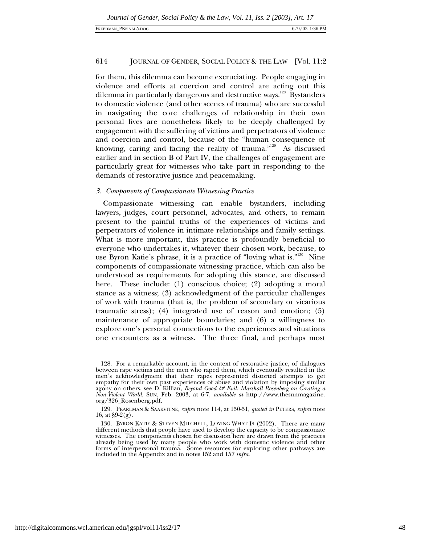for them, this dilemma can become excruciating. People engaging in violence and efforts at coercion and control are acting out this dilemma in particularly dangerous and destructive ways.<sup>128</sup> Bystanders to domestic violence (and other scenes of trauma) who are successful in navigating the core challenges of relationship in their own personal lives are nonetheless likely to be deeply challenged by engagement with the suffering of victims and perpetrators of violence and coercion and control, because of the "human consequence of knowing, caring and facing the reality of trauma."129 As discussed earlier and in section B of Part IV, the challenges of engagement are particularly great for witnesses who take part in responding to the demands of restorative justice and peacemaking.

# *3. Components of Compassionate Witnessing Practice*

Compassionate witnessing can enable bystanders, including lawyers, judges, court personnel, advocates, and others, to remain present to the painful truths of the experiences of victims and perpetrators of violence in intimate relationships and family settings. What is more important, this practice is profoundly beneficial to everyone who undertakes it, whatever their chosen work, because, to use Byron Katie's phrase, it is a practice of "loving what is."<sup>130</sup> Nine components of compassionate witnessing practice, which can also be understood as requirements for adopting this stance, are discussed here. These include: (1) conscious choice; (2) adopting a moral stance as a witness; (3) acknowledgment of the particular challenges of work with trauma (that is, the problem of secondary or vicarious traumatic stress); (4) integrated use of reason and emotion; (5) maintenance of appropriate boundaries; and (6) a willingness to explore one's personal connections to the experiences and situations one encounters as a witness. The three final, and perhaps most

<sup>128.</sup> For a remarkable account, in the context of restorative justice, of dialogues between rape victims and the men who raped them, which eventually resulted in the men's acknowledgment that their rapes represented distorted attempts to get empathy for their own past experiences of abuse and violation by imposing similar agony on others, see D. Killian, *Beyond Good & Evil: Marshall Rosenberg on Creating a Non-Violent World*, SUN, Feb. 2003, at 6-7, *available at* http://www.thesunmagazine. org/326\_Rosenberg.pdf.

<sup>129.</sup> PEARLMAN & SAAKVITNE, *supra* note 114, at 150-51, *quoted in* PETERS, *supra* note 16, at §9-2(g).

<sup>130.</sup> BYRON KATIE & STEVEN MITCHELL, LOVING WHAT IS (2002). There are many different methods that people have used to develop the capacity to be compassionate witnesses. The components chosen for discussion here are drawn from the practices already being used by many people who work with domestic violence and other forms of interpersonal trauma. Some resources for exploring other pathways are included in the Appendix and in notes 152 and 157 *infra.*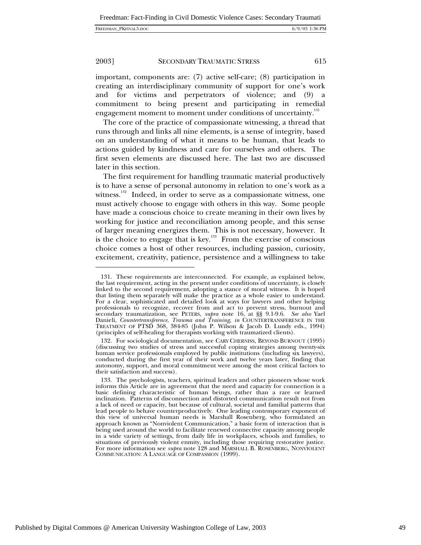|  | FREEDMAN PKFINAL5.DOC |  |
|--|-----------------------|--|
|--|-----------------------|--|

 $\overline{a}$ 

## 2003] **SECONDARY TRAUMATIC STRESS** 615

important, components are: (7) active self-care; (8) participation in creating an interdisciplinary community of support for one's work and for victims and perpetrators of violence; and (9) a commitment to being present and participating in remedial engagement moment to moment under conditions of uncertainty.<sup>131</sup>

The core of the practice of compassionate witnessing, a thread that runs through and links all nine elements, is a sense of integrity, based on an understanding of what it means to be human, that leads to actions guided by kindness and care for ourselves and others. The first seven elements are discussed here. The last two are discussed later in this section.

The first requirement for handling traumatic material productively is to have a sense of personal autonomy in relation to one's work as a witness.<sup>132</sup> Indeed, in order to serve as a compassionate witness, one must actively choose to engage with others in this way. Some people have made a conscious choice to create meaning in their own lives by working for justice and reconciliation among people, and this sense of larger meaning energizes them. This is not necessary, however. It is the choice to engage that is key. $133$  From the exercise of conscious choice comes a host of other resources, including passion, curiosity, excitement, creativity, patience, persistence and a willingness to take

<sup>131.</sup> These requirements are interconnected. For example, as explained below, the last requirement, acting in the present under conditions of uncertainty, is closely linked to the second requirement, adopting a stance of moral witness. It is hoped that listing them separately will make the practice as a whole easier to understand. For a clear, sophisticated and detailed look at ways for lawyers and other helping professionals to recognize, recover from and act to prevent stress, burnout and secondary traumatization, see PETERS, *supra* note 16, at §§ 9.1-9.6. *See also* Yael Danieli, *Countertransference, Trauma and Training*, *in* COUNTERTRANSFERENCE IN THE TREATMENT OF PTSD 368, 384-85 (John P. Wilson & Jacob D. Lundy eds., 1994) (principles of self-healing for therapists working with traumatized clients).

<sup>132.</sup> For sociological documentation, see CARY CHERNISS, BEYOND BURNOUT (1995) (discussing two studies of stress and successful coping strategies among twenty-six human service professionals employed by public institutions (including six lawyers), conducted during the first year of their work and twelve years later, finding that autonomy, support, and moral commitment were among the most critical factors to their satisfaction and success).

<sup>133.</sup> The psychologists, teachers, spiritual leaders and other pioneers whose work informs this Article are in agreement that the need and capacity for connection is a basic defining characteristic of human beings, rather than a rare or learned inclination. Patterns of disconnection and distorted communication result not from a lack of need or capacity, but because of cultural, societal and familial patterns that lead people to behave counterproductively. One leading contemporary exponent of this view of universal human needs is Marshall Rosenberg, who formulated an approach known as "Nonviolent Communication," a basic form of interaction that is being used around the world to facilitate renewed connective capacity among people in a wide variety of settings, from daily life in workplaces, schools and families, to situations of previously violent enmity, including those requiring restorative justice. For more information see *supra* note 128 and MARSHALL B. ROSENBERG, NONVIOLENT COMMUNICATION: A LANGUAGE OF COMPASSION (1999).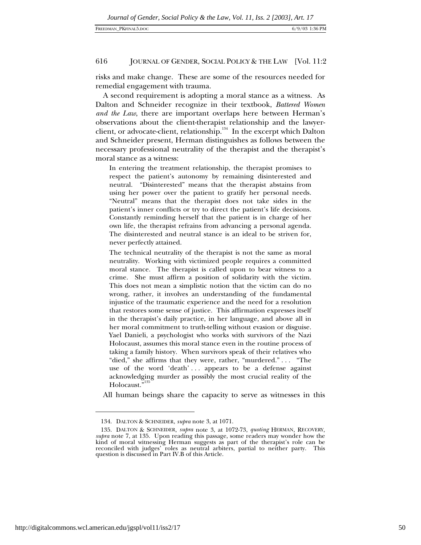risks and make change. These are some of the resources needed for remedial engagement with trauma.

A second requirement is adopting a moral stance as a witness. As Dalton and Schneider recognize in their textbook, *Battered Women and the Law*, there are important overlaps here between Herman's observations about the client-therapist relationship and the lawyerclient, or advocate-client, relationship.<sup>134</sup> In the excerpt which Dalton and Schneider present, Herman distinguishes as follows between the necessary professional neutrality of the therapist and the therapist's moral stance as a witness:

In entering the treatment relationship, the therapist promises to respect the patient's autonomy by remaining disinterested and neutral. "Disinterested" means that the therapist abstains from using her power over the patient to gratify her personal needs. "Neutral" means that the therapist does not take sides in the patient's inner conflicts or try to direct the patient's life decisions. Constantly reminding herself that the patient is in charge of her own life, the therapist refrains from advancing a personal agenda. The disinterested and neutral stance is an ideal to be striven for, never perfectly attained.

The technical neutrality of the therapist is not the same as moral neutrality. Working with victimized people requires a committed moral stance. The therapist is called upon to bear witness to a crime. She must affirm a position of solidarity with the victim. This does not mean a simplistic notion that the victim can do no wrong, rather, it involves an understanding of the fundamental injustice of the traumatic experience and the need for a resolution that restores some sense of justice. This affirmation expresses itself in the therapist's daily practice, in her language, and above all in her moral commitment to truth-telling without evasion or disguise. Yael Danieli, a psychologist who works with survivors of the Nazi Holocaust, assumes this moral stance even in the routine process of taking a family history. When survivors speak of their relatives who "died," she affirms that they were, rather, "murdered." . . . "The use of the word 'death'... appears to be a defense against acknowledging murder as possibly the most crucial reality of the Holocaust."<sup>13</sup>

All human beings share the capacity to serve as witnesses in this

<sup>134.</sup> DALTON & SCHNEIDER, *supra* note 3, at 1071.

<sup>135.</sup> DALTON & SCHNEIDER, *supra* note 3, at 1072-73, *quoting* HERMAN, RECOVERY, *supra* note 7, at 135. Upon reading this passage, some readers may wonder how the kind of moral witnessing Herman suggests as part of the therapist's role can be reconciled with judges' roles as neutral arbiters, partial to neither party. This question is discussed in Part IV.B of this Article.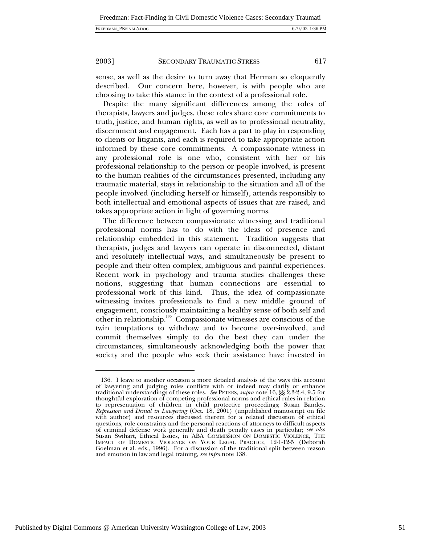sense, as well as the desire to turn away that Herman so eloquently described. Our concern here, however, is with people who are choosing to take this stance in the context of a professional role.

Despite the many significant differences among the roles of therapists, lawyers and judges, these roles share core commitments to truth, justice, and human rights, as well as to professional neutrality, discernment and engagement. Each has a part to play in responding to clients or litigants, and each is required to take appropriate action informed by these core commitments. A compassionate witness in any professional role is one who, consistent with her or his professional relationship to the person or people involved, is present to the human realities of the circumstances presented, including any traumatic material, stays in relationship to the situation and all of the people involved (including herself or himself), attends responsibly to both intellectual and emotional aspects of issues that are raised, and takes appropriate action in light of governing norms.

The difference between compassionate witnessing and traditional professional norms has to do with the ideas of presence and relationship embedded in this statement. Tradition suggests that therapists, judges and lawyers can operate in disconnected, distant and resolutely intellectual ways, and simultaneously be present to people and their often complex, ambiguous and painful experiences. Recent work in psychology and trauma studies challenges these notions, suggesting that human connections are essential to professional work of this kind. Thus, the idea of compassionate witnessing invites professionals to find a new middle ground of engagement, consciously maintaining a healthy sense of both self and other in relationship.<sup>136</sup> Compassionate witnesses are conscious of the twin temptations to withdraw and to become over-involved, and commit themselves simply to do the best they can under the circumstances, simultaneously acknowledging both the power that society and the people who seek their assistance have invested in

<sup>136.</sup> I leave to another occasion a more detailed analysis of the ways this account of lawyering and judging roles conflicts with or indeed may clarify or enhance traditional understandings of these roles. *See* PETERS, *supra* note 16, §§ 2.3-2.4, 9.5 for thoughtful exploration of competing professional norms and ethical rules in relation to representation of children in child protective proceedings; Susan Bandes, *Repression and Denial in Lawyering* (Oct. 18, 2001) (unpublished manuscript on file with author) and resources discussed therein for a related discussion of ethical questions, role constraints and the personal reactions of attorneys to difficult aspects of criminal defense work generally and death penalty cases in particular; *see also* Susan Swihart, Ethical Issues, in ABA COMMISSION ON DOMESTIC VIOLENCE, THE IMPACT OF DOMESTIC VIOLENCE ON YOUR LEGAL PRACTICE, 12-1-12-5 (Deborah Goelman et al. eds., 1996). For a discussion of the traditional split between reason and emotion in law and legal training, *see infra* note 138.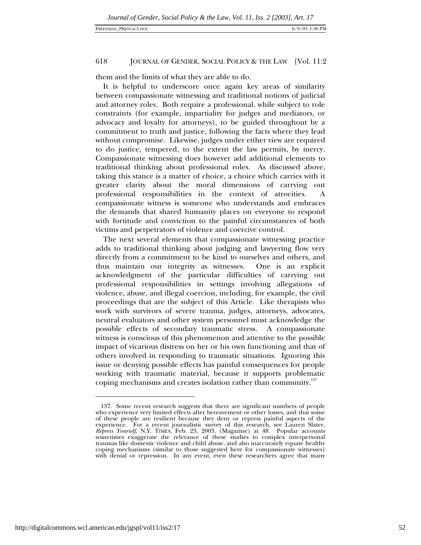them and the limits of what they are able to do.

It is helpful to underscore once again key areas of similarity between compassionate witnessing and traditional notions of judicial and attorney roles. Both require a professional, while subject to role constraints (for example, impartiality for judges and mediators, or advocacy and loyalty for attorneys), to be guided throughout by a commitment to truth and justice, following the facts where they lead without compromise. Likewise, judges under either view are required to do justice, tempered, to the extent the law permits, by mercy. Compassionate witnessing does however add additional elements to traditional thinking about professional roles. As discussed above, taking this stance is a matter of choice, a choice which carries with it greater clarity about the moral dimensions of carrying out professional responsibilities in the context of atrocities. A compassionate witness is someone who understands and embraces the demands that shared humanity places on everyone to respond with fortitude and conviction to the painful circumstances of both victims and perpetrators of violence and coercive control.

The next several elements that compassionate witnessing practice adds to traditional thinking about judging and lawyering flow very directly from a commitment to be kind to ourselves and others, and thus maintain our integrity as witnesses. One is an explicit acknowledgment of the particular difficulties of carrying out professional responsibilities in settings involving allegations of violence, abuse, and illegal coercion, including, for example, the civil proceedings that are the subject of this Article. Like therapists who work with survivors of severe trauma, judges, attorneys, advocates, neutral evaluators and other system personnel must acknowledge the possible effects of secondary traumatic stress. A compassionate witness is conscious of this phenomenon and attentive to the possible impact of vicarious distress on her or his own functioning and that of others involved in responding to traumatic situations. Ignoring this issue or denying possible effects has painful consequences for people working with traumatic material, because it supports problematic coping mechanisms and creates isolation rather than community.<sup>137</sup>

-

<sup>137.</sup> Some recent research suggests that there are significant numbers of people who experience very limited effects after bereavement or other losses, and that some of these people are resilient because they deny or repress painful aspects of the experience. For a recent journalistic survey of this research, see Lauren Slater, *Repress Yourself*, N.Y. TIMES, Feb. 23, 2003, (Magazine) at 48. Popular accounts sometimes exaggerate the relevance of these studies to complex interpersonal traumas like domestic violence and child abuse, and also inaccurately equate healthy coping mechanisms (similar to those suggested here for compassionate witnesses) with denial or repression. In any event, even these researchers agree that many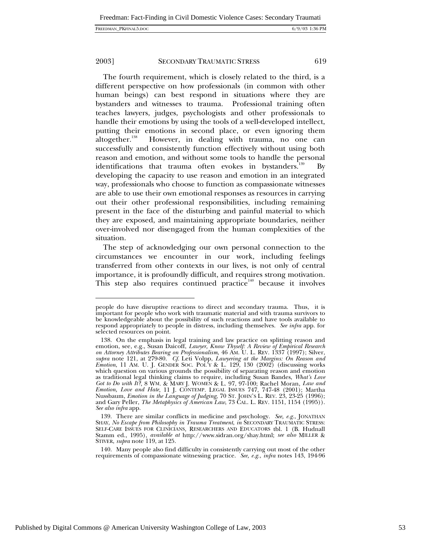| FREEDMAN PKFINAL5.DOC | $6/9/03$ 1:36 PM |
|-----------------------|------------------|

The fourth requirement, which is closely related to the third, is a different perspective on how professionals (in common with other human beings) can best respond in situations where they are bystanders and witnesses to trauma. Professional training often teaches lawyers, judges, psychologists and other professionals to handle their emotions by using the tools of a well-developed intellect, putting their emotions in second place, or even ignoring them altogether.<sup>138</sup> However, in dealing with trauma, no one can successfully and consistently function effectively without using both reason and emotion, and without some tools to handle the personal identifications that trauma often evokes in bystanders.<sup>139</sup> By developing the capacity to use reason and emotion in an integrated way, professionals who choose to function as compassionate witnesses are able to use their own emotional responses as resources in carrying out their other professional responsibilities, including remaining present in the face of the disturbing and painful material to which they are exposed, and maintaining appropriate boundaries, neither over-involved nor disengaged from the human complexities of the situation.

The step of acknowledging our own personal connection to the circumstances we encounter in our work, including feelings transferred from other contexts in our lives, is not only of central importance, it is profoundly difficult, and requires strong motivation. This step also requires continued practice<sup>140</sup> because it involves

people do have disruptive reactions to direct and secondary trauma. Thus, it is important for people who work with traumatic material and with trauma survivors to be knowledgeable about the possibility of such reactions and have tools available to respond appropriately to people in distress, including themselves. *See infra* app. for selected resources on point.

<sup>138.</sup> On the emphasis in legal training and law practice on splitting reason and emotion, see, e.g., Susan Daicoff, *Lawyer, Know Thyself: A Review of Empirical Research on Attorney Attributes Bearing on Professionalism*, 46 AM. U. L. REV. 1337 (1997); Silver, *supra* note 121, at 279-80. *Cf.* Leti Volpp, *Lawyering at the Margins: On Reason and Emotion*, 11 AM. U. J. GENDER SOC. POL'Y & L. 129, 130 (2002) (discussing works which question on various grounds the possibility of separating reason and emotion as traditional legal thinking claims to require, including Susan Bandes, *What's Love Got to Do with It?*, 8 WM. & MARY J. WOMEN & L. 97, 97-100; Rachel Moran, *Law and Emotion, Love and Hate*, 11 J. CONTEMP. LEGAL ISSUES 747, 747-48 (2001); Martha Nussbaum, *Emotion in the Language of Judging*, 70 ST. JOHN'S L. REV. 23, 23-25 (1996); and Gary Peller, *The Metaphysics of American Law*, 73 CAL. L. REV. 1151, 1154 (1995)). *See also infra* app.

<sup>139.</sup> There are similar conflicts in medicine and psychology. *See, e.g.*, JONATHAN SELF-CARE ISSUES FOR CLINICIANS, RESEARCHERS AND EDUCATORS tbl. 1 (B. Hudnall Stamm ed., 1995), *available at* http://www.sidran.org/shay.html; *see also* MILLER & STIVER, *supra* note 119, at 125.

<sup>140.</sup> Many people also find difficulty in consistently carrying out most of the other requirements of compassionate witnessing practice. *See, e.g.*, *infra* notes 143, 194-96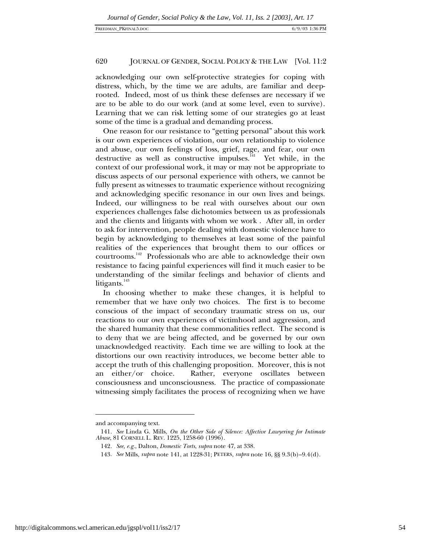acknowledging our own self-protective strategies for coping with distress, which, by the time we are adults, are familiar and deeprooted. Indeed, most of us think these defenses are necessary if we are to be able to do our work (and at some level, even to survive). Learning that we can risk letting some of our strategies go at least some of the time is a gradual and demanding process.

One reason for our resistance to "getting personal" about this work is our own experiences of violation, our own relationship to violence and abuse, our own feelings of loss, grief, rage, and fear, our own destructive as well as constructive impulses. $^{141}$  Yet while, in the context of our professional work, it may or may not be appropriate to discuss aspects of our personal experience with others, we cannot be fully present as witnesses to traumatic experience without recognizing and acknowledging specific resonance in our own lives and beings. Indeed, our willingness to be real with ourselves about our own experiences challenges false dichotomies between us as professionals and the clients and litigants with whom we work . After all, in order to ask for intervention, people dealing with domestic violence have to begin by acknowledging to themselves at least some of the painful realities of the experiences that brought them to our offices or courtrooms.<sup>142</sup> Professionals who are able to acknowledge their own resistance to facing painful experiences will find it much easier to be understanding of the similar feelings and behavior of clients and litigants.<sup>143</sup>

In choosing whether to make these changes, it is helpful to remember that we have only two choices. The first is to become conscious of the impact of secondary traumatic stress on us, our reactions to our own experiences of victimhood and aggression, and the shared humanity that these commonalities reflect. The second is to deny that we are being affected, and be governed by our own unacknowledged reactivity. Each time we are willing to look at the distortions our own reactivity introduces, we become better able to accept the truth of this challenging proposition. Moreover, this is not an either/or choice. Rather, everyone oscillates between consciousness and unconsciousness. The practice of compassionate witnessing simply facilitates the process of recognizing when we have

1

and accompanying text.

<sup>141</sup>*. See* Linda G. Mills, *On the Other Side of Silence: Affective Lawyering for Intimate Abuse*, 81 CORNELL L. REV. 1225, 1258-60 (1996).

<sup>142</sup>*. See, e.g.*, Dalton, *Domestic Torts*, *supra* note 47, at 338.

<sup>143</sup>*. See* Mills, *supra* note 141, at 1228-31; PETERS, *supra* note 16, §§ 9.3(b)–9.4(d).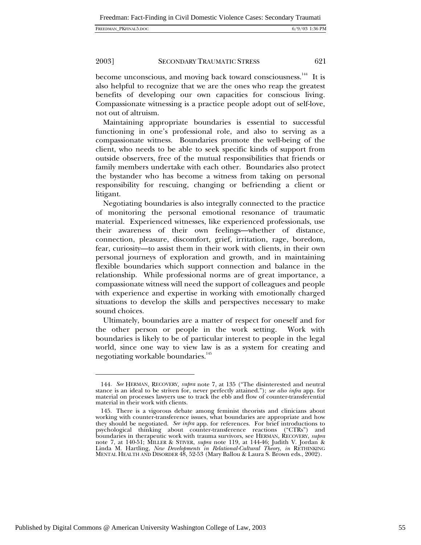| FREEDMAN PKFINAL5.DOC |  |
|-----------------------|--|
|-----------------------|--|

become unconscious, and moving back toward consciousness.<sup>144</sup> It is also helpful to recognize that we are the ones who reap the greatest benefits of developing our own capacities for conscious living. Compassionate witnessing is a practice people adopt out of self-love, not out of altruism.

Maintaining appropriate boundaries is essential to successful functioning in one's professional role, and also to serving as a compassionate witness. Boundaries promote the well-being of the client, who needs to be able to seek specific kinds of support from outside observers, free of the mutual responsibilities that friends or family members undertake with each other. Boundaries also protect the bystander who has become a witness from taking on personal responsibility for rescuing, changing or befriending a client or litigant.

Negotiating boundaries is also integrally connected to the practice of monitoring the personal emotional resonance of traumatic material. Experienced witnesses, like experienced professionals, use their awareness of their own feelings—whether of distance, connection, pleasure, discomfort, grief, irritation, rage, boredom, fear, curiosity—to assist them in their work with clients, in their own personal journeys of exploration and growth, and in maintaining flexible boundaries which support connection and balance in the relationship. While professional norms are of great importance, a compassionate witness will need the support of colleagues and people with experience and expertise in working with emotionally charged situations to develop the skills and perspectives necessary to make sound choices.

Ultimately, boundaries are a matter of respect for oneself and for the other person or people in the work setting. Work with boundaries is likely to be of particular interest to people in the legal world, since one way to view law is as a system for creating and negotiating workable boundaries.<sup>145</sup>

<sup>144</sup>*. See* HERMAN, RECOVERY, *supra* note 7, at 135 ("The disinterested and neutral stance is an ideal to be striven for, never perfectly attained."); *see also infra* app. for material on processes lawyers use to track the ebb and flow of counter-transferential material in their work with clients.

<sup>145.</sup> There is a vigorous debate among feminist theorists and clinicians about working with counter-transference issues, what boundaries are appropriate and how they should be negotiated. *See infra* app. for references. For brief introductions to psychological thinking about counter-transference reactions ("CTRs") and boundaries in therapeutic work with trauma survivors, see HERMAN, RECOVERY, *supra* note 7, at 140-51; MILLER & STIVER, *supra* note 119, at 144-46; Judith V. Jordan & Linda M. Hartling, *New Developments in Relational-Cultural Theory*, *in* RETHINKING MENTAL HEALTH AND DISORDER 48, 52-53 (Mary Ballou & Laura S. Brown eds., 2002).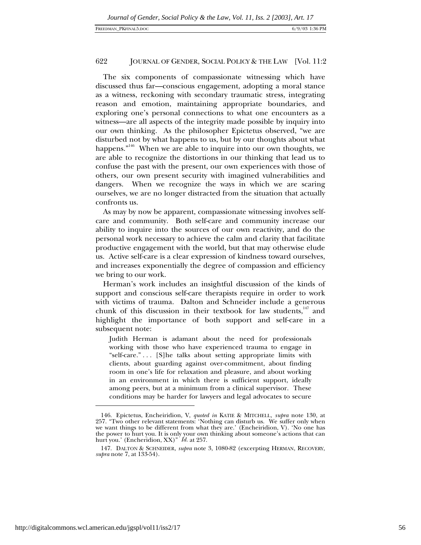The six components of compassionate witnessing which have discussed thus far—conscious engagement, adopting a moral stance as a witness, reckoning with secondary traumatic stress, integrating reason and emotion, maintaining appropriate boundaries, and exploring one's personal connections to what one encounters as a witness—are all aspects of the integrity made possible by inquiry into our own thinking. As the philosopher Epictetus observed, "we are disturbed not by what happens to us, but by our thoughts about what happens."<sup>146</sup> When we are able to inquire into our own thoughts, we are able to recognize the distortions in our thinking that lead us to confuse the past with the present, our own experiences with those of others, our own present security with imagined vulnerabilities and dangers. When we recognize the ways in which we are scaring ourselves, we are no longer distracted from the situation that actually confronts us.

As may by now be apparent, compassionate witnessing involves selfcare and community. Both self-care and community increase our ability to inquire into the sources of our own reactivity, and do the personal work necessary to achieve the calm and clarity that facilitate productive engagement with the world, but that may otherwise elude us. Active self-care is a clear expression of kindness toward ourselves, and increases exponentially the degree of compassion and efficiency we bring to our work.

Herman's work includes an insightful discussion of the kinds of support and conscious self-care therapists require in order to work with victims of trauma. Dalton and Schneider include a generous chunk of this discussion in their textbook for law students, $147$  and highlight the importance of both support and self-care in a subsequent note:

Judith Herman is adamant about the need for professionals working with those who have experienced trauma to engage in "self-care." . . . [S]he talks about setting appropriate limits with clients, about guarding against over-commitment, about finding room in one's life for relaxation and pleasure, and about working in an environment in which there is sufficient support, ideally among peers, but at a minimum from a clinical supervisor. These conditions may be harder for lawyers and legal advocates to secure

<sup>146.</sup> Epictetus, Encheiridion, V, *quoted in* KATIE & MITCHELL, *supra* note 130, at 257. "Two other relevant statements: 'Nothing can disturb us. We suffer only when we want things to be different from what they are.' (Encheiridion, V). 'No one has the power to hurt you. It is only your own thinking about someone's actions that can hurt you.' (Encheridion, XX)" *Id.* at 257.

<sup>147.</sup> DALTON & SCHNEIDER, *supra* note 3, 1080-82 (excerpting HERMAN, RECOVERY, *supra* note 7, at 133-54).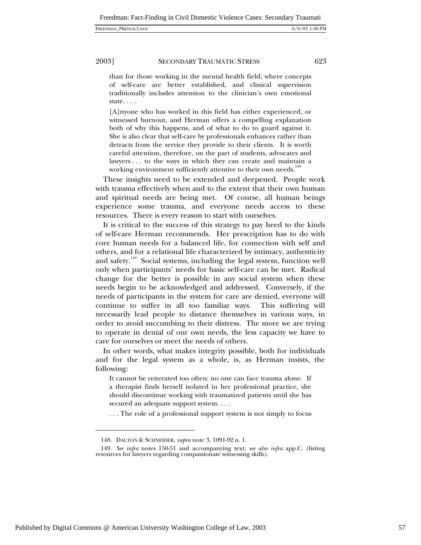than for those working in the mental health field, where concepts of self-care are better established, and clinical supervision traditionally includes attention to the clinician's own emotional state. . . .

[A]nyone who has worked in this field has either experienced, or witnessed burnout, and Herman offers a compelling explanation both of why this happens, and of what to do to guard against it. She is also clear that self-care by professionals enhances rather than detracts from the service they provide to their clients. It is worth careful attention, therefore, on the part of students, advocates and lawyers . . . to the ways in which they can create and maintain a working environment sufficiently attentive to their own needs.<sup>148</sup>

These insights need to be extended and deepened. People work with trauma effectively when and to the extent that their own human and spiritual needs are being met. Of course, all human beings experience some trauma, and everyone needs access to these resources. There is every reason to start with ourselves.

It is critical to the success of this strategy to pay heed to the kinds of self-care Herman recommends. Her prescription has to do with core human needs for a balanced life, for connection with self and others, and for a relational life characterized by intimacy, authenticity and safety.<sup>149</sup> Social systems, including the legal system, function well only when participants' needs for basic self-care can be met. Radical change for the better is possible in any social system when these needs begin to be acknowledged and addressed. Conversely, if the needs of participants in the system for care are denied, everyone will continue to suffer in all too familiar ways. This suffering will necessarily lead people to distance themselves in various ways, in order to avoid succumbing to their distress. The more we are trying to operate in denial of our own needs, the less capacity we have to care for ourselves or meet the needs of others.

In other words, what makes integrity possible, both for individuals and for the legal system as a whole, is, as Herman insists, the following:

It cannot be reiterated too often: no one can face trauma alone. If a therapist finds herself isolated in her professional practice, she should discontinue working with traumatized patients until she has secured an adequate support system. . . .

. . . The role of a professional support system is not simply to focus

<sup>148.</sup> DALTON & SCHNEIDER, *supra* note 3, 1091-92 n. 1.

<sup>149</sup>*. See infra* notes 150-51 and accompanying text; *see also infra* app.C. (listing resources for lawyers regarding compassionate witnessing skills).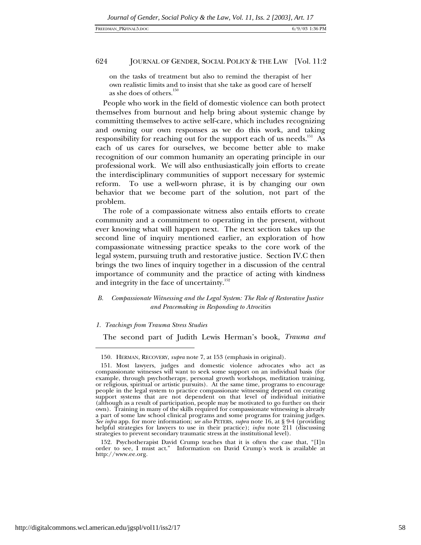on the tasks of treatment but also to remind the therapist of her own realistic limits and to insist that she take as good care of herself as she does of others.<sup>1</sup>

People who work in the field of domestic violence can both protect themselves from burnout and help bring about systemic change by committing themselves to active self-care, which includes recognizing and owning our own responses as we do this work, and taking responsibility for reaching out for the support each of us needs.<sup>151</sup> As each of us cares for ourselves, we become better able to make recognition of our common humanity an operating principle in our professional work. We will also enthusiastically join efforts to create the interdisciplinary communities of support necessary for systemic reform. To use a well-worn phrase, it is by changing our own behavior that we become part of the solution, not part of the problem.

The role of a compassionate witness also entails efforts to create community and a commitment to operating in the present, without ever knowing what will happen next. The next section takes up the second line of inquiry mentioned earlier, an exploration of how compassionate witnessing practice speaks to the core work of the legal system, pursuing truth and restorative justice. Section IV.C then brings the two lines of inquiry together in a discussion of the central importance of community and the practice of acting with kindness and integrity in the face of uncertainty.<sup>152</sup>

## *B. Compassionate Witnessing and the Legal System: The Role of Restorative Justice and Peacemaking in Responding to Atrocities*

### *1. Teachings from Trauma Stress Studies*

The second part of Judith Lewis Herman's book, *Trauma and*

<sup>150.</sup> HERMAN, RECOVERY, *supra* note 7, at 153 (emphasis in original).

<sup>151.</sup> Most lawyers, judges and domestic violence advocates who act as compassionate witnesses will want to seek some support on an individual basis (for example, through psychotherapy, personal growth workshops, meditation training, or religious, spiritual or artistic pursuits). At the same time, programs to encourage people in the legal system to practice compassionate witnessing depend on creating support systems that are not dependent on that level of individual initiative (although as a result of participation, people may be motivated to go further on their own). Training in many of the skills required for compassionate witnessing is already a part of some law school clinical programs and some programs for training judges. *See infra* app. for more information; *see also* PETERS, *supra* note 16, at § 9-4 (providing helpful strategies for lawyers to use in their practice); *infra* note 211 (discussing strategies to prevent secondary traumatic stress at the institutional level).

<sup>152.</sup> Psychotherapist David Crump teaches that it is often the case that, "[I]n order to see, I must act." Information on David Crump's work is available at http://www.ee.org.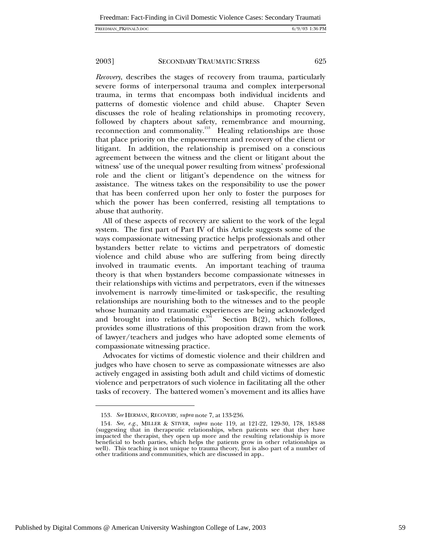*Recovery*, describes the stages of recovery from trauma, particularly severe forms of interpersonal trauma and complex interpersonal trauma, in terms that encompass both individual incidents and patterns of domestic violence and child abuse. Chapter Seven discusses the role of healing relationships in promoting recovery, followed by chapters about safety, remembrance and mourning, reconnection and commonality.<sup>153</sup> Healing relationships are those that place priority on the empowerment and recovery of the client or litigant. In addition, the relationship is premised on a conscious agreement between the witness and the client or litigant about the witness' use of the unequal power resulting from witness' professional role and the client or litigant's dependence on the witness for assistance. The witness takes on the responsibility to use the power that has been conferred upon her only to foster the purposes for which the power has been conferred, resisting all temptations to abuse that authority.

All of these aspects of recovery are salient to the work of the legal system. The first part of Part IV of this Article suggests some of the ways compassionate witnessing practice helps professionals and other bystanders better relate to victims and perpetrators of domestic violence and child abuse who are suffering from being directly involved in traumatic events. An important teaching of trauma theory is that when bystanders become compassionate witnesses in their relationships with victims and perpetrators, even if the witnesses involvement is narrowly time-limited or task-specific, the resulting relationships are nourishing both to the witnesses and to the people whose humanity and traumatic experiences are being acknowledged and brought into relationship.<sup>154</sup> Section B(2), which follows, provides some illustrations of this proposition drawn from the work of lawyer/teachers and judges who have adopted some elements of compassionate witnessing practice.

Advocates for victims of domestic violence and their children and judges who have chosen to serve as compassionate witnesses are also actively engaged in assisting both adult and child victims of domestic violence and perpetrators of such violence in facilitating all the other tasks of recovery. The battered women's movement and its allies have

<sup>153</sup>*. See* HERMAN, RECOVERY, *supra* note 7, at 133-236.

<sup>154</sup>*. See, e.g.*, MILLER & STIVER, *supra* note 119, at 121-22, 129-30, 178, 183-88 (suggesting that in therapeutic relationships, when patients see that they have impacted the therapist, they open up more and the resulting relationship is more beneficial to both parties, which helps the patients grow in other relationships as well). This teaching is not unique to trauma theory, but is also part of a number of other traditions and communities, which are discussed in app..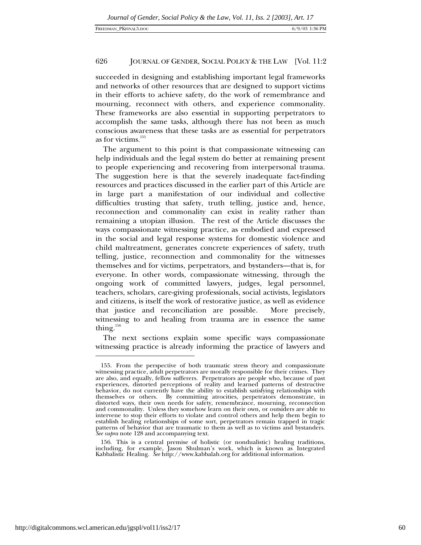succeeded in designing and establishing important legal frameworks and networks of other resources that are designed to support victims in their efforts to achieve safety, do the work of remembrance and mourning, reconnect with others, and experience commonality. These frameworks are also essential in supporting perpetrators to accomplish the same tasks, although there has not been as much conscious awareness that these tasks are as essential for perpetrators as for victims.<sup>155</sup>

The argument to this point is that compassionate witnessing can help individuals and the legal system do better at remaining present to people experiencing and recovering from interpersonal trauma. The suggestion here is that the severely inadequate fact-finding resources and practices discussed in the earlier part of this Article are in large part a manifestation of our individual and collective difficulties trusting that safety, truth telling, justice and, hence, reconnection and commonality can exist in reality rather than remaining a utopian illusion. The rest of the Article discusses the ways compassionate witnessing practice, as embodied and expressed in the social and legal response systems for domestic violence and child maltreatment, generates concrete experiences of safety, truth telling, justice, reconnection and commonality for the witnesses themselves and for victims, perpetrators, and bystanders—that is, for everyone. In other words, compassionate witnessing, through the ongoing work of committed lawyers, judges, legal personnel, teachers, scholars, care-giving professionals, social activists, legislators and citizens, is itself the work of restorative justice, as well as evidence that justice and reconciliation are possible. More precisely, witnessing to and healing from trauma are in essence the same thing. $156$ 

The next sections explain some specific ways compassionate witnessing practice is already informing the practice of lawyers and

<sup>155.</sup> From the perspective of both traumatic stress theory and compassionate witnessing practice, adult perpetrators are morally responsible for their crimes. They are also, and equally, fellow sufferers. Perpetrators are people who, because of past experiences, distorted perceptions of reality and learned patterns of destructive behavior, do not currently have the ability to establish satisfying relationships with themselves or others. By committing atrocities, perpetrators demonstrate, in distorted ways, their own needs for safety, remembrance, mourning, reconnection and commonality. Unless they somehow learn on their own, or outsiders are able to intervene to stop their efforts to violate and control others and help them begin to establish healing relationships of some sort, perpetrators remain trapped in tragic patterns of behavior that are traumatic to them as well as to victims and bystanders. *See supra* note 128 and accompanying text.

<sup>156.</sup> This is a central premise of holistic (or nondualistic) healing traditions, including, for example, Jason Shulman's work, which is known as Integrated Kabbalistic Healing. *See* http://www.kabbalah.org for additional information.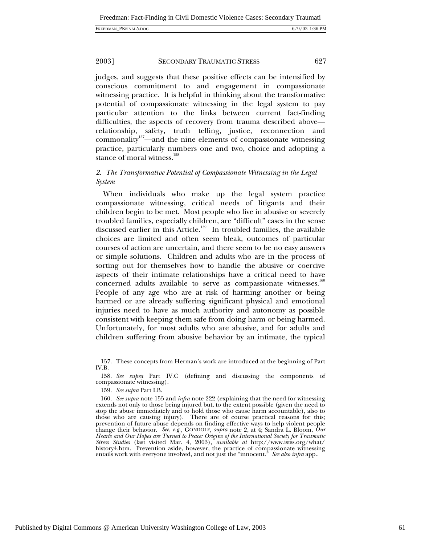judges, and suggests that these positive effects can be intensified by conscious commitment to and engagement in compassionate witnessing practice. It is helpful in thinking about the transformative potential of compassionate witnessing in the legal system to pay particular attention to the links between current fact-finding difficulties, the aspects of recovery from trauma described above relationship, safety, truth telling, justice, reconnection and commonality<sup>157</sup>—and the nine elements of compassionate witnessing practice, particularly numbers one and two, choice and adopting a stance of moral witness.<sup>158</sup>

# *2. The Transformative Potential of Compassionate Witnessing in the Legal System*

When individuals who make up the legal system practice compassionate witnessing, critical needs of litigants and their children begin to be met. Most people who live in abusive or severely troubled families, especially children, are "difficult" cases in the sense discussed earlier in this Article.<sup>159</sup> In troubled families, the available choices are limited and often seem bleak, outcomes of particular courses of action are uncertain, and there seem to be no easy answers or simple solutions. Children and adults who are in the process of sorting out for themselves how to handle the abusive or coercive aspects of their intimate relationships have a critical need to have concerned adults available to serve as compassionate witnesses.<sup>160</sup> People of any age who are at risk of harming another or being harmed or are already suffering significant physical and emotional injuries need to have as much authority and autonomy as possible consistent with keeping them safe from doing harm or being harmed. Unfortunately, for most adults who are abusive, and for adults and children suffering from abusive behavior by an intimate, the typical

<sup>157.</sup> These concepts from Herman's work are introduced at the beginning of Part IV.B.

<sup>158</sup>*. See supra* Part IV.C (defining and discussing the components of compassionate witnessing).

<sup>159</sup>*. See supra* Part I.B.

<sup>160</sup>*. See supra* note 155 and *infra* note 222 (explaining that the need for witnessing extends not only to those being injured but, to the extent possible (given the need to stop the abuse immediately and to hold those who cause harm accountable), also to those who are causing injury). There are of course practical reasons for this; prevention of future abuse depends on finding effective ways to help violent people change their behavior. *See, e.g.*, GONDOLF, *supra* note 2, at 4; Sandra L. Bloom, *Our Hearts and Our Hopes are Turned to Peace: Origins of the International Society for Traumatic Stress Studies* (last visited Mar. 4, 2003), *available at* http://www.istss.org/what/ history4.htm. Prevention aside, however, the practice of compassionate witnessing entails work with everyone involved, and not just the "innocent." *See also infra* app..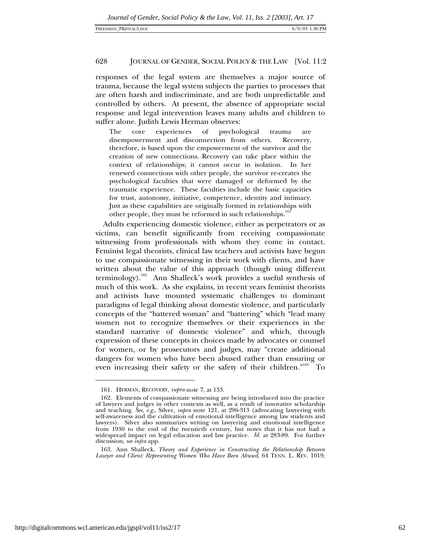responses of the legal system are themselves a major source of trauma, because the legal system subjects the parties to processes that are often harsh and indiscriminate, and are both unpredictable and controlled by others. At present, the absence of appropriate social response and legal intervention leaves many adults and children to suffer alone. Judith Lewis Herman observes:

The core experiences of psychological trauma are disempowerment and disconnection from others. Recovery, therefore, is based upon the empowerment of the survivor and the creation of new connections. Recovery can take place within the context of relationships; it cannot occur in isolation. In her renewed connections with other people, the survivor re-creates the psychological faculties that were damaged or deformed by the traumatic experience. These faculties include the basic capacities for trust, autonomy, initiative, competence, identity and intimacy. Just as these capabilities are originally formed in relationships with other people, they must be reformed in such relationships.<sup>161</sup>

Adults experiencing domestic violence, either as perpetrators or as victims, can benefit significantly from receiving compassionate witnessing from professionals with whom they come in contact. Feminist legal theorists, clinical law teachers and activists have begun to use compassionate witnessing in their work with clients, and have written about the value of this approach (though using different terminology).<sup>162</sup> Ann Shalleck's work provides a useful synthesis of much of this work. As she explains, in recent years feminist theorists and activists have mounted systematic challenges to dominant paradigms of legal thinking about domestic violence, and particularly concepts of the "battered woman" and "battering" which "lead many women not to recognize themselves or their experiences in the standard narrative of domestic violence" and which, through expression of these concepts in choices made by advocates or counsel for women, or by prosecutors and judges, may "create additional dangers for women who have been abused rather than ensuring or even increasing their safety or the safety of their children."<sup>163</sup> To

-

<sup>161.</sup> HERMAN, RECOVERY, *supra* note 7, at 133.

<sup>162.</sup> Elements of compassionate witnessing are being introduced into the practice of lawyers and judges in other contexts as well, as a result of innovative scholarship and teaching. *See*, *e.g.*, Silver, *supra* note 121, at 296-313 (advocating lawyering with self-awareness and the cultivation of emotional intelligence among law students and lawyers). Silver also summarizes writing on lawyering and emotional intelligence from 1930 to the end of the twentieth century, but notes that it has not had a widespread impact on legal education and law practice. *Id.* at 283-89. For further discussion, *see infra* app.

<sup>163.</sup> Ann Shalleck, *Theory and Experience in Constructing the Relationship Between Lawyer and Client: Representing Women Who Have Been Abused*, 64 TENN. L. REV. 1019,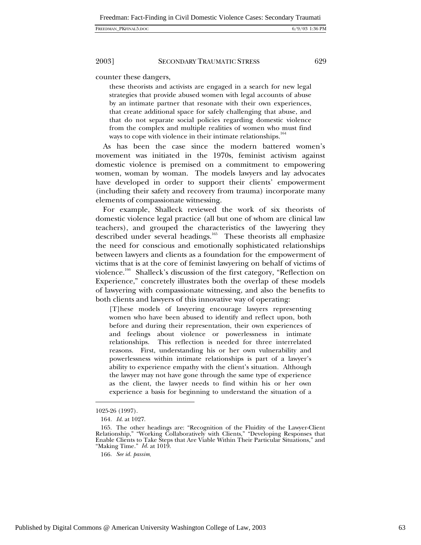counter these dangers,

these theorists and activists are engaged in a search for new legal strategies that provide abused women with legal accounts of abuse by an intimate partner that resonate with their own experiences, that create additional space for safely challenging that abuse, and that do not separate social policies regarding domestic violence from the complex and multiple realities of women who must find ways to cope with violence in their intimate relationships.<sup>16</sup>

As has been the case since the modern battered women's movement was initiated in the 1970s, feminist activism against domestic violence is premised on a commitment to empowering women, woman by woman. The models lawyers and lay advocates have developed in order to support their clients' empowerment (including their safety and recovery from trauma) incorporate many elements of compassionate witnessing.

For example, Shalleck reviewed the work of six theorists of domestic violence legal practice (all but one of whom are clinical law teachers), and grouped the characteristics of the lawyering they described under several headings.<sup>165</sup> These theorists all emphasize the need for conscious and emotionally sophisticated relationships between lawyers and clients as a foundation for the empowerment of victims that is at the core of feminist lawyering on behalf of victims of violence.<sup>166</sup> Shalleck's discussion of the first category, "Reflection on Experience," concretely illustrates both the overlap of these models of lawyering with compassionate witnessing, and also the benefits to both clients and lawyers of this innovative way of operating:

[T]hese models of lawyering encourage lawyers representing women who have been abused to identify and reflect upon, both before and during their representation, their own experiences of and feelings about violence or powerlessness in intimate relationships. This reflection is needed for three interrelated reasons. First, understanding his or her own vulnerability and powerlessness within intimate relationships is part of a lawyer's ability to experience empathy with the client's situation. Although the lawyer may not have gone through the same type of experience as the client, the lawyer needs to find within his or her own experience a basis for beginning to understand the situation of a

1

<sup>1025-26 (1997).</sup>

<sup>164</sup>*. Id*. at 1027.

<sup>165.</sup> The other headings are: "Recognition of the Fluidity of the Lawyer-Client Relationship," "Working Collaboratively with Clients," "Developing Responses that Enable Clients to Take Steps that Are Viable Within Their Particular Situations," and "Making Time." *Id.* at 1019.

<sup>166</sup>*. See id. passim*.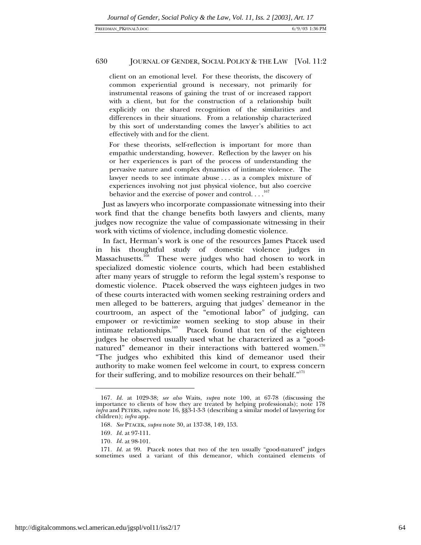client on an emotional level. For these theorists, the discovery of common experiential ground is necessary, not primarily for instrumental reasons of gaining the trust of or increased rapport with a client, but for the construction of a relationship built explicitly on the shared recognition of the similarities and differences in their situations. From a relationship characterized by this sort of understanding comes the lawyer's abilities to act effectively with and for the client.

For these theorists, self-reflection is important for more than empathic understanding, however. Reflection by the lawyer on his or her experiences is part of the process of understanding the pervasive nature and complex dynamics of intimate violence. The lawyer needs to see intimate abuse . . . as a complex mixture of experiences involving not just physical violence, but also coercive behavior and the exercise of power and control. . . .

Just as lawyers who incorporate compassionate witnessing into their work find that the change benefits both lawyers and clients, many judges now recognize the value of compassionate witnessing in their work with victims of violence, including domestic violence.

In fact, Herman's work is one of the resources James Ptacek used in his thoughtful study of domestic violence judges in Massachusetts.<sup>168</sup> These were judges who had chosen to work in specialized domestic violence courts, which had been established after many years of struggle to reform the legal system's response to domestic violence. Ptacek observed the ways eighteen judges in two of these courts interacted with women seeking restraining orders and men alleged to be batterers, arguing that judges' demeanor in the courtroom, an aspect of the "emotional labor" of judging, can empower or re-victimize women seeking to stop abuse in their intimate relationships. $169$  Ptacek found that ten of the eighteen judges he observed usually used what he characterized as a "goodnatured" demeanor in their interactions with battered women.<sup>170</sup> "The judges who exhibited this kind of demeanor used their authority to make women feel welcome in court, to express concern for their suffering, and to mobilize resources on their behalf."<sup>171</sup>

-

<sup>167</sup>*. Id.* at 1029-38; *see also* Waits, *supra* note 100, at 67-78 (discussing the importance to clients of how they are treated by helping professionals); note 178 *infra* and PETERS, *supra* note 16, §§3-1-3-3 (describing a similar model of lawyering for children); *infra* app.

<sup>168</sup>*. See* PTACEK, *supra* note 30, at 137-38, 149, 153.

<sup>169</sup>*. Id.* at 97-111.

<sup>170</sup>*. Id.* at 98-101.

<sup>171</sup>*. Id.* at 99. Ptacek notes that two of the ten usually "good-natured" judges sometimes used a variant of this demeanor, which contained elements of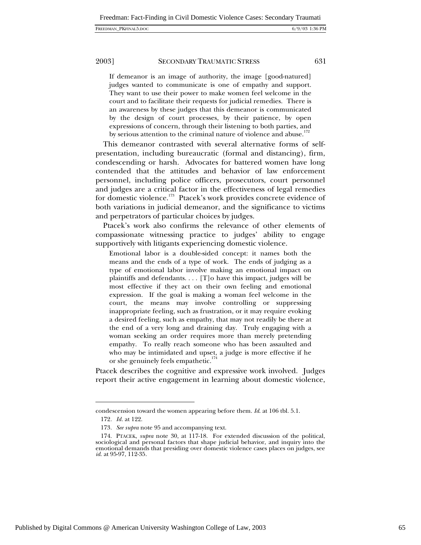If demeanor is an image of authority, the image [good-natured] judges wanted to communicate is one of empathy and support. They want to use their power to make women feel welcome in the court and to facilitate their requests for judicial remedies. There is an awareness by these judges that this demeanor is communicated by the design of court processes, by their patience, by open expressions of concern, through their listening to both parties, and by serious attention to the criminal nature of violence and abuse. $172$ 

This demeanor contrasted with several alternative forms of selfpresentation, including bureaucratic (formal and distancing), firm, condescending or harsh. Advocates for battered women have long contended that the attitudes and behavior of law enforcement personnel, including police officers, prosecutors, court personnel and judges are a critical factor in the effectiveness of legal remedies for domestic violence.<sup>173</sup> Ptacek's work provides concrete evidence of both variations in judicial demeanor, and the significance to victims and perpetrators of particular choices by judges.

Ptacek's work also confirms the relevance of other elements of compassionate witnessing practice to judges' ability to engage supportively with litigants experiencing domestic violence.

Emotional labor is a double-sided concept: it names both the means and the ends of a type of work. The ends of judging as a type of emotional labor involve making an emotional impact on plaintiffs and defendants....  $[T]$ o have this impact, judges will be most effective if they act on their own feeling and emotional expression. If the goal is making a woman feel welcome in the court, the means may involve controlling or suppressing inappropriate feeling, such as frustration, or it may require evoking a desired feeling, such as empathy, that may not readily be there at the end of a very long and draining day. Truly engaging with a woman seeking an order requires more than merely pretending empathy. To really reach someone who has been assaulted and who may be intimidated and upset, a judge is more effective if he or she genuinely feels empathetic.<sup>174</sup>

Ptacek describes the cognitive and expressive work involved. Judges report their active engagement in learning about domestic violence,

1

condescension toward the women appearing before them. *Id*. at 106 tbl. 5.1.

<sup>172</sup>*. Id.* at 122.

<sup>173</sup>*. See supra* note 95 and accompanying text.

<sup>174.</sup> PTACEK, *supra* note 30, at 117-18. For extended discussion of the political, sociological and personal factors that shape judicial behavior, and inquiry into the emotional demands that presiding over domestic violence cases places on judges, see *id*. at 95-97, 112-35.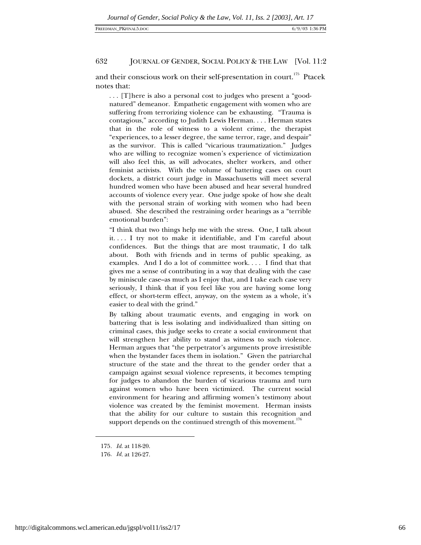and their conscious work on their self-presentation in court.<sup>175</sup> Ptacek notes that:

. . . [T]here is also a personal cost to judges who present a "goodnatured" demeanor. Empathetic engagement with women who are suffering from terrorizing violence can be exhausting. "Trauma is contagious," according to Judith Lewis Herman. . . . Herman states that in the role of witness to a violent crime, the therapist "experiences, to a lesser degree, the same terror, rage, and despair" as the survivor. This is called "vicarious traumatization." Judges who are willing to recognize women's experience of victimization will also feel this, as will advocates, shelter workers, and other feminist activists. With the volume of battering cases on court dockets, a district court judge in Massachusetts will meet several hundred women who have been abused and hear several hundred accounts of violence every year. One judge spoke of how she dealt with the personal strain of working with women who had been abused. She described the restraining order hearings as a "terrible emotional burden":

"I think that two things help me with the stress. One, I talk about it. . . . I try not to make it identifiable, and I'm careful about confidences. But the things that are most traumatic, I do talk about. Both with friends and in terms of public speaking, as examples. And I do a lot of committee work. . . . I find that that gives me a sense of contributing in a way that dealing with the case by miniscule case–as much as I enjoy that, and I take each case very seriously, I think that if you feel like you are having some long effect, or short-term effect, anyway, on the system as a whole, it's easier to deal with the grind."

By talking about traumatic events, and engaging in work on battering that is less isolating and individualized than sitting on criminal cases, this judge seeks to create a social environment that will strengthen her ability to stand as witness to such violence. Herman argues that "the perpetrator's arguments prove irresistible when the bystander faces them in isolation." Given the patriarchal structure of the state and the threat to the gender order that a campaign against sexual violence represents, it becomes tempting for judges to abandon the burden of vicarious trauma and turn against women who have been victimized. The current social environment for hearing and affirming women's testimony about violence was created by the feminist movement. Herman insists that the ability for our culture to sustain this recognition and support depends on the continued strength of this movement. $176$ 

<sup>175</sup>*. Id*. at 118-20.

<sup>176</sup>*. Id*. at 126-27.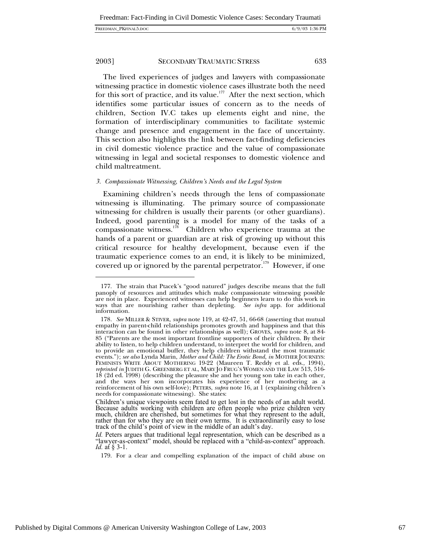|  | FREEDMAN PKFINAL5.DOC |  |
|--|-----------------------|--|
|--|-----------------------|--|

-

## 2003] SECONDARY TRAUMATIC STRESS 633

The lived experiences of judges and lawyers with compassionate witnessing practice in domestic violence cases illustrate both the need for this sort of practice, and its value.<sup>177</sup> After the next section, which identifies some particular issues of concern as to the needs of children, Section IV.C takes up elements eight and nine, the formation of interdisciplinary communities to facilitate systemic change and presence and engagement in the face of uncertainty. This section also highlights the link between fact-finding deficiencies in civil domestic violence practice and the value of compassionate witnessing in legal and societal responses to domestic violence and child maltreatment.

## *3. Compassionate Witnessing, Children's Needs and the Legal System*

Examining children's needs through the lens of compassionate witnessing is illuminating. The primary source of compassionate witnessing for children is usually their parents (or other guardians). Indeed, good parenting is a model for many of the tasks of a compassionate witness.<sup>178</sup> Children who experience trauma at the hands of a parent or guardian are at risk of growing up without this critical resource for healthy development, because even if the traumatic experience comes to an end, it is likely to be minimized, covered up or ignored by the parental perpetrator.<sup>179</sup> However, if one

<sup>177.</sup> The strain that Ptacek's "good natured" judges describe means that the full panoply of resources and attitudes which make compassionate witnessing possible are not in place. Experienced witnesses can help beginners learn to do this work in ways that are nourishing rather than depleting. *See infra* app. for additional information.

<sup>178</sup>*. See* MILLER & STIVER, *supra* note 119, at 42-47, 51, 66-68 (asserting that mutual empathy in parent-child relationships promotes growth and happiness and that this interaction can be found in other relationships as well); GROVES, *supra* note 8, at 84- 85 ("Parents are the most important frontline supporters of their children. By their ability to listen, to help children understand, to interpret the world for children, and to provide an emotional buffer, they help children withstand the most traumatic events."); *see also* Lynda Marin, *Mother and Child: The Erotic Bond*, *in* MOTHER JOURNEYS: FEMINISTS WRITE ABOUT MOTHERING 19-22 (Maureen T. Reddy et al. eds., 1994), *reprinted in* JUDITH G. GREENBERG ET AL, MARY JO FRUG'S WOMEN AND THE LAW 513, 516- 18 (2d ed. 1998) (describing the pleasure she and her young son take in each other, and the ways her son incorporates his experience of her mothering as a reinforcement of his own self-love); PETERS, *supra* note 16, at 1 (explaining children's needs for compassionate witnessing). She states:

Children's unique viewpoints seem fated to get lost in the needs of an adult world. Because adults working with children are often people who prize children very much, children are cherished, but sometimes for what they represent to the adult, rather than for who they are on their own terms. It is extraordinarily easy to lose track of the child's point of view in the middle of an adult's day.

*Id.* Peters argues that traditional legal representation, which can be described as a "lawyer-as-context" model, should be replaced with a "child-as-context" approach. *Id.* at § 3-1.

<sup>179.</sup> For a clear and compelling explanation of the impact of child abuse on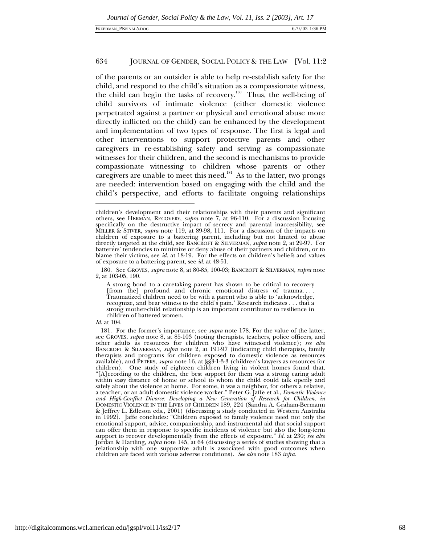of the parents or an outsider is able to help re-establish safety for the child, and respond to the child's situation as a compassionate witness, the child can begin the tasks of recovery.<sup>180</sup> Thus, the well-being of child survivors of intimate violence (either domestic violence perpetrated against a partner or physical and emotional abuse more directly inflicted on the child) can be enhanced by the development and implementation of two types of response. The first is legal and other interventions to support protective parents and other caregivers in re-establishing safety and serving as compassionate witnesses for their children, and the second is mechanisms to provide compassionate witnessing to children whose parents or other caregivers are unable to meet this need.<sup>181</sup> As to the latter, two prongs are needed: intervention based on engaging with the child and the child's perspective, and efforts to facilitate ongoing relationships

180. See GROVES, *supra* note 8, at 80-85, 100-03; BANCROFT & SILVERMAN, *supra* note 2, at 103-05, 190.

A strong bond to a caretaking parent has shown to be critical to recovery [from the] profound and chronic emotional distress of trauma. . . . Traumatized children need to be with a parent who is able to 'acknowledge, recognize, and bear witness to the child's pain.' Research indicates . . . that a strong mother-child relationship is an important contributor to resilience in children of battered women.

#### *Id*. at 104.

 $\overline{a}$ 

181. For the former's importance, see *supra* note 178. For the value of the latter, see GROVES, *supra* note 8, at 85-103 (noting therapists, teachers, police officers, and other adults as resources for children who have witnessed violence); *see also* BANCROFT & SILVERMAN, *supra* note 2, at 191-97 (indicating child therapists, family therapists and programs for children exposed to domestic violence as resources available), and PETERS, *supra* note 16, at §§3-1-3-3 (children's lawyers as resources for children). One study of eighteen children living in violent homes found that, "[A]ccording to the children, the best support for them was a strong caring adult within easy distance of home or school to whom the child could talk openly and safely about the violence at home. For some, it was a neighbor, for others a relative, a teacher, or an adult domestic violence worker." Peter G. Jaffe et al., *Domestic Violence and High-Conflict Divorce: Developing a New Generation of Research for Children*, *in* DOMESTIC VIOLENCE IN THE LIVES OF CHILDREN 189, 224 (Sandra A. Graham-Bermann & Jeffrey L. Edleson eds., 2001) (discussing a study conducted in Western Australia in 1992). Jaffe concludes: "Children exposed to family violence need not only the emotional support, advice, companionship, and instrumental aid that social support can offer them in response to specific incidents of violence but also the long-term support to recover developmentally from the effects of exposure." *Id*. at 230; *see also* Jordan & Hartling, *supra* note 145, at 64 (discussing a series of studies showing that a relationship with one supportive adult is associated with good outcomes when children are faced with various adverse conditions). *See also* note 183 *infra.*

children's development and their relationships with their parents and significant others, see HERMAN, RECOVERY, *supra* note 7, at 96-110. For a discussion focusing specifically on the destructive impact of secrecy and parental inaccessibility, see MILLER & STIVER, *supra* note 119, at 89-98, 111. For a discussion of the impacts on children of exposure to a battering parent, including but not limited to abuse directly targeted at the child, see BANCROFT & SILVERMAN, *supra* note 2, at 29-97. For batterers' tendencies to minimize or deny abuse of their partners and children, or to blame their victims, see *id.* at 18-19. For the effects on children's beliefs and values of exposure to a battering parent, see *id*. at 48-51.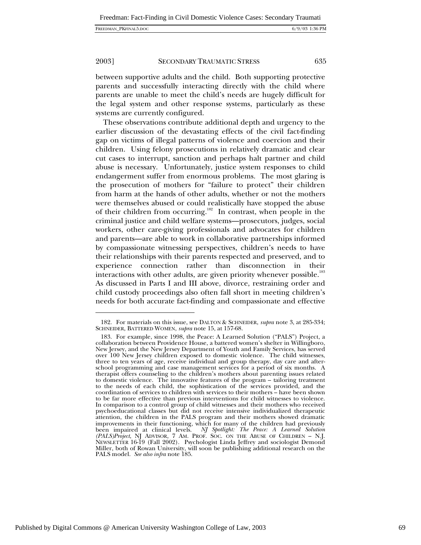$\overline{a}$ 

## 2003] SECONDARY TRAUMATIC STRESS 635

between supportive adults and the child. Both supporting protective parents and successfully interacting directly with the child where parents are unable to meet the child's needs are hugely difficult for the legal system and other response systems, particularly as these systems are currently configured.

These observations contribute additional depth and urgency to the earlier discussion of the devastating effects of the civil fact-finding gap on victims of illegal patterns of violence and coercion and their children. Using felony prosecutions in relatively dramatic and clear cut cases to interrupt, sanction and perhaps halt partner and child abuse is necessary. Unfortunately, justice system responses to child endangerment suffer from enormous problems. The most glaring is the prosecution of mothers for "failure to protect" their children from harm at the hands of other adults, whether or not the mothers were themselves abused or could realistically have stopped the abuse of their children from occurring.<sup>182</sup> In contrast, when people in the criminal justice and child welfare systems—prosecutors, judges, social workers, other care-giving professionals and advocates for children and parents—are able to work in collaborative partnerships informed by compassionate witnessing perspectives, children's needs to have their relationships with their parents respected and preserved, and to experience connection rather than disconnection in their interactions with other adults, are given priority whenever possible.<sup>183</sup> As discussed in Parts I and III above, divorce, restraining order and child custody proceedings also often fall short in meeting children's needs for both accurate fact-finding and compassionate and effective

<sup>182.</sup> For materials on this issue, see DALTON & SCHNEIDER, *supra* note 3, at 285-334; SCHNEIDER, BATTERED WOMEN, *supra* note 15, at 157-68.

<sup>183.</sup> For example, since 1998, the Peace: A Learned Solution ("PALS") Project, a collaboration between Providence House, a battered women's shelter in Willingboro, New Jersey, and the New Jersey Department of Youth and Family Services, has served over 100 New Jersey children exposed to domestic violence. The child witnesses, three to ten years of age, receive individual and group therapy, day care and afterschool programming and case management services for a period of six months. A therapist offers counseling to the children's mothers about parenting issues related to domestic violence. The innovative features of the program – tailoring treatment to the needs of each child, the sophistication of the services provided, and the coordination of services to children with services to their mothers – have been shown to be far more effective than previous interventions for child witnesses to violence. In comparison to a control group of child witnesses and their mothers who received psychoeducational classes but did not receive intensive individualized therapeutic attention, the children in the PALS program and their mothers showed dramatic improvements in their functioning, which for many of the children had previously been impaired at clinical levels. *NJ Spotlight: The Peace: A Learned Solution (PALS)Project*, NJ ADVISOR, 7 AM. PROF. SOC. ON THE ABUSE OF CHILDREN – N.J. NEWSLETTER 16-19 (Fall 2002). Psychologist Linda Jeffrey and sociologist Demond Miller, both of Rowan University, will soon be publishing additional research on the PALS model. *See also infra* note 185.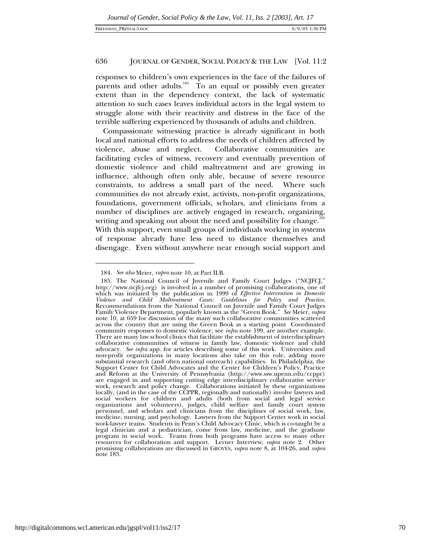responses to children's own experiences in the face of the failures of parents and other adults.<sup>184</sup> To an equal or possibly even greater extent than in the dependency context, the lack of systematic attention to such cases leaves individual actors in the legal system to struggle alone with their reactivity and distress in the face of the terrible suffering experienced by thousands of adults and children.

Compassionate witnessing practice is already significant in both local and national efforts to address the needs of children affected by violence, abuse and neglect. Collaborative communities are facilitating cycles of witness, recovery and eventually prevention of domestic violence and child maltreatment and are growing in influence, although often only able, because of severe resource constraints, to address a small part of the need. Where such communities do not already exist, activists, non-profit organizations, foundations, government officials, scholars, and clinicians from a number of disciplines are actively engaged in research, organizing, writing and speaking out about the need and possibility for change.<sup>185</sup> With this support, even small groups of individuals working in systems of response already have less need to distance themselves and disengage. Even without anywhere near enough social support and

<sup>184</sup>*. See also* Meier, *supra* note 10, at Part II.B.

<sup>185.</sup> The National Council of Juvenile and Family Court Judges ("NCJFCJ," http://www.ncjfcj.org) is involved in a number of promising collaborations, one of which was initiated by the publication in 1999 of *Effective Intervention in Domestic Violence and Child Maltreatment Cases: Guidelines for Policy and Practice*, Recommendations from the National Council on Juvenile and Family Court Judges Family Violence Department, popularly known as the "Green Book." *See* Meier, *supra* note 10, at 659 for discussion of the many such collaborative communities scattered across the country that are using the Green Book as a starting point Coordinated community responses to domestic violence, see *infra* note 199, are another example. There are many law school clinics that facilitate the establishment of interdisciplinary collaborative communities of witness in family law, domestic violence and child advocacy. See infra app. for articles describing some of this work. Universities and non-profit organizations in many locations also take on this role, adding more substantial research (and often national outreach) capabilities. In Philadelphia, the Support Center for Child Advocates and the Center for Children's Policy, Practice and Reform at the University of Pennsylvania (http://www.ssw.upenn.edu/ccppr) are engaged in and supporting cutting edge interdisciplinary collaborative service work, research and policy change. Collaborations initiated by these organizations locally, (and in the case of the CCPPR, regionally and nationally) involve lawyers and social workers for children and adults (both from social and legal service organizations and volunteers), judges, child welfare and family court system personnel, and scholars and clinicians from the disciplines of social work, law, medicine, nursing, and psychology. Lawyers from the Support Center work in social work-lawyer teams. Students in Penn's Child Advocacy Clinic, which is co-taught by a legal clinician and a pediatrician, come from law, medicine, and the graduate program in social work. Teams from both programs have access to many other resources for collaboration and support. Lerner Interview, *supra* note 2. Other promising collaborations are discussed in GROVES, *supra* note 8, at 104-26, and *supra* note 183.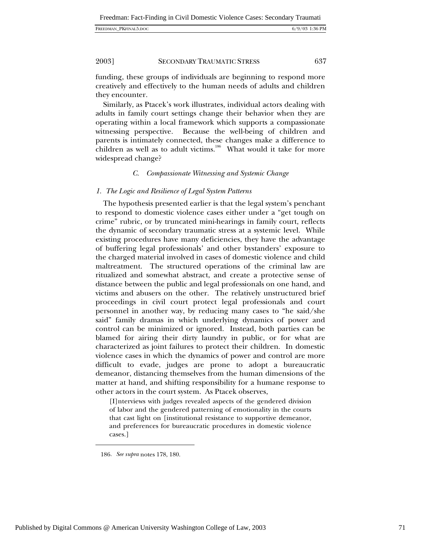| FREEDMAN PKFINAL5.DOC | $6/9/03$ 1:36 PM |  |
|-----------------------|------------------|--|
|-----------------------|------------------|--|

funding, these groups of individuals are beginning to respond more creatively and effectively to the human needs of adults and children they encounter.

Similarly, as Ptacek's work illustrates, individual actors dealing with adults in family court settings change their behavior when they are operating within a local framework which supports a compassionate witnessing perspective. Because the well-being of children and parents is intimately connected, these changes make a difference to children as well as to adult victims.<sup>186</sup> What would it take for more widespread change?

# *C. Compassionate Witnessing and Systemic Change*

## *1. The Logic and Resilience of Legal System Patterns*

The hypothesis presented earlier is that the legal system's penchant to respond to domestic violence cases either under a "get tough on crime" rubric, or by truncated mini-hearings in family court, reflects the dynamic of secondary traumatic stress at a systemic level. While existing procedures have many deficiencies, they have the advantage of buffering legal professionals' and other bystanders' exposure to the charged material involved in cases of domestic violence and child maltreatment. The structured operations of the criminal law are ritualized and somewhat abstract, and create a protective sense of distance between the public and legal professionals on one hand, and victims and abusers on the other. The relatively unstructured brief proceedings in civil court protect legal professionals and court personnel in another way, by reducing many cases to "he said/she said" family dramas in which underlying dynamics of power and control can be minimized or ignored. Instead, both parties can be blamed for airing their dirty laundry in public, or for what are characterized as joint failures to protect their children. In domestic violence cases in which the dynamics of power and control are more difficult to evade, judges are prone to adopt a bureaucratic demeanor, distancing themselves from the human dimensions of the matter at hand, and shifting responsibility for a humane response to other actors in the court system. As Ptacek observes,

[I]nterviews with judges revealed aspects of the gendered division of labor and the gendered patterning of emotionality in the courts that cast light on [institutional resistance to supportive demeanor, and preferences for bureaucratic procedures in domestic violence cases.]

<sup>186</sup>*. See supra* notes 178, 180.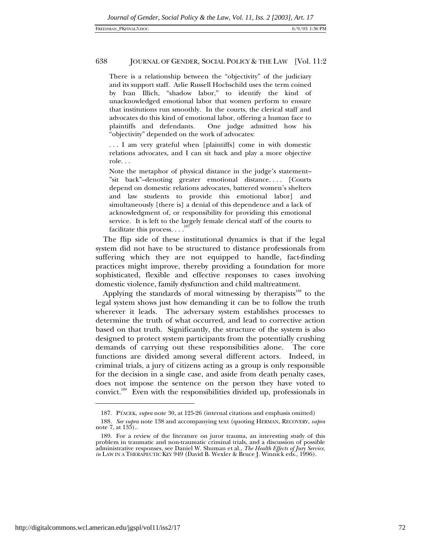There is a relationship between the "objectivity" of the judiciary and its support staff. Arlie Russell Hochschild uses the term coined by Ivan Illich, "shadow labor," to identify the kind of unacknowledged emotional labor that women perform to ensure that institutions run smoothly. In the courts, the clerical staff and advocates do this kind of emotional labor, offering a human face to plaintiffs and defendants. One judge admitted how his "objectivity" depended on the work of advocates:

. . . I am very grateful when [plaintiffs] come in with domestic relations advocates, and I can sit back and play a more objective role. . .

Note the metaphor of physical distance in the judge's statement– "sit back"–denoting greater emotional distance. . . . [Courts depend on domestic relations advocates, battered women's shelters and law students to provide this emotional labor] and simultaneously [there is] a denial of this dependence and a lack of acknowledgment of, or responsibility for providing this emotional service. It is left to the largely female clerical staff of the courts to facilitate this process. . . .<sup>1</sup>

The flip side of these institutional dynamics is that if the legal system did not have to be structured to distance professionals from suffering which they are not equipped to handle, fact-finding practices might improve, thereby providing a foundation for more sophisticated, flexible and effective responses to cases involving domestic violence, family dysfunction and child maltreatment.

Applying the standards of moral witnessing by therapists<sup>188</sup> to the legal system shows just how demanding it can be to follow the truth wherever it leads. The adversary system establishes processes to determine the truth of what occurred, and lead to corrective action based on that truth. Significantly, the structure of the system is also designed to protect system participants from the potentially crushing demands of carrying out these responsibilities alone. The core functions are divided among several different actors. Indeed, in criminal trials, a jury of citizens acting as a group is only responsible for the decision in a single case, and aside from death penalty cases, does not impose the sentence on the person they have voted to convict.189 Even with the responsibilities divided up, professionals in

<sup>187.</sup> PTACEK, *supra* note 30, at 125-26 (internal citations and emphasis omitted)

<sup>188</sup>*. See supra* note 138 and accompanying text (quoting HERMAN, RECOVERY, *supra* note 7, at 135)..

<sup>189.</sup> For a review of the literature on juror trauma, an interesting study of this problem in traumatic and non-traumatic criminal trials, and a discussion of possible administrative responses, see Daniel W. Shuman et al., *The Health Effects of Jury Service*, *in* LAW IN A THERAPEUTIC KEY 949 (David B. Wexler & Bruce J. Winnick eds., 1996).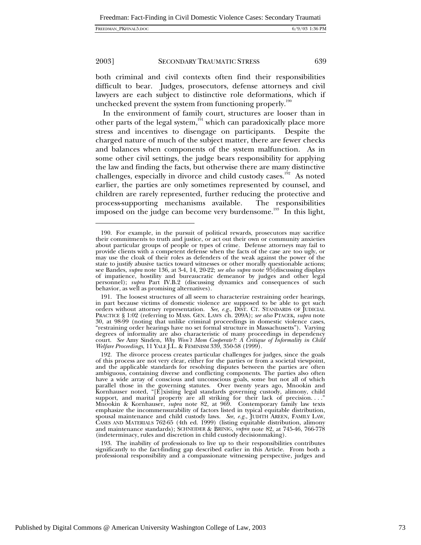-

### 2003] SECONDARY TRAUMATIC STRESS 639

both criminal and civil contexts often find their responsibilities difficult to bear. Judges, prosecutors, defense attorneys and civil lawyers are each subject to distinctive role deformations, which if unchecked prevent the system from functioning properly.<sup>190</sup>

In the environment of family court, structures are looser than in other parts of the legal system,<sup> $191$ </sup> which can paradoxically place more stress and incentives to disengage on participants. Despite the charged nature of much of the subject matter, there are fewer checks and balances when components of the system malfunction. As in some other civil settings, the judge bears responsibility for applying the law and finding the facts, but otherwise there are many distinctive challenges, especially in divorce and child custody cases.<sup>192</sup> As noted earlier, the parties are only sometimes represented by counsel, and children are rarely represented, further reducing the protective and process-supporting mechanisms available. The responsibilities imposed on the judge can become very burdensome.<sup>193</sup> In this light,

193. The inability of professionals to live up to their responsibilities contributes significantly to the fact-finding gap described earlier in this Article. From both a professional responsibility and a compassionate witnessing perspective, judges and

<sup>190.</sup> For example, in the pursuit of political rewards, prosecutors may sacrifice their commitments to truth and justice, or act out their own or community anxieties about particular groups of people or types of crime. Defense attorneys may fail to provide clients with a competent defense when the facts of the case are too ugly, or may use the cloak of their roles as defenders of the weak against the power of the state to justify abusive tactics toward witnesses or other morally questionable actions; see Bandes, *supra* note 136, at 3-4, 14, 20-22; *see also supra* note 95(discussing displays of impatience, hostility and bureaucratic demeanor by judges and other legal personnel); *supra* Part IV.B.2 (discussing dynamics and consequences of such behavior, as well as promising alternatives).

<sup>191.</sup> The loosest structures of all seem to characterize restraining order hearings, in part because victims of domestic violence are supposed to be able to get such orders without attorney representation. See, e.g., DIST. CT. STANDARDS OF JUDICIAL PRACTICE § 1:02 (referring to MASS. GEN. LAWS ch. 209A); *see also* PTACEK, *supra* note 30, at 98-99 (noting that unlike criminal proceedings in domestic violence cases, "restraining order hearings have no set formal structure in Massachusetts"). Varying degrees of informality are also characteristic of many proceedings in dependency court. *See* Amy Sinden, *Why Won't Mom Cooperate?: A Critique of Informality in Child Welfare Proceedings*, 11 YALE J.L. & FEMINISM 339, 350-58 (1999).

<sup>192.</sup> The divorce process creates particular challenges for judges, since the goals of this process are not very clear, either for the parties or from a societal viewpoint, and the applicable standards for resolving disputes between the parties are often ambiguous, containing diverse and conflicting components. The parties also often have a wide array of conscious and unconscious goals, some but not all of which parallel those in the governing statutes. Over twenty years ago, Mnookin and Kornhauser noted, "[E]xisting legal standards governing custody, alimony, child support, and marital property are all striking for their lack of precision. . . ." Mnookin & Kornhauser, *supra* note 82, at 969. Contemporary family law texts emphasize the incommensurability of factors listed in typical equitable distribution, spousal maintenance and child custody laws. See, e.g., JUDITH AREEN, FAMILY LAW, CASES AND MATERIALS 762-65 (4th ed. 1999) (listing equitable distribution, alimony and maintenance standards); SCHNEIDER & BRINIG, *supra* note 82, at 745-46, 766-778 (indeterminacy, rules and discretion in child custody decisionmaking).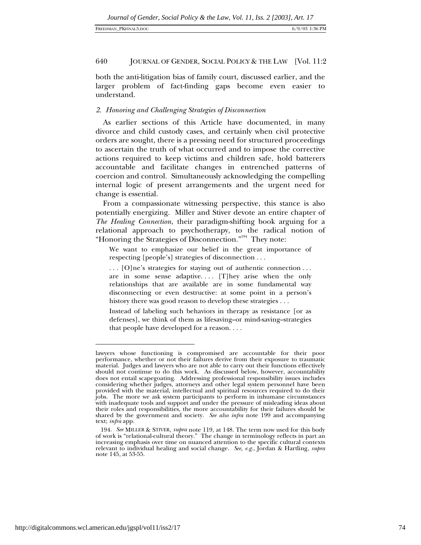both the anti-litigation bias of family court, discussed earlier, and the larger problem of fact-finding gaps become even easier to understand.

# *2. Honoring and Challenging Strategies of Disconnection*

As earlier sections of this Article have documented, in many divorce and child custody cases, and certainly when civil protective orders are sought, there is a pressing need for structured proceedings to ascertain the truth of what occurred and to impose the corrective actions required to keep victims and children safe, hold batterers accountable and facilitate changes in entrenched patterns of coercion and control. Simultaneously acknowledging the compelling internal logic of present arrangements and the urgent need for change is essential.

From a compassionate witnessing perspective, this stance is also potentially energizing. Miller and Stiver devote an entire chapter of *The Healing Connection*, their paradigm-shifting book arguing for a relational approach to psychotherapy, to the radical notion of "Honoring the Strategies of Disconnection."194 They note:

We want to emphasize our belief in the great importance of respecting [people's] strategies of disconnection . . .

. . . [O]ne's strategies for staying out of authentic connection . . . are in some sense adaptive.... [T]hey arise when the only relationships that are available are in some fundamental way disconnecting or even destructive: at some point in a person's history there was good reason to develop these strategies . . .

Instead of labeling such behaviors in therapy as resistance [or as defenses], we think of them as lifesaving–or mind-saving–strategies that people have developed for a reason. . . .

1

lawyers whose functioning is compromised are accountable for their poor performance, whether or not their failures derive from their exposure to traumatic material. Judges and lawyers who are not able to carry out their functions effectively should not continue to do this work. As discussed below, however, accountability does not entail scapegoating. Addressing professional responsibility issues includes considering whether judges, attorneys and other legal system personnel have been provided with the material, intellectual and spiritual resources required to do their jobs. The more we ask system participants to perform in inhumane circumstances with inadequate tools and support and under the pressure of misleading ideas about their roles and responsibilities, the more accountability for their failures should be shared by the government and society. *See also infra* note 199 and accompanying text; *infra* app.

<sup>194</sup>*. See* MILLER & STIVER, *supra* note 119, at 148. The term now used for this body of work is "relational-cultural theory." The change in terminology reflects in part an increasing emphasis over time on nuanced attention to the specific cultural contexts relevant to individual healing and social change. *See, e.g.*, Jordan & Hartling, *supra* note 145, at 53-55.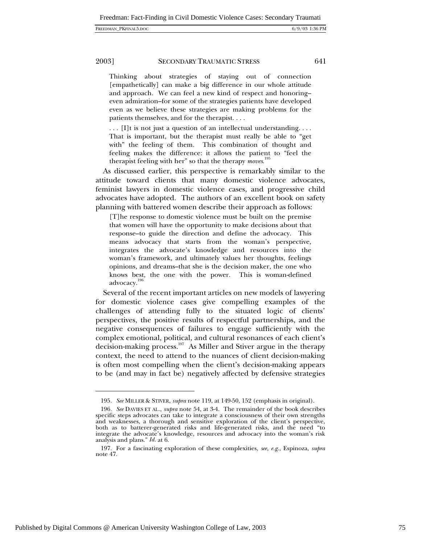Thinking about strategies of staying out of connection [empathetically] can make a big difference in our whole attitude and approach. We can feel a new kind of respect and honoring– even admiration–for some of the strategies patients have developed even as we believe these strategies are making problems for the patients themselves, and for the therapist. . . .

. . . [I]t is not just a question of an intellectual understanding. . . . That is important, but the therapist must really be able to "get with" the feeling of them. This combination of thought and feeling makes the difference: it allows the patient to "feel the therapist feeling with her" so that the therapy *moves*. 195

As discussed earlier, this perspective is remarkably similar to the attitude toward clients that many domestic violence advocates, feminist lawyers in domestic violence cases, and progressive child advocates have adopted. The authors of an excellent book on safety planning with battered women describe their approach as follows:

[T]he response to domestic violence must be built on the premise that women will have the opportunity to make decisions about that response–to guide the direction and define the advocacy. This means advocacy that starts from the woman's perspective, integrates the advocate's knowledge and resources into the woman's framework, and ultimately values her thoughts, feelings opinions, and dreams–that she is the decision maker, the one who knows best, the one with the power. This is woman-defined advocacy.<sup>19</sup>

Several of the recent important articles on new models of lawyering for domestic violence cases give compelling examples of the challenges of attending fully to the situated logic of clients' perspectives, the positive results of respectful partnerships, and the negative consequences of failures to engage sufficiently with the complex emotional, political, and cultural resonances of each client's decision-making process.<sup>197</sup> As Miller and Stiver argue in the therapy context, the need to attend to the nuances of client decision-making is often most compelling when the client's decision-making appears to be (and may in fact be) negatively affected by defensive strategies

<sup>195</sup>*. See* MILLER & STIVER, *supra* note 119, at 149-50, 152 (emphasis in original).

<sup>196</sup>*. See* DAVIES ET AL., *supra* note 54, at 3-4. The remainder of the book describes specific steps advocates can take to integrate a consciousness of their own strengths and weaknesses, a thorough and sensitive exploration of the client's perspective, both as to batterer-generated risks and life-generated risks, and the need "to integrate the advocate's knowledge, resources and advocacy into the woman's risk analysis and plans." *Id.* at 6.

<sup>197.</sup> For a fascinating exploration of these complexities, *see, e.g.*, Espinoza, *supra* note 47.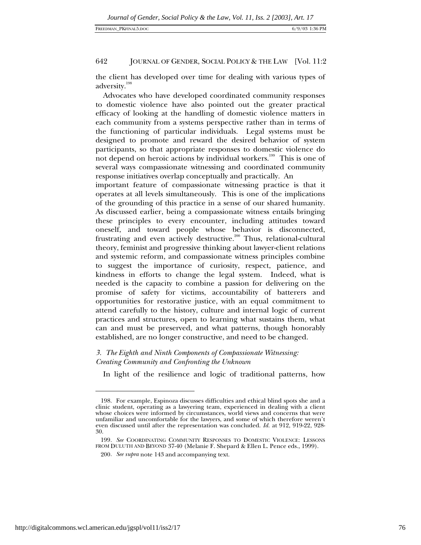the client has developed over time for dealing with various types of adversity.<sup>198</sup>

Advocates who have developed coordinated community responses to domestic violence have also pointed out the greater practical efficacy of looking at the handling of domestic violence matters in each community from a systems perspective rather than in terms of the functioning of particular individuals. Legal systems must be designed to promote and reward the desired behavior of system participants, so that appropriate responses to domestic violence do not depend on heroic actions by individual workers.<sup>199</sup> This is one of several ways compassionate witnessing and coordinated community response initiatives overlap conceptually and practically. An

important feature of compassionate witnessing practice is that it operates at all levels simultaneously. This is one of the implications of the grounding of this practice in a sense of our shared humanity. As discussed earlier, being a compassionate witness entails bringing these principles to every encounter, including attitudes toward oneself, and toward people whose behavior is disconnected, frustrating and even actively destructive.<sup>200</sup> Thus, relational-cultural theory, feminist and progressive thinking about lawyer-client relations and systemic reform, and compassionate witness principles combine to suggest the importance of curiosity, respect, patience, and kindness in efforts to change the legal system. Indeed, what is needed is the capacity to combine a passion for delivering on the promise of safety for victims, accountability of batterers and opportunities for restorative justice, with an equal commitment to attend carefully to the history, culture and internal logic of current practices and structures, open to learning what sustains them, what can and must be preserved, and what patterns, though honorably established, are no longer constructive, and need to be changed.

# *3. The Eighth and Ninth Components of Compassionate Witnessing: Creating Community and Confronting the Unknown*

In light of the resilience and logic of traditional patterns, how

<sup>198.</sup> For example, Espinoza discusses difficulties and ethical blind spots she and a clinic student, operating as a lawyering team, experienced in dealing with a client whose choices were informed by circumstances, world views and concerns that were unfamiliar and uncomfortable for the lawyers, and some of which therefore weren't even discussed until after the representation was concluded. *Id.* at 912, 919-22, 928- 30.

<sup>199</sup>*. See* COORDINATING COMMUNITY RESPONSES TO DOMESTIC VIOLENCE: LESSONS FROM DULUTH AND BEYOND 37-40 (Melanie F. Shepard & Ellen L. Pence eds., 1999).

<sup>200</sup>*. See supra* note 143 and accompanying text.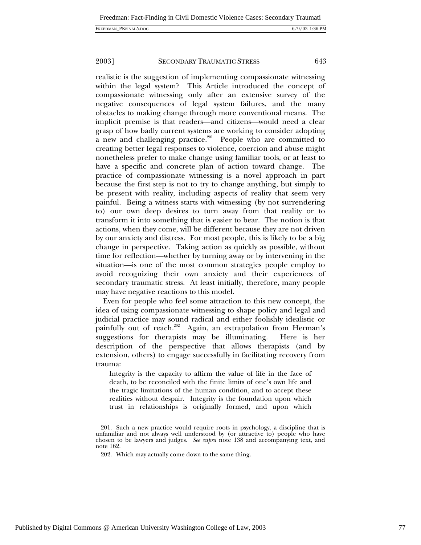|  | FREEDMAN PKFINAL5.DOC |  |
|--|-----------------------|--|
|--|-----------------------|--|

realistic is the suggestion of implementing compassionate witnessing within the legal system? This Article introduced the concept of compassionate witnessing only after an extensive survey of the negative consequences of legal system failures, and the many obstacles to making change through more conventional means. The implicit premise is that readers—and citizens—would need a clear grasp of how badly current systems are working to consider adopting a new and challenging practice.<sup>201</sup> People who are committed to creating better legal responses to violence, coercion and abuse might nonetheless prefer to make change using familiar tools, or at least to have a specific and concrete plan of action toward change. The practice of compassionate witnessing is a novel approach in part because the first step is not to try to change anything, but simply to be present with reality, including aspects of reality that seem very painful. Being a witness starts with witnessing (by not surrendering to) our own deep desires to turn away from that reality or to transform it into something that is easier to bear. The notion is that actions, when they come, will be different because they are not driven by our anxiety and distress. For most people, this is likely to be a big change in perspective. Taking action as quickly as possible, without time for reflection—whether by turning away or by intervening in the situation—is one of the most common strategies people employ to avoid recognizing their own anxiety and their experiences of secondary traumatic stress. At least initially, therefore, many people may have negative reactions to this model.

Even for people who feel some attraction to this new concept, the idea of using compassionate witnessing to shape policy and legal and judicial practice may sound radical and either foolishly idealistic or painfully out of reach.<sup>202</sup> Again, an extrapolation from Herman's suggestions for therapists may be illuminating. Here is her description of the perspective that allows therapists (and by extension, others) to engage successfully in facilitating recovery from trauma:

Integrity is the capacity to affirm the value of life in the face of death, to be reconciled with the finite limits of one's own life and the tragic limitations of the human condition, and to accept these realities without despair. Integrity is the foundation upon which trust in relationships is originally formed, and upon which

<sup>201.</sup> Such a new practice would require roots in psychology, a discipline that is unfamiliar and not always well understood by (or attractive to) people who have chosen to be lawyers and judges. *See supra* note 138 and accompanying text, and note 162.

<sup>202.</sup> Which may actually come down to the same thing.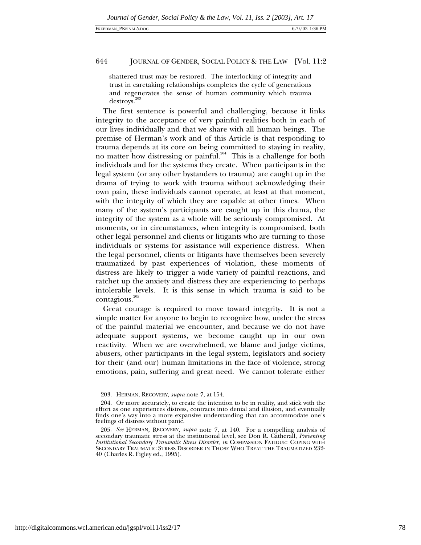shattered trust may be restored. The interlocking of integrity and trust in caretaking relationships completes the cycle of generations and regenerates the sense of human community which trauma destroys.<sup>2</sup>

The first sentence is powerful and challenging, because it links integrity to the acceptance of very painful realities both in each of our lives individually and that we share with all human beings. The premise of Herman's work and of this Article is that responding to trauma depends at its core on being committed to staying in reality, no matter how distressing or painful.<sup>204</sup> This is a challenge for both individuals and for the systems they create. When participants in the legal system (or any other bystanders to trauma) are caught up in the drama of trying to work with trauma without acknowledging their own pain, these individuals cannot operate, at least at that moment, with the integrity of which they are capable at other times. When many of the system's participants are caught up in this drama, the integrity of the system as a whole will be seriously compromised. At moments, or in circumstances, when integrity is compromised, both other legal personnel and clients or litigants who are turning to those individuals or systems for assistance will experience distress. When the legal personnel, clients or litigants have themselves been severely traumatized by past experiences of violation, these moments of distress are likely to trigger a wide variety of painful reactions, and ratchet up the anxiety and distress they are experiencing to perhaps intolerable levels. It is this sense in which trauma is said to be  $contagious.<sup>205</sup>$ 

Great courage is required to move toward integrity. It is not a simple matter for anyone to begin to recognize how, under the stress of the painful material we encounter, and because we do not have adequate support systems, we become caught up in our own reactivity. When we are overwhelmed, we blame and judge victims, abusers, other participants in the legal system, legislators and society for their (and our) human limitations in the face of violence, strong emotions, pain, suffering and great need. We cannot tolerate either

<sup>203.</sup> HERMAN, RECOVERY, *supra* note 7, at 154.

<sup>204.</sup> Or more accurately, to create the intention to be in reality, and stick with the effort as one experiences distress, contracts into denial and illusion, and eventually finds one's way into a more expansive understanding that can accommodate one's feelings of distress without panic.

<sup>205</sup>*. See* HERMAN, RECOVERY, *supra* note 7, at 140. For a compelling analysis of secondary traumatic stress at the institutional level, see Don R. Catherall, *Preventing Institutional Secondary Traumatic Stress Disorder*, *in* COMPASSION FATIGUE: COPING WITH SECONDARY TRAUMATIC STRESS DISORDER IN THOSE WHO TREAT THE TRAUMATIZED 232- 40 (Charles R. Figley ed., 1995).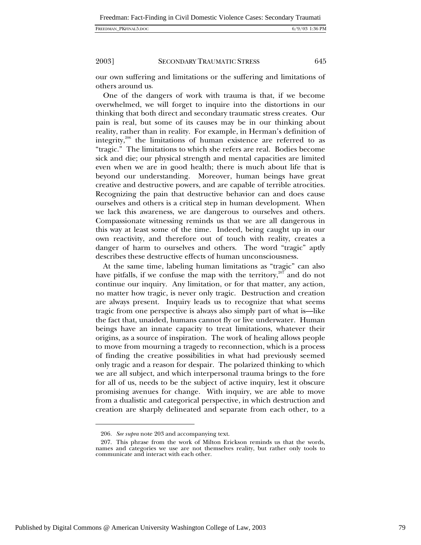|  | FREEDMAN PKFINAL5.DOC |
|--|-----------------------|
|--|-----------------------|

our own suffering and limitations or the suffering and limitations of others around us.

One of the dangers of work with trauma is that, if we become overwhelmed, we will forget to inquire into the distortions in our thinking that both direct and secondary traumatic stress creates. Our pain is real, but some of its causes may be in our thinking about reality, rather than in reality. For example, in Herman's definition of integrity,<sup>206</sup> the limitations of human existence are referred to as "tragic." The limitations to which she refers are real. Bodies become sick and die; our physical strength and mental capacities are limited even when we are in good health; there is much about life that is beyond our understanding. Moreover, human beings have great creative and destructive powers, and are capable of terrible atrocities. Recognizing the pain that destructive behavior can and does cause ourselves and others is a critical step in human development. When we lack this awareness, we are dangerous to ourselves and others. Compassionate witnessing reminds us that we are all dangerous in this way at least some of the time. Indeed, being caught up in our own reactivity, and therefore out of touch with reality, creates a danger of harm to ourselves and others. The word "tragic" aptly describes these destructive effects of human unconsciousness.

At the same time, labeling human limitations as "tragic" can also have pitfalls, if we confuse the map with the territory, $207$  and do not continue our inquiry. Any limitation, or for that matter, any action, no matter how tragic, is never only tragic. Destruction and creation are always present. Inquiry leads us to recognize that what seems tragic from one perspective is always also simply part of what is—like the fact that, unaided, humans cannot fly or live underwater. Human beings have an innate capacity to treat limitations, whatever their origins, as a source of inspiration. The work of healing allows people to move from mourning a tragedy to reconnection, which is a process of finding the creative possibilities in what had previously seemed only tragic and a reason for despair. The polarized thinking to which we are all subject, and which interpersonal trauma brings to the fore for all of us, needs to be the subject of active inquiry, lest it obscure promising avenues for change. With inquiry, we are able to move from a dualistic and categorical perspective, in which destruction and creation are sharply delineated and separate from each other, to a

<sup>206</sup>*. See supra* note 203 and accompanying text.

<sup>207.</sup> This phrase from the work of Milton Erickson reminds us that the words, names and categories we use are not themselves reality, but rather only tools to communicate and interact with each other.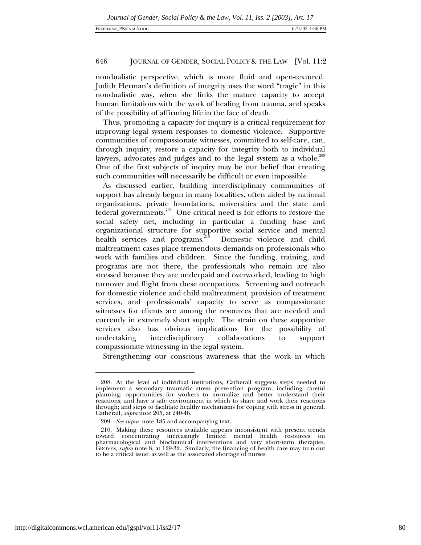nondualistic perspective, which is more fluid and open-textured. Judith Herman's definition of integrity uses the word "tragic" in this nondualistic way, when she links the mature capacity to accept human limitations with the work of healing from trauma, and speaks of the possibility of affirming life in the face of death.

Thus, promoting a capacity for inquiry is a critical requirement for improving legal system responses to domestic violence. Supportive communities of compassionate witnesses, committed to self-care, can, through inquiry, restore a capacity for integrity both to individual lawyers, advocates and judges and to the legal system as a whole.<sup>208</sup> One of the first subjects of inquiry may be our belief that creating such communities will necessarily be difficult or even impossible.

As discussed earlier, building interdisciplinary communities of support has already begun in many localities, often aided by national organizations, private foundations, universities and the state and federal governments.209 One critical need is for efforts to restore the social safety net, including in particular a funding base and organizational structure for supportive social service and mental health services and programs.<sup>210</sup> Domestic violence and child maltreatment cases place tremendous demands on professionals who work with families and children. Since the funding, training, and programs are not there, the professionals who remain are also stressed because they are underpaid and overworked, leading to high turnover and flight from these occupations. Screening and outreach for domestic violence and child maltreatment, provision of treatment services, and professionals' capacity to serve as compassionate witnesses for clients are among the resources that are needed and currently in extremely short supply. The strain on these supportive services also has obvious implications for the possibility of undertaking interdisciplinary collaborations to support compassionate witnessing in the legal system.

Strengthening our conscious awareness that the work in which

<sup>208.</sup> At the level of individual institutions, Catherall suggests steps needed to implement a secondary traumatic stress prevention program, including careful planning; opportunities for workers to normalize and better understand their reactions, and have a safe environment in which to share and work their reactions through; and steps to facilitate healthy mechanisms for coping with stress in general. Catherall, *supra* note 205, at 240-46.

<sup>209</sup>*. See supra* note 185 and accompanying text.

<sup>210.</sup> Making these resources available appears inconsistent with present trends toward concentrating increasingly limited mental health resources on pharmacological and biochemical interventions and very short-term therapies. GROVES, *supra* note 8, at 129-32. Similarly, the financing of health care may turn out to be a critical issue, as well as the associated shortage of nurses.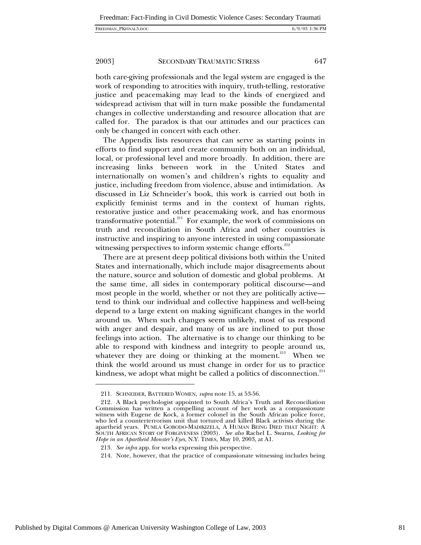both care-giving professionals and the legal system are engaged is the work of responding to atrocities with inquiry, truth-telling, restorative justice and peacemaking may lead to the kinds of energized and widespread activism that will in turn make possible the fundamental changes in collective understanding and resource allocation that are called for. The paradox is that our attitudes and our practices can only be changed in concert with each other.

The Appendix lists resources that can serve as starting points in efforts to find support and create community both on an individual, local, or professional level and more broadly. In addition, there are increasing links between work in the United States and internationally on women's and children's rights to equality and justice, including freedom from violence, abuse and intimidation. As discussed in Liz Schneider's book, this work is carried out both in explicitly feminist terms and in the context of human rights, restorative justice and other peacemaking work, and has enormous transformative potential. $^{211}$  For example, the work of commissions on truth and reconciliation in South Africa and other countries is instructive and inspiring to anyone interested in using compassionate witnessing perspectives to inform systemic change efforts. $212$ 

There are at present deep political divisions both within the United States and internationally, which include major disagreements about the nature, source and solution of domestic and global problems. At the same time, all sides in contemporary political discourse—and most people in the world, whether or not they are politically active tend to think our individual and collective happiness and well-being depend to a large extent on making significant changes in the world around us. When such changes seem unlikely, most of us respond with anger and despair, and many of us are inclined to put those feelings into action. The alternative is to change our thinking to be able to respond with kindness and integrity to people around us, whatever they are doing or thinking at the moment.<sup>213</sup> When we think the world around us must change in order for us to practice kindness, we adopt what might be called a politics of disconnection. $2^{14}$ 

-

<sup>211.</sup> SCHNEIDER, BATTERED WOMEN, *supra* note 15, at 53-56.

<sup>212.</sup> A Black psychologist appointed to South Africa's Truth and Reconciliation Commission has written a compelling account of her work as a compassionate witness with Eugene de Kock, a former colonel in the South African police force, who led a counterterrorism unit that tortured and killed Black activists during the apartheid years. PUMLA GOBODO-MADIKIZELA, A HUMAN BEING DIED THAT NIGHT: A SOUTH AFRICAN STORY OF FORGIVENESS (2003). *See also* Rachel L. Swarns, *Looking for Hope in an Apartheid Monster's Eyes*, N.Y. TIMES, May 10, 2003, at A1.

<sup>213</sup>*. See infra* app. for works expressing this perspective.

<sup>214.</sup> Note, however, that the practice of compassionate witnessing includes being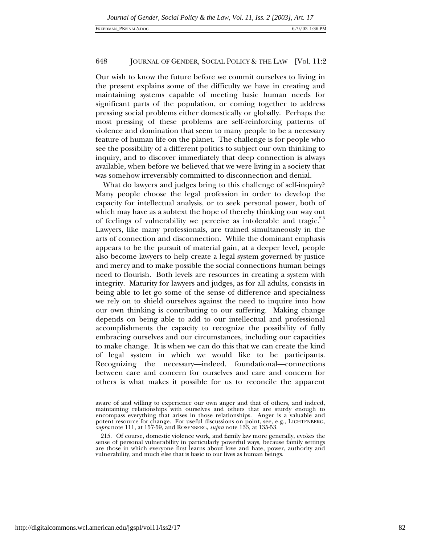Our wish to know the future before we commit ourselves to living in the present explains some of the difficulty we have in creating and maintaining systems capable of meeting basic human needs for significant parts of the population, or coming together to address pressing social problems either domestically or globally. Perhaps the most pressing of these problems are self-reinforcing patterns of violence and domination that seem to many people to be a necessary feature of human life on the planet. The challenge is for people who see the possibility of a different politics to subject our own thinking to inquiry, and to discover immediately that deep connection is always available, when before we believed that we were living in a society that was somehow irreversibly committed to disconnection and denial.

What do lawyers and judges bring to this challenge of self-inquiry? Many people choose the legal profession in order to develop the capacity for intellectual analysis, or to seek personal power, both of which may have as a subtext the hope of thereby thinking our way out of feelings of vulnerability we perceive as intolerable and tragic.<sup>215</sup> Lawyers, like many professionals, are trained simultaneously in the arts of connection and disconnection. While the dominant emphasis appears to be the pursuit of material gain, at a deeper level, people also become lawyers to help create a legal system governed by justice and mercy and to make possible the social connections human beings need to flourish. Both levels are resources in creating a system with integrity. Maturity for lawyers and judges, as for all adults, consists in being able to let go some of the sense of difference and specialness we rely on to shield ourselves against the need to inquire into how our own thinking is contributing to our suffering. Making change depends on being able to add to our intellectual and professional accomplishments the capacity to recognize the possibility of fully embracing ourselves and our circumstances, including our capacities to make change. It is when we can do this that we can create the kind of legal system in which we would like to be participants. Recognizing the necessary—indeed, foundational—connections between care and concern for ourselves and care and concern for others is what makes it possible for us to reconcile the apparent

1

aware of and willing to experience our own anger and that of others, and indeed, maintaining relationships with ourselves and others that are sturdy enough to encompass everything that arises in those relationships. Anger is a valuable and potent resource for change. For useful discussions on point, see, e.g., LICHTENBERG, *supra* note 111, at 157-59, and ROSENBERG, *supra* note 133, at 135-53.

<sup>215.</sup> Of course, domestic violence work, and family law more generally, evokes the sense of personal vulnerability in particularly powerful ways, because family settings are those in which everyone first learns about love and hate, power, authority and vulnerability, and much else that is basic to our lives as human beings.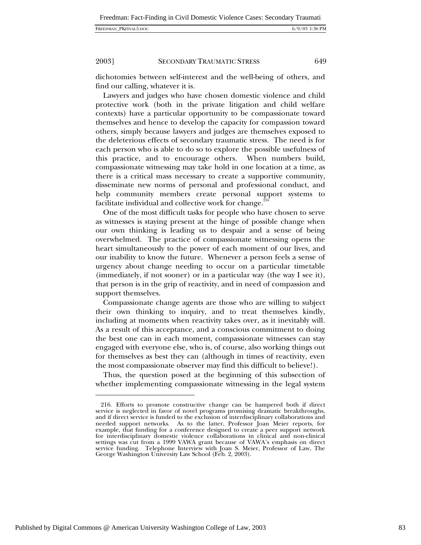dichotomies between self-interest and the well-being of others, and find our calling, whatever it is.

Lawyers and judges who have chosen domestic violence and child protective work (both in the private litigation and child welfare contexts) have a particular opportunity to be compassionate toward themselves and hence to develop the capacity for compassion toward others, simply because lawyers and judges are themselves exposed to the deleterious effects of secondary traumatic stress. The need is for each person who is able to do so to explore the possible usefulness of this practice, and to encourage others. When numbers build, compassionate witnessing may take hold in one location at a time, as there is a critical mass necessary to create a supportive community, disseminate new norms of personal and professional conduct, and help community members create personal support systems to facilitate individual and collective work for change.<sup>2</sup>

One of the most difficult tasks for people who have chosen to serve as witnesses is staying present at the hinge of possible change when our own thinking is leading us to despair and a sense of being overwhelmed. The practice of compassionate witnessing opens the heart simultaneously to the power of each moment of our lives, and our inability to know the future. Whenever a person feels a sense of urgency about change needing to occur on a particular timetable (immediately, if not sooner) or in a particular way (the way I see it), that person is in the grip of reactivity, and in need of compassion and support themselves.

Compassionate change agents are those who are willing to subject their own thinking to inquiry, and to treat themselves kindly, including at moments when reactivity takes over, as it inevitably will. As a result of this acceptance, and a conscious commitment to doing the best one can in each moment, compassionate witnesses can stay engaged with everyone else, who is, of course, also working things out for themselves as best they can (although in times of reactivity, even the most compassionate observer may find this difficult to believe!).

Thus, the question posed at the beginning of this subsection of whether implementing compassionate witnessing in the legal system

<sup>216.</sup> Efforts to promote constructive change can be hampered both if direct service is neglected in favor of novel programs promising dramatic breakthroughs, and if direct service is funded to the exclusion of interdisciplinary collaborations and needed support networks. As to the latter, Professor Joan Meier reports, for example, that funding for a conference designed to create a peer support network for interdisciplinary domestic violence collaborations in clinical and non-clinical settings was cut from a 1999 VAWA grant because of VAWA's emphasis on direct service funding. Telephone Interview with Joan S. Meier, Professor of Law, The George Washington University Law School (Feb. 2, 2003).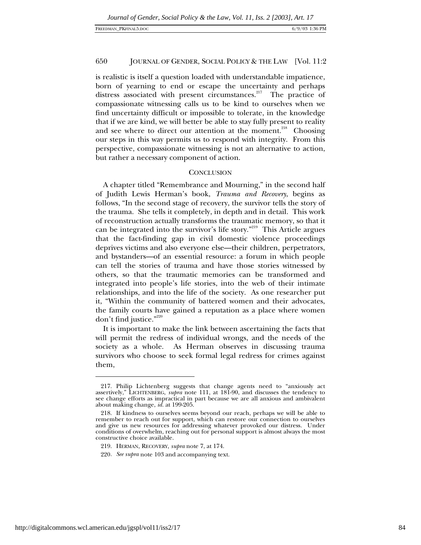is realistic is itself a question loaded with understandable impatience, born of yearning to end or escape the uncertainty and perhaps distress associated with present circumstances. $217$  The practice of compassionate witnessing calls us to be kind to ourselves when we find uncertainty difficult or impossible to tolerate, in the knowledge that if we are kind, we will better be able to stay fully present to reality and see where to direct our attention at the moment.<sup>218</sup> Choosing our steps in this way permits us to respond with integrity. From this perspective, compassionate witnessing is not an alternative to action, but rather a necessary component of action.

#### **CONCLUSION**

A chapter titled "Remembrance and Mourning," in the second half of Judith Lewis Herman's book, *Trauma and Recovery*, begins as follows, "In the second stage of recovery, the survivor tells the story of the trauma. She tells it completely, in depth and in detail. This work of reconstruction actually transforms the traumatic memory, so that it can be integrated into the survivor's life story."<sup>219</sup> This Article argues that the fact-finding gap in civil domestic violence proceedings deprives victims and also everyone else—their children, perpetrators, and bystanders—of an essential resource: a forum in which people can tell the stories of trauma and have those stories witnessed by others, so that the traumatic memories can be transformed and integrated into people's life stories, into the web of their intimate relationships, and into the life of the society. As one researcher put it, "Within the community of battered women and their advocates, the family courts have gained a reputation as a place where women don't find justice."220

It is important to make the link between ascertaining the facts that will permit the redress of individual wrongs, and the needs of the society as a whole. As Herman observes in discussing trauma survivors who choose to seek formal legal redress for crimes against them,

<sup>217.</sup> Philip Lichtenberg suggests that change agents need to "anxiously act assertively," LICHTENBERG, *supra* note 111, at 181-90, and discusses the tendency to see change efforts as impractical in part because we are all anxious and ambivalent about making change, *id.* at 199-205.

<sup>218.</sup> If kindness to ourselves seems beyond our reach, perhaps we will be able to remember to reach out for support, which can restore our connection to ourselves and give us new resources for addressing whatever provoked our distress. Under conditions of overwhelm, reaching out for personal support is almost always the most constructive choice available.

<sup>219.</sup> HERMAN, RECOVERY, *supra* note 7, at 174.

<sup>220</sup>*. See supra* note 103 and accompanying text.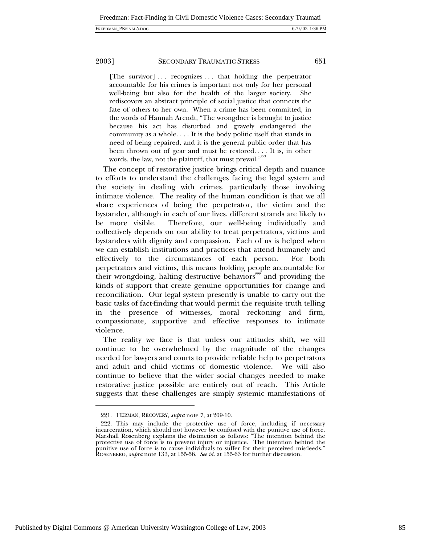[The survivor] . . . recognizes . . . that holding the perpetrator accountable for his crimes is important not only for her personal well-being but also for the health of the larger society. She rediscovers an abstract principle of social justice that connects the fate of others to her own. When a crime has been committed, in the words of Hannah Arendt, "The wrongdoer is brought to justice because his act has disturbed and gravely endangered the community as a whole. . . . It is the body politic itself that stands in need of being repaired, and it is the general public order that has been thrown out of gear and must be restored. . . . It is, in other words, the law, not the plaintiff, that must prevail." $^{221}$ 

The concept of restorative justice brings critical depth and nuance to efforts to understand the challenges facing the legal system and the society in dealing with crimes, particularly those involving intimate violence. The reality of the human condition is that we all share experiences of being the perpetrator, the victim and the bystander, although in each of our lives, different strands are likely to be more visible. Therefore, our well-being individually and collectively depends on our ability to treat perpetrators, victims and bystanders with dignity and compassion. Each of us is helped when we can establish institutions and practices that attend humanely and effectively to the circumstances of each person. For both perpetrators and victims, this means holding people accountable for their wrongdoing, halting destructive behaviors<sup>222</sup> and providing the kinds of support that create genuine opportunities for change and reconciliation. Our legal system presently is unable to carry out the basic tasks of fact-finding that would permit the requisite truth telling in the presence of witnesses, moral reckoning and firm, compassionate, supportive and effective responses to intimate violence.

The reality we face is that unless our attitudes shift, we will continue to be overwhelmed by the magnitude of the changes needed for lawyers and courts to provide reliable help to perpetrators and adult and child victims of domestic violence. We will also continue to believe that the wider social changes needed to make restorative justice possible are entirely out of reach. This Article suggests that these challenges are simply systemic manifestations of

<sup>221.</sup> HERMAN, RECOVERY, *supra* note 7, at 209-10.

<sup>222.</sup> This may include the protective use of force, including if necessary incarceration, which should not however be confused with the punitive use of force. Marshall Rosenberg explains the distinction as follows: "The intention behind the protective use of force is to prevent injury or injustice. The intention behind the punitive use of force is to cause individuals to suffer for their perceived misdeeds." ROSENBERG, *supra* note 133, at 155-56. *See id.* at 155-63 for further discussion.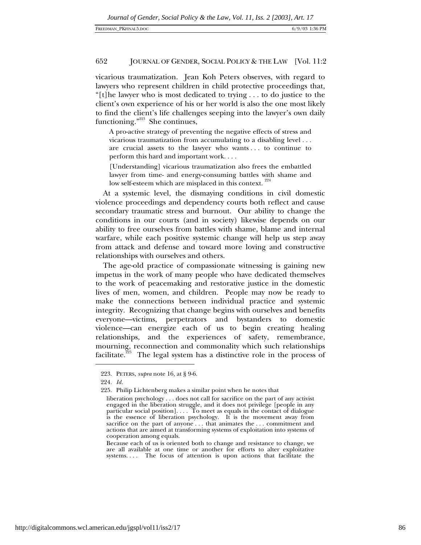vicarious traumatization. Jean Koh Peters observes, with regard to lawyers who represent children in child protective proceedings that, "[t]he lawyer who is most dedicated to trying . . . to do justice to the client's own experience of his or her world is also the one most likely to find the client's life challenges seeping into the lawyer's own daily functioning." $223$  She continues,

A pro-active strategy of preventing the negative effects of stress and vicarious traumatization from accumulating to a disabling level . . . are crucial assets to the lawyer who wants . . . to continue to perform this hard and important work. . . .

[Understanding] vicarious traumatization also frees the embattled lawyer from time- and energy-consuming battles with shame and low self-esteem which are misplaced in this context. <sup>224</sup>

At a systemic level, the dismaying conditions in civil domestic violence proceedings and dependency courts both reflect and cause secondary traumatic stress and burnout. Our ability to change the conditions in our courts (and in society) likewise depends on our ability to free ourselves from battles with shame, blame and internal warfare, while each positive systemic change will help us step away from attack and defense and toward more loving and constructive relationships with ourselves and others.

The age-old practice of compassionate witnessing is gaining new impetus in the work of many people who have dedicated themselves to the work of peacemaking and restorative justice in the domestic lives of men, women, and children. People may now be ready to make the connections between individual practice and systemic integrity. Recognizing that change begins with ourselves and benefits everyone—victims, perpetrators and bystanders to domestic violence—can energize each of us to begin creating healing relationships, and the experiences of safety, remembrance, mourning, reconnection and commonality which such relationships facilitate.<sup>225</sup> The legal system has a distinctive role in the process of

 $\overline{a}$ 

Because each of us is oriented both to change and resistance to change, we are all available at one time or another for efforts to alter exploitative systems. . . . The focus of attention is upon actions that facilitate the

<sup>223.</sup> PETERS, *supra* note 16, at § 9-6.

<sup>224</sup>*. Id.*

<sup>225.</sup> Philip Lichtenberg makes a similar point when he notes that

liberation psychology . . . does not call for sacrifice on the part of any activist engaged in the liberation struggle, and it does not privilege [people in any particular social position]. . . . To meet as equals in the contact of dialogue is the essence of liberation psychology. It is the movement away from sacrifice on the part of anyone  $\dots$  that animates the  $\dots$  commitment and actions that are aimed at transforming systems of exploitation into systems of cooperation among equals.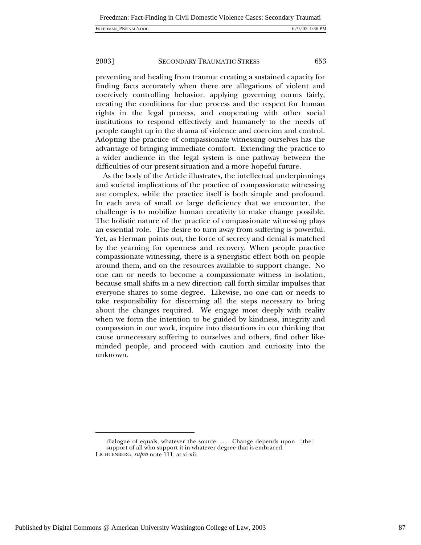preventing and healing from trauma: creating a sustained capacity for finding facts accurately when there are allegations of violent and coercively controlling behavior, applying governing norms fairly, creating the conditions for due process and the respect for human rights in the legal process, and cooperating with other social institutions to respond effectively and humanely to the needs of people caught up in the drama of violence and coercion and control. Adopting the practice of compassionate witnessing ourselves has the advantage of bringing immediate comfort. Extending the practice to a wider audience in the legal system is one pathway between the difficulties of our present situation and a more hopeful future.

As the body of the Article illustrates, the intellectual underpinnings and societal implications of the practice of compassionate witnessing are complex, while the practice itself is both simple and profound. In each area of small or large deficiency that we encounter, the challenge is to mobilize human creativity to make change possible. The holistic nature of the practice of compassionate witnessing plays an essential role. The desire to turn away from suffering is powerful. Yet, as Herman points out, the force of secrecy and denial is matched by the yearning for openness and recovery. When people practice compassionate witnessing, there is a synergistic effect both on people around them, and on the resources available to support change. No one can or needs to become a compassionate witness in isolation, because small shifts in a new direction call forth similar impulses that everyone shares to some degree. Likewise, no one can or needs to take responsibility for discerning all the steps necessary to bring about the changes required. We engage most deeply with reality when we form the intention to be guided by kindness, integrity and compassion in our work, inquire into distortions in our thinking that cause unnecessary suffering to ourselves and others, find other likeminded people, and proceed with caution and curiosity into the unknown.

dialogue of equals, whatever the source. . . . Change depends upon [the] support of all who support it in whatever degree that is embraced. LICHTENBERG, *supra* note 111, at xi-xii.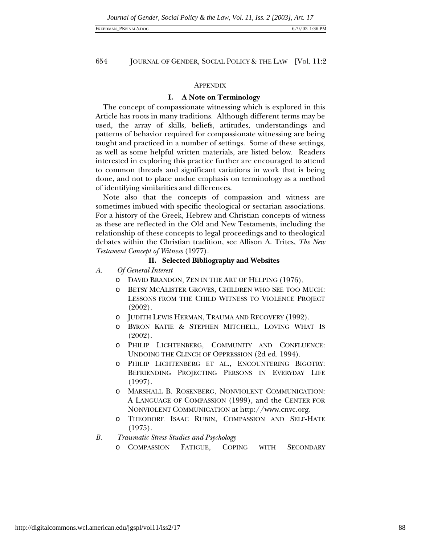## **APPENDIX**

## **I. A Note on Terminology**

The concept of compassionate witnessing which is explored in this Article has roots in many traditions. Although different terms may be used, the array of skills, beliefs, attitudes, understandings and patterns of behavior required for compassionate witnessing are being taught and practiced in a number of settings. Some of these settings, as well as some helpful written materials, are listed below. Readers interested in exploring this practice further are encouraged to attend to common threads and significant variations in work that is being done, and not to place undue emphasis on terminology as a method of identifying similarities and differences.

Note also that the concepts of compassion and witness are sometimes imbued with specific theological or sectarian associations. For a history of the Greek, Hebrew and Christian concepts of witness as these are reflected in the Old and New Testaments, including the relationship of these concepts to legal proceedings and to theological debates within the Christian tradition, see Allison A. Trites, *The New Testament Concept of Witness* (1977).

## **II. Selected Bibliography and Websites**

*A. Of General Interest*

- o DAVID BRANDON, ZEN IN THE ART OF HELPING (1976).
- o BETSY MCALISTER GROVES, CHILDREN WHO SEE TOO MUCH: LESSONS FROM THE CHILD WITNESS TO VIOLENCE PROJECT (2002).
- o JUDITH LEWIS HERMAN, TRAUMA AND RECOVERY (1992).
- BYRON KATIE & STEPHEN MITCHELL, LOVING WHAT IS (2002).
- o PHILIP LICHTENBERG, COMMUNITY AND CONFLUENCE: UNDOING THE CLINCH OF OPPRESSION (2d ed. 1994).
- o PHILIP LICHTENBERG ET AL., ENCOUNTERING BIGOTRY: BEFRIENDING PROJECTING PERSONS IN EVERYDAY LIFE (1997).
- o MARSHALL B. ROSENBERG, NONVIOLENT COMMUNICATION: A LANGUAGE OF COMPASSION (1999), and the CENTER FOR NONVIOLENT COMMUNICATION at http://www.cnvc.org.
- o THEODORE ISAAC RUBIN, COMPASSION AND SELF-HATE (1975).
- *B. Traumatic Stress Studies and Psychology*
	- o COMPASSION FATIGUE, COPING WITH SECONDARY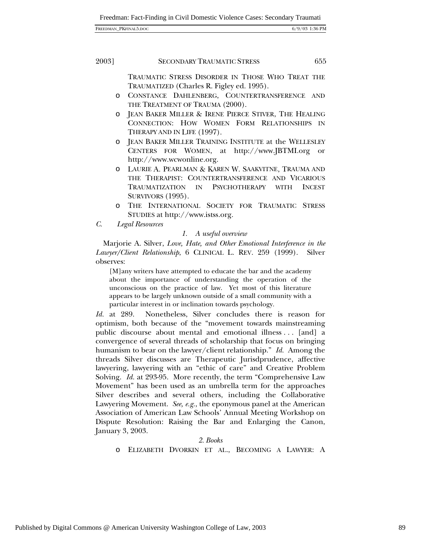| $6/9/03$ 1:36 PM<br>FREEDMAN PKFINAL5.DOC |
|-------------------------------------------|
|-------------------------------------------|

TRAUMATIC STRESS DISORDER IN THOSE WHO TREAT THE TRAUMATIZED (Charles R. Figley ed. 1995).

- o CONSTANCE DAHLENBERG, COUNTERTRANSFERENCE AND THE TREATMENT OF TRAUMA (2000).
- o JEAN BAKER MILLER & IRENE PIERCE STIVER, THE HEALING CONNECTION: HOW WOMEN FORM RELATIONSHIPS IN THERAPY AND IN LIFE (1997).
- o JEAN BAKER MILLER TRAINING INSTITUTE at the WELLESLEY CENTERS FOR WOMEN, at http://www.JBTMI.org or http://www.wcwonline.org.
- o LAURIE A. PEARLMAN & KAREN W. SAAKVITNE, TRAUMA AND THE THERAPIST: COUNTERTRANSFERENCE AND VICARIOUS TRAUMATIZATION IN PSYCHOTHERAPY WITH INCEST SURVIVORS (1995).
- o THE INTERNATIONAL SOCIETY FOR TRAUMATIC STRESS STUDIES at http://www.istss.org.
- *C. Legal Resources*

### *1. A useful overview*

Marjorie A. Silver, *Love, Hate, and Other Emotional Interference in the Lawyer/Client Relationship*, 6 CLINICAL L. REV. 259 (1999). Silver observes:

[M]any writers have attempted to educate the bar and the academy about the importance of understanding the operation of the unconscious on the practice of law. Yet most of this literature appears to be largely unknown outside of a small community with a particular interest in or inclination towards psychology.

*Id.* at 289. Nonetheless, Silver concludes there is reason for optimism, both because of the "movement towards mainstreaming public discourse about mental and emotional illness . . . [and] a convergence of several threads of scholarship that focus on bringing humanism to bear on the lawyer/client relationship." *Id.* Among the threads Silver discusses are Therapeutic Jurisdprudence, affective lawyering, lawyering with an "ethic of care" and Creative Problem Solving. *Id.* at 293-95. More recently, the term "Comprehensive Law Movement" has been used as an umbrella term for the approaches Silver describes and several others, including the Collaborative Lawyering Movement. *See, e.g.*, the eponymous panel at the American Association of American Law Schools' Annual Meeting Workshop on Dispute Resolution: Raising the Bar and Enlarging the Canon, January 3, 2003.

#### *2. Books*

o ELIZABETH DVORKIN ET AL., BECOMING A LAWYER: A